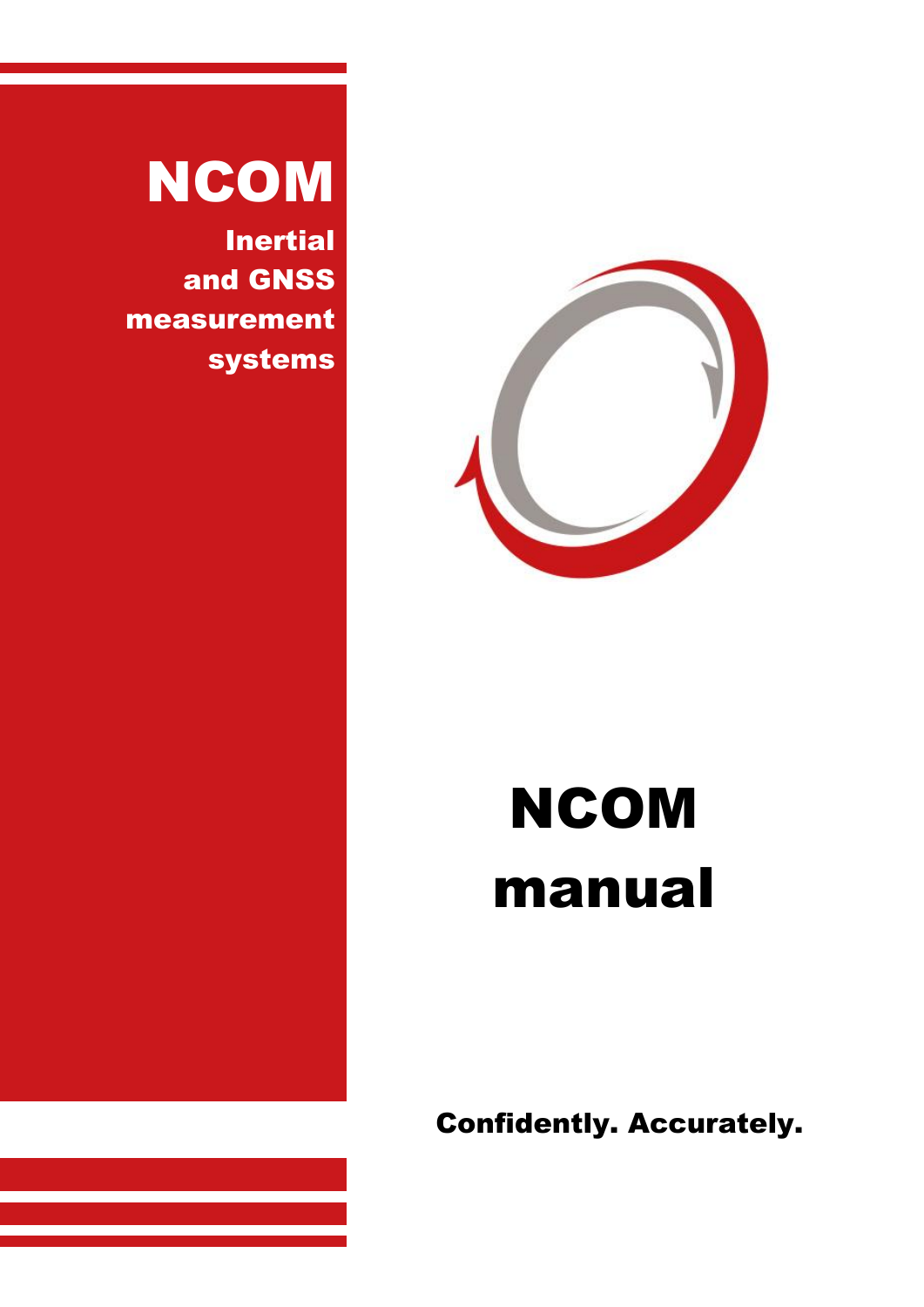

# NCOM manual

Confidently. Accurately.

# NCOM

Inertial and GNSS measurement systems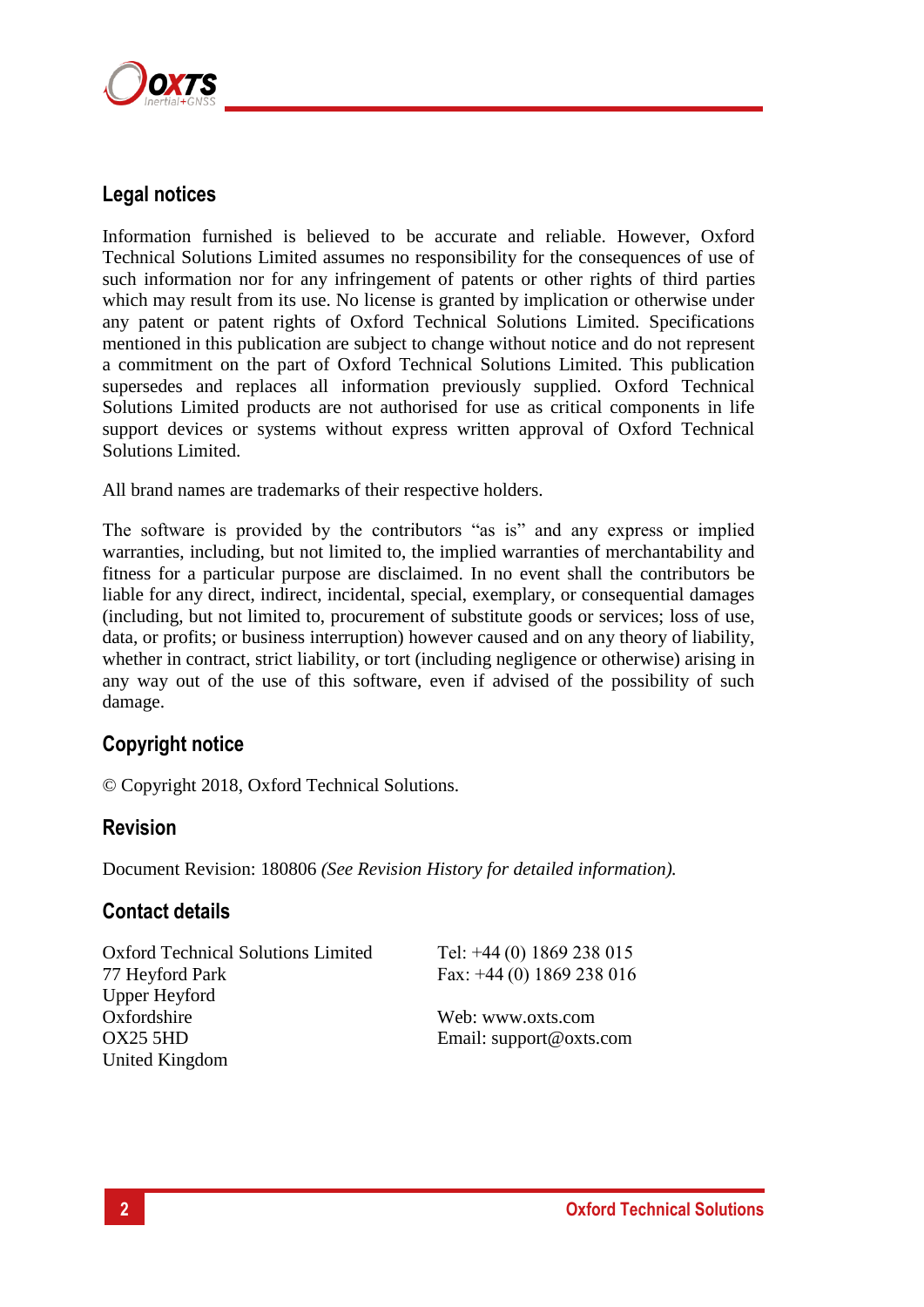

## **Legal notices**

Information furnished is believed to be accurate and reliable. However, Oxford Technical Solutions Limited assumes no responsibility for the consequences of use of such information nor for any infringement of patents or other rights of third parties which may result from its use. No license is granted by implication or otherwise under any patent or patent rights of Oxford Technical Solutions Limited. Specifications mentioned in this publication are subject to change without notice and do not represent a commitment on the part of Oxford Technical Solutions Limited. This publication supersedes and replaces all information previously supplied. Oxford Technical Solutions Limited products are not authorised for use as critical components in life support devices or systems without express written approval of Oxford Technical Solutions Limited.

All brand names are trademarks of their respective holders.

The software is provided by the contributors "as is" and any express or implied warranties, including, but not limited to, the implied warranties of merchantability and fitness for a particular purpose are disclaimed. In no event shall the contributors be liable for any direct, indirect, incidental, special, exemplary, or consequential damages (including, but not limited to, procurement of substitute goods or services; loss of use, data, or profits; or business interruption) however caused and on any theory of liability, whether in contract, strict liability, or tort (including negligence or otherwise) arising in any way out of the use of this software, even if advised of the possibility of such damage.

## **Copyright notice**

© Copyright 2018, Oxford Technical Solutions.

## **Revision**

Document Revision: 180806 *(See Revision History for detailed information).*

## **Contact details**

Oxford Technical Solutions Limited 77 Heyford Park Upper Heyford **Oxfordshire** OX25 5HD United Kingdom

Tel: +44 (0) 1869 238 015 Fax: +44 (0) 1869 238 016

Web: www.oxts.com Email: support@oxts.com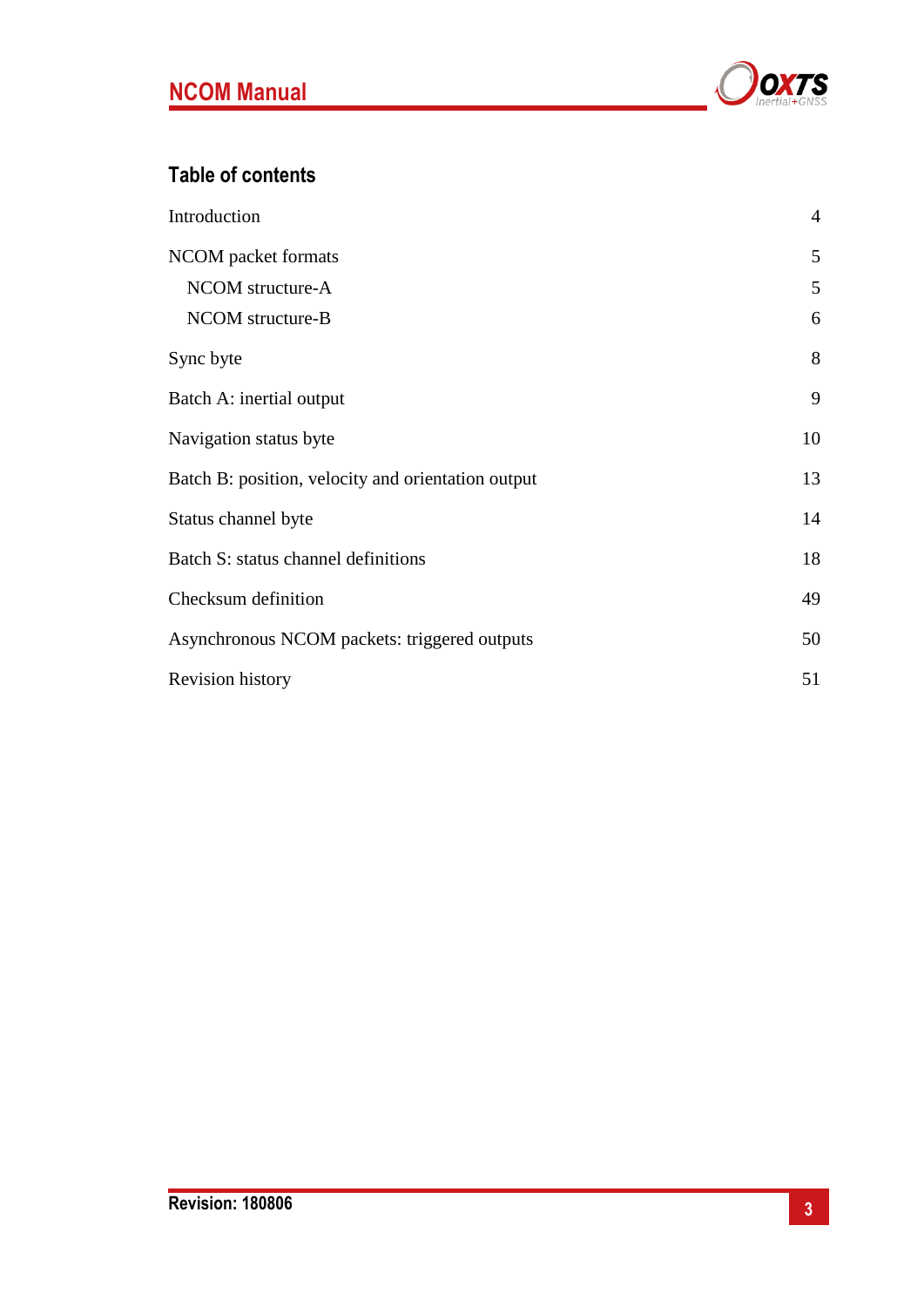

## **Table of contents**

| Introduction                                       | $\overline{4}$ |
|----------------------------------------------------|----------------|
| NCOM packet formats                                | 5              |
| NCOM structure-A                                   | 5              |
| NCOM structure-B                                   | 6              |
| Sync byte                                          | 8              |
| Batch A: inertial output                           | 9              |
| Navigation status byte                             | 10             |
| Batch B: position, velocity and orientation output | 13             |
| Status channel byte                                | 14             |
| Batch S: status channel definitions                | 18             |
| Checksum definition                                | 49             |
| Asynchronous NCOM packets: triggered outputs       | 50             |
| <b>Revision history</b>                            | 51             |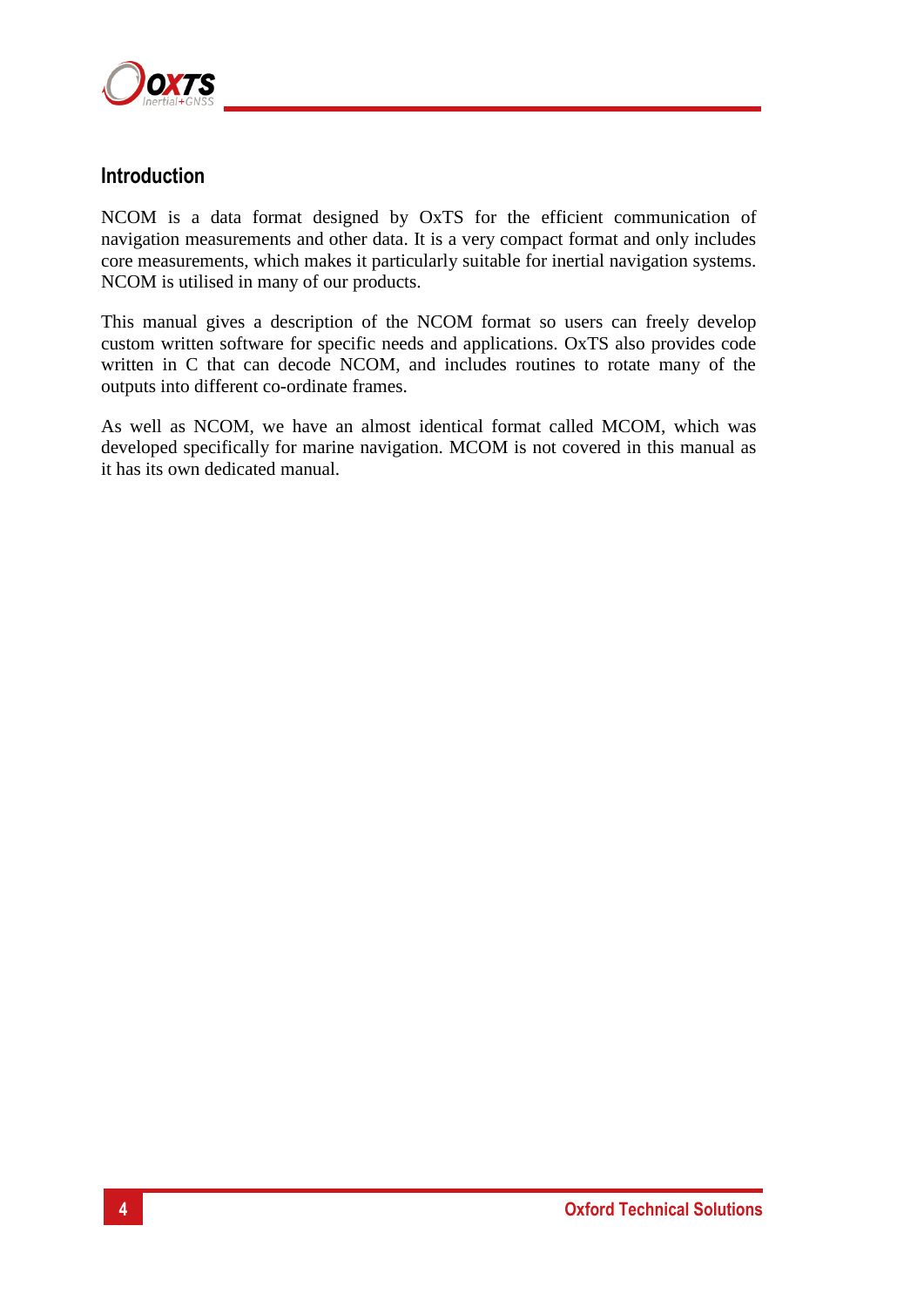

## **Introduction**

NCOM is a data format designed by OxTS for the efficient communication of navigation measurements and other data. It is a very compact format and only includes core measurements, which makes it particularly suitable for inertial navigation systems. NCOM is utilised in many of our products.

This manual gives a description of the NCOM format so users can freely develop custom written software for specific needs and applications. OxTS also provides code written in C that can decode NCOM, and includes routines to rotate many of the outputs into different co-ordinate frames.

As well as NCOM, we have an almost identical format called MCOM, which was developed specifically for marine navigation. MCOM is not covered in this manual as it has its own dedicated manual.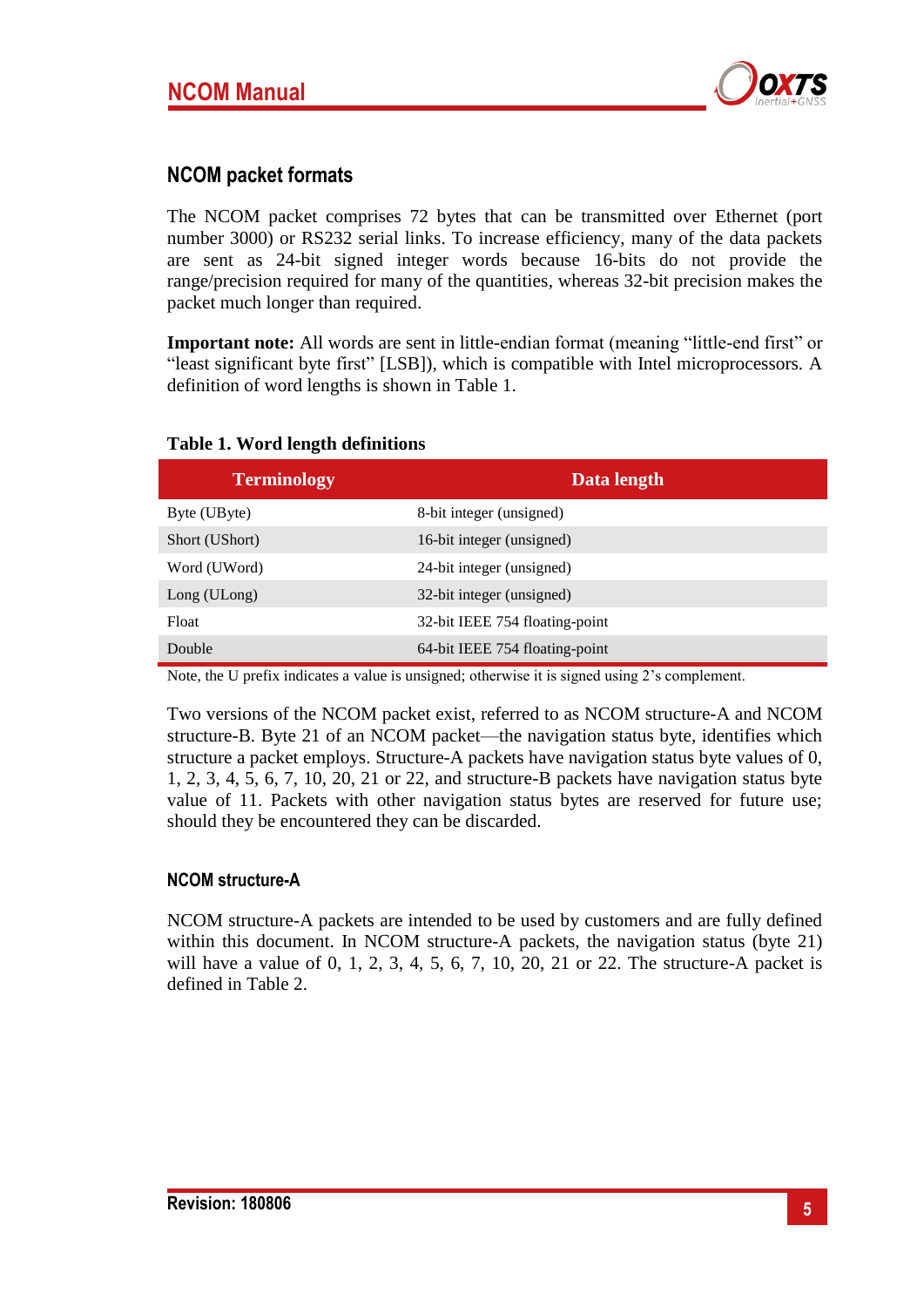

## **NCOM packet formats**

The NCOM packet comprises 72 bytes that can be transmitted over Ethernet (port number 3000) or RS232 serial links. To increase efficiency, many of the data packets are sent as 24-bit signed integer words because 16-bits do not provide the range/precision required for many of the quantities, whereas 32-bit precision makes the packet much longer than required.

**Important note:** All words are sent in little-endian format (meaning "little-end first" or "least significant byte first" [LSB]), which is compatible with Intel microprocessors. A definition of word lengths is shown in [Table 1.](#page-4-0)

| <b>Terminology</b> | Data length                    |
|--------------------|--------------------------------|
| Byte (UByte)       | 8-bit integer (unsigned)       |
| Short (UShort)     | 16-bit integer (unsigned)      |
| Word (UWord)       | 24-bit integer (unsigned)      |
| Long (ULong)       | 32-bit integer (unsigned)      |
| Float              | 32-bit IEEE 754 floating-point |
| Double             | 64-bit IEEE 754 floating-point |

#### <span id="page-4-0"></span>**Table 1. Word length definitions**

Note, the U prefix indicates a value is unsigned; otherwise it is signed using 2's complement.

Two versions of the NCOM packet exist, referred to as NCOM structure-A and NCOM structure-B. Byte 21 of an NCOM packet—the navigation status byte, identifies which structure a packet employs. Structure-A packets have navigation status byte values of 0, 1, 2, 3, 4, 5, 6, 7, 10, 20, 21 or 22, and structure-B packets have navigation status byte value of 11. Packets with other navigation status bytes are reserved for future use; should they be encountered they can be discarded.

#### **NCOM structure-A**

NCOM structure-A packets are intended to be used by customers and are fully defined within this document. In NCOM structure-A packets, the navigation status (byte 21) will have a value of 0, 1, 2, 3, 4, 5, 6, 7, 10, 20, 21 or 22. The structure-A packet is defined in [Table 2.](#page-5-0)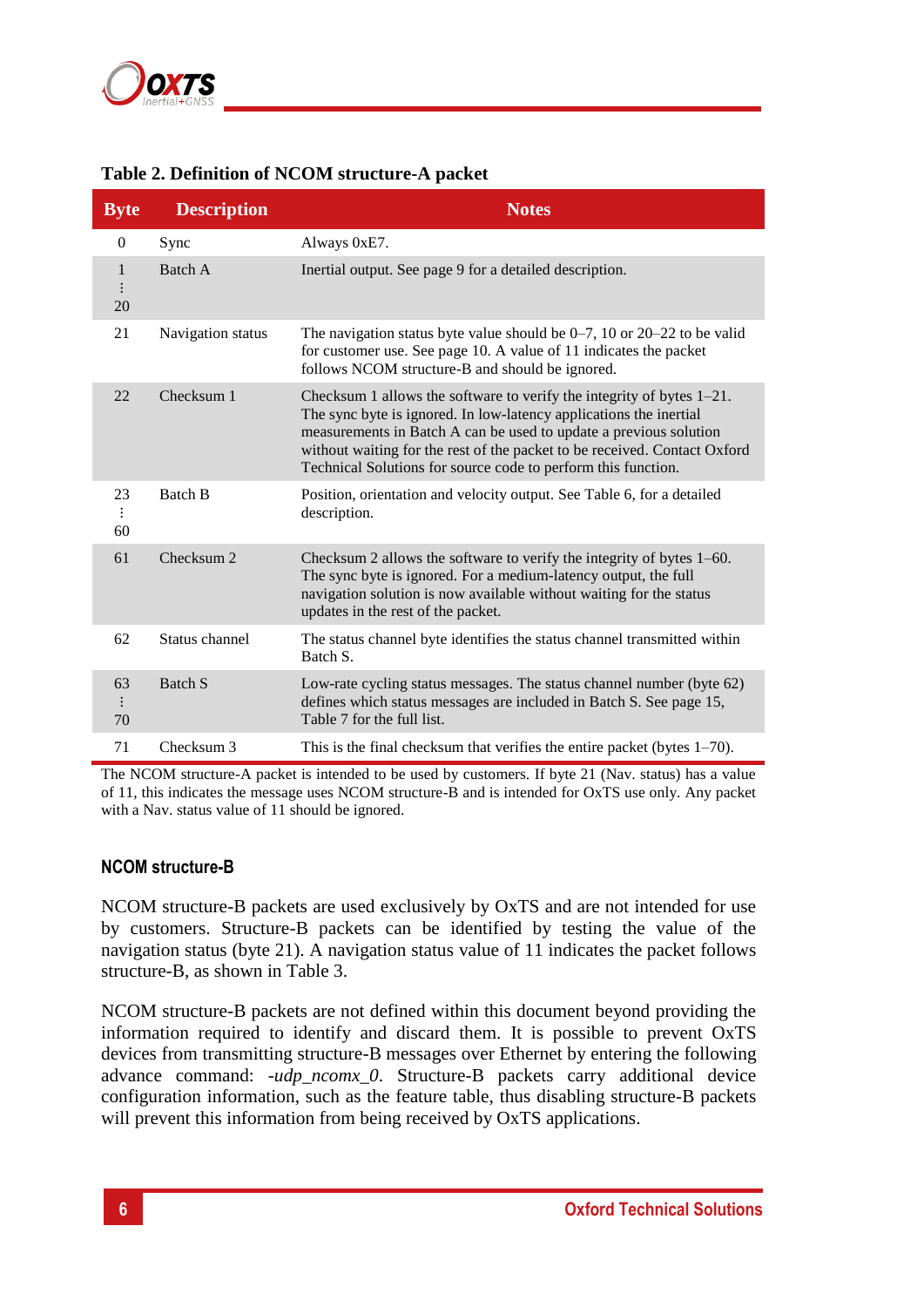

## <span id="page-5-0"></span>**Table 2. Definition of NCOM structure-A packet**

| <b>Byte</b>          | <b>Description</b> | <b>Notes</b>                                                                                                                                                                                                                                                                                                                                                      |
|----------------------|--------------------|-------------------------------------------------------------------------------------------------------------------------------------------------------------------------------------------------------------------------------------------------------------------------------------------------------------------------------------------------------------------|
| $\boldsymbol{0}$     | Sync               | Always 0xE7.                                                                                                                                                                                                                                                                                                                                                      |
| $\mathbf{1}$<br>20   | Batch A            | Inertial output. See page 9 for a detailed description.                                                                                                                                                                                                                                                                                                           |
| 21                   | Navigation status  | The navigation status byte value should be $0-7$ , 10 or $20-22$ to be valid<br>for customer use. See page 10. A value of 11 indicates the packet<br>follows NCOM structure-B and should be ignored.                                                                                                                                                              |
| 22                   | Checksum 1         | Checksum 1 allows the software to verify the integrity of bytes $1-21$ .<br>The sync byte is ignored. In low-latency applications the inertial<br>measurements in Batch A can be used to update a previous solution<br>without waiting for the rest of the packet to be received. Contact Oxford<br>Technical Solutions for source code to perform this function. |
| 23<br>$\vdots$<br>60 | Batch B            | Position, orientation and velocity output. See Table 6, for a detailed<br>description.                                                                                                                                                                                                                                                                            |
| 61                   | Checksum 2         | Checksum 2 allows the software to verify the integrity of bytes 1–60.<br>The sync byte is ignored. For a medium-latency output, the full<br>navigation solution is now available without waiting for the status<br>updates in the rest of the packet.                                                                                                             |
| 62                   | Status channel     | The status channel byte identifies the status channel transmitted within<br>Batch S.                                                                                                                                                                                                                                                                              |
| 63<br>70             | <b>Batch S</b>     | Low-rate cycling status messages. The status channel number (byte 62)<br>defines which status messages are included in Batch S. See page 15,<br>Table 7 for the full list.                                                                                                                                                                                        |
| 71                   | Checksum 3         | This is the final checksum that verifies the entire packet (bytes $1-70$ ).                                                                                                                                                                                                                                                                                       |

The NCOM structure-A packet is intended to be used by customers. If byte 21 (Nav. status) has a value of 11, this indicates the message uses NCOM structure-B and is intended for OxTS use only. Any packet with a Nav. status value of 11 should be ignored.

#### **NCOM structure-B**

NCOM structure-B packets are used exclusively by OxTS and are not intended for use by customers. Structure-B packets can be identified by testing the value of the navigation status (byte 21). A navigation status value of 11 indicates the packet follows structure-B, as shown in [Table 3.](#page-6-0)

NCOM structure-B packets are not defined within this document beyond providing the information required to identify and discard them. It is possible to prevent OxTS devices from transmitting structure-B messages over Ethernet by entering the following advance command: *-udp\_ncomx\_0*. Structure-B packets carry additional device configuration information, such as the feature table, thus disabling structure-B packets will prevent this information from being received by OxTS applications.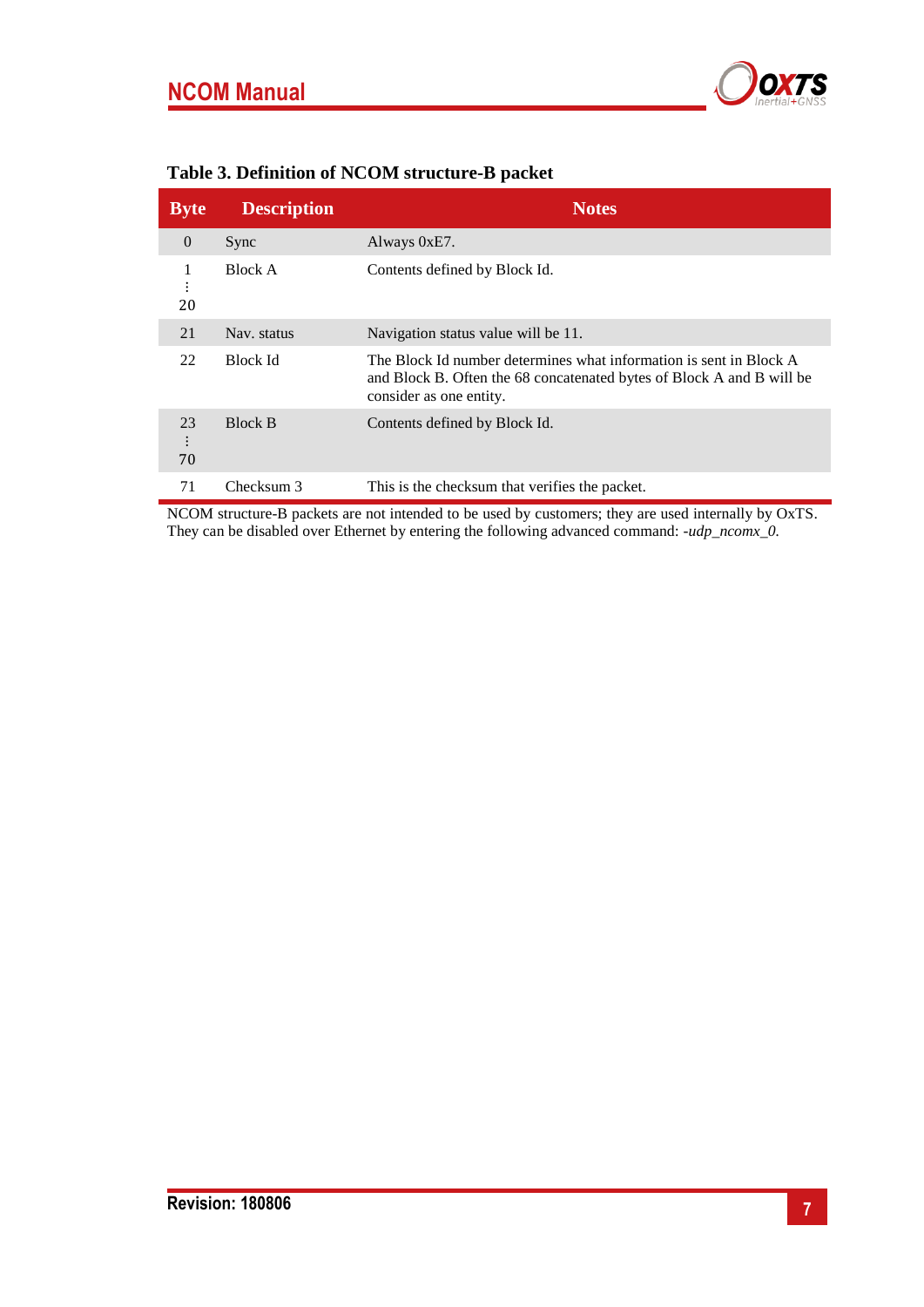

| <b>Byte</b> | <b>Description</b> | <b>Notes</b>                                                                                                                                                           |
|-------------|--------------------|------------------------------------------------------------------------------------------------------------------------------------------------------------------------|
| $\theta$    | Sync               | Always 0xE7.                                                                                                                                                           |
| 1<br>20     | Block A            | Contents defined by Block Id.                                                                                                                                          |
| 21          | Nav. status        | Navigation status value will be 11.                                                                                                                                    |
| 22          | Block Id           | The Block Id number determines what information is sent in Block A<br>and Block B. Often the 68 concatenated bytes of Block A and B will be<br>consider as one entity. |
| 23<br>70    | <b>Block B</b>     | Contents defined by Block Id.                                                                                                                                          |
| 71          | Checksum 3         | This is the checksum that verifies the packet.                                                                                                                         |

## <span id="page-6-0"></span>**Table 3. Definition of NCOM structure-B packet**

NCOM structure-B packets are not intended to be used by customers; they are used internally by OxTS. They can be disabled over Ethernet by entering the following advanced command: *-udp\_ncomx\_0.*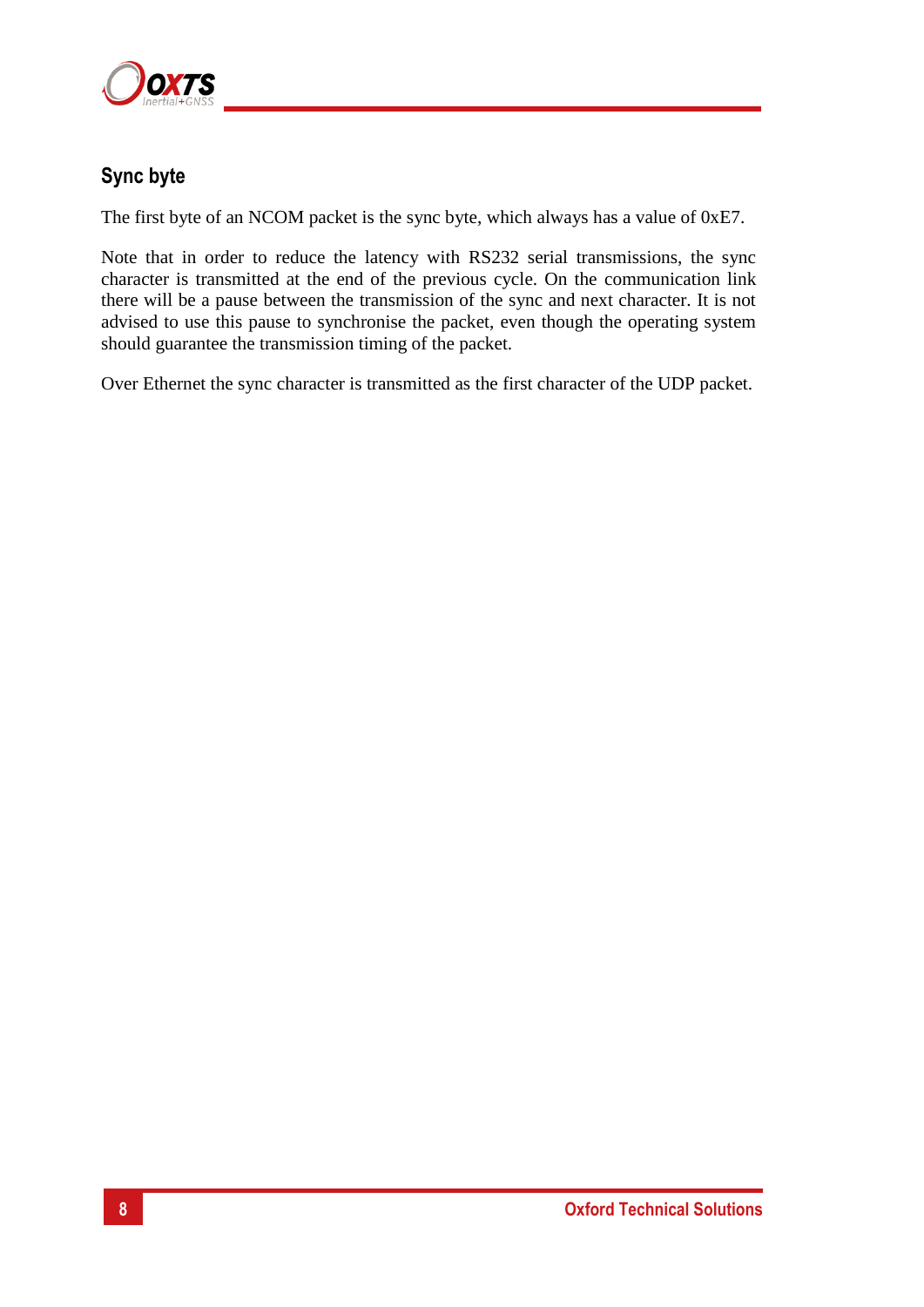

## **Sync byte**

The first byte of an NCOM packet is the sync byte, which always has a value of 0xE7.

Note that in order to reduce the latency with RS232 serial transmissions, the sync character is transmitted at the end of the previous cycle. On the communication link there will be a pause between the transmission of the sync and next character. It is not advised to use this pause to synchronise the packet, even though the operating system should guarantee the transmission timing of the packet.

Over Ethernet the sync character is transmitted as the first character of the UDP packet.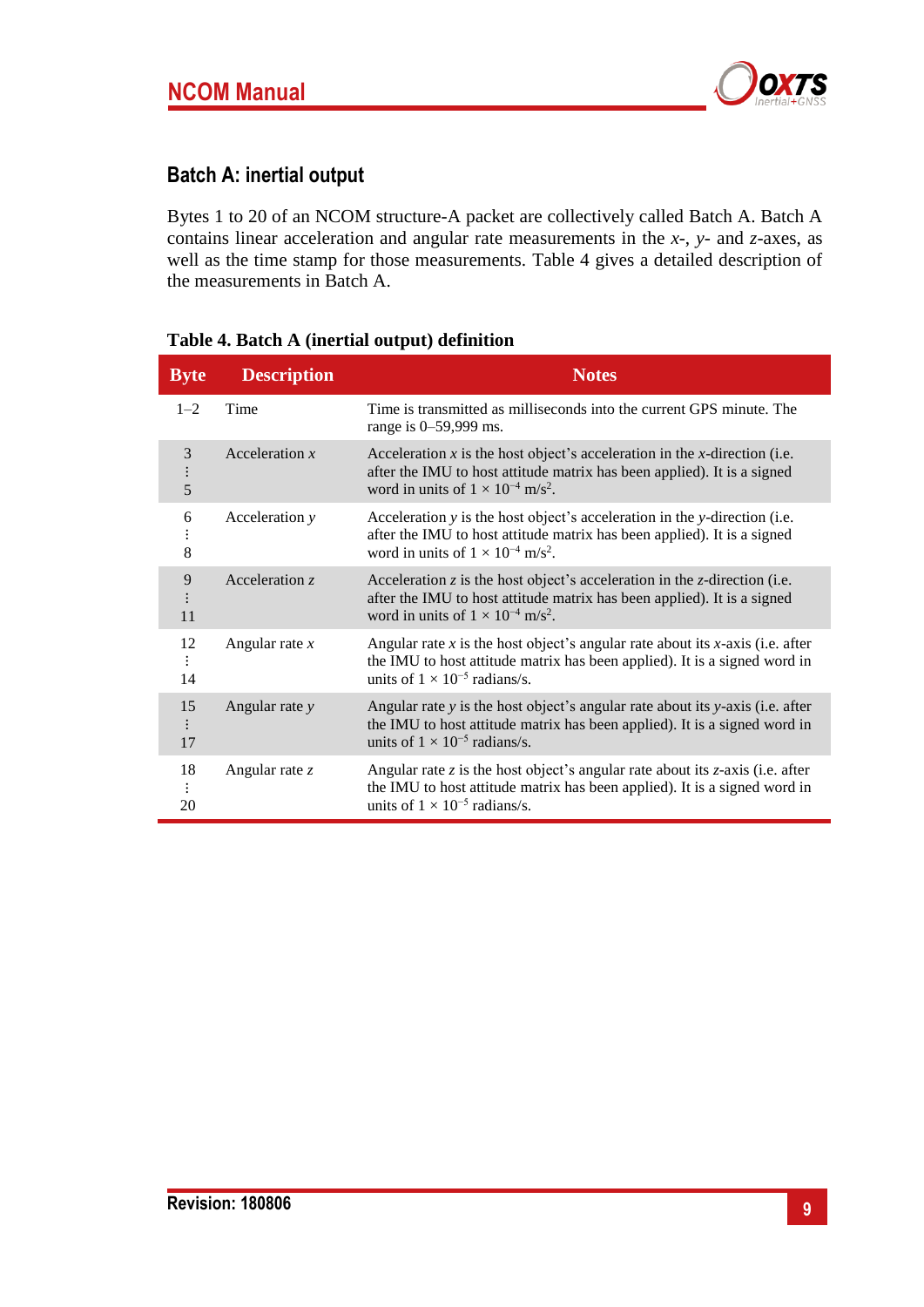

## <span id="page-8-0"></span>**Batch A: inertial output**

Bytes 1 to 20 of an NCOM structure-A packet are collectively called Batch A. Batch A contains linear acceleration and angular rate measurements in the *x*-, *y*- and *z*-axes, as well as the time stamp for those measurements. [Table 4](#page-8-1) gives a detailed description of the measurements in Batch A.

| <b>Byte</b>        | <b>Description</b> | <b>Notes</b>                                                                                                                                                                                                        |
|--------------------|--------------------|---------------------------------------------------------------------------------------------------------------------------------------------------------------------------------------------------------------------|
| $1 - 2$            | Time               | Time is transmitted as milliseconds into the current GPS minute. The<br>range is 0–59,999 ms.                                                                                                                       |
| 3<br>$\vdots$<br>5 | Acceleration $x$   | Acceleration $x$ is the host object's acceleration in the $x$ -direction (i.e.<br>after the IMU to host attitude matrix has been applied). It is a signed<br>word in units of $1 \times 10^{-4}$ m/s <sup>2</sup> . |
| 6<br>$\vdots$<br>8 | Acceleration y     | Acceleration y is the host object's acceleration in the y-direction (i.e.<br>after the IMU to host attitude matrix has been applied). It is a signed<br>word in units of $1 \times 10^{-4}$ m/s <sup>2</sup> .      |
| 9<br>11            | Acceleration z     | Acceleration $z$ is the host object's acceleration in the $z$ -direction (i.e.<br>after the IMU to host attitude matrix has been applied). It is a signed<br>word in units of $1 \times 10^{-4}$ m/s <sup>2</sup> . |
| 12<br>14           | Angular rate $x$   | Angular rate x is the host object's angular rate about its x-axis (i.e. after<br>the IMU to host attitude matrix has been applied). It is a signed word in<br>units of $1 \times 10^{-5}$ radians/s.                |
| 15<br>17           | Angular rate y     | Angular rate y is the host object's angular rate about its y-axis (i.e. after<br>the IMU to host attitude matrix has been applied). It is a signed word in<br>units of $1 \times 10^{-5}$ radians/s.                |
| 18<br>20           | Angular rate $z$   | Angular rate z is the host object's angular rate about its $z$ -axis (i.e. after<br>the IMU to host attitude matrix has been applied). It is a signed word in<br>units of $1 \times 10^{-5}$ radians/s.             |

#### <span id="page-8-1"></span>**Table 4. Batch A (inertial output) definition**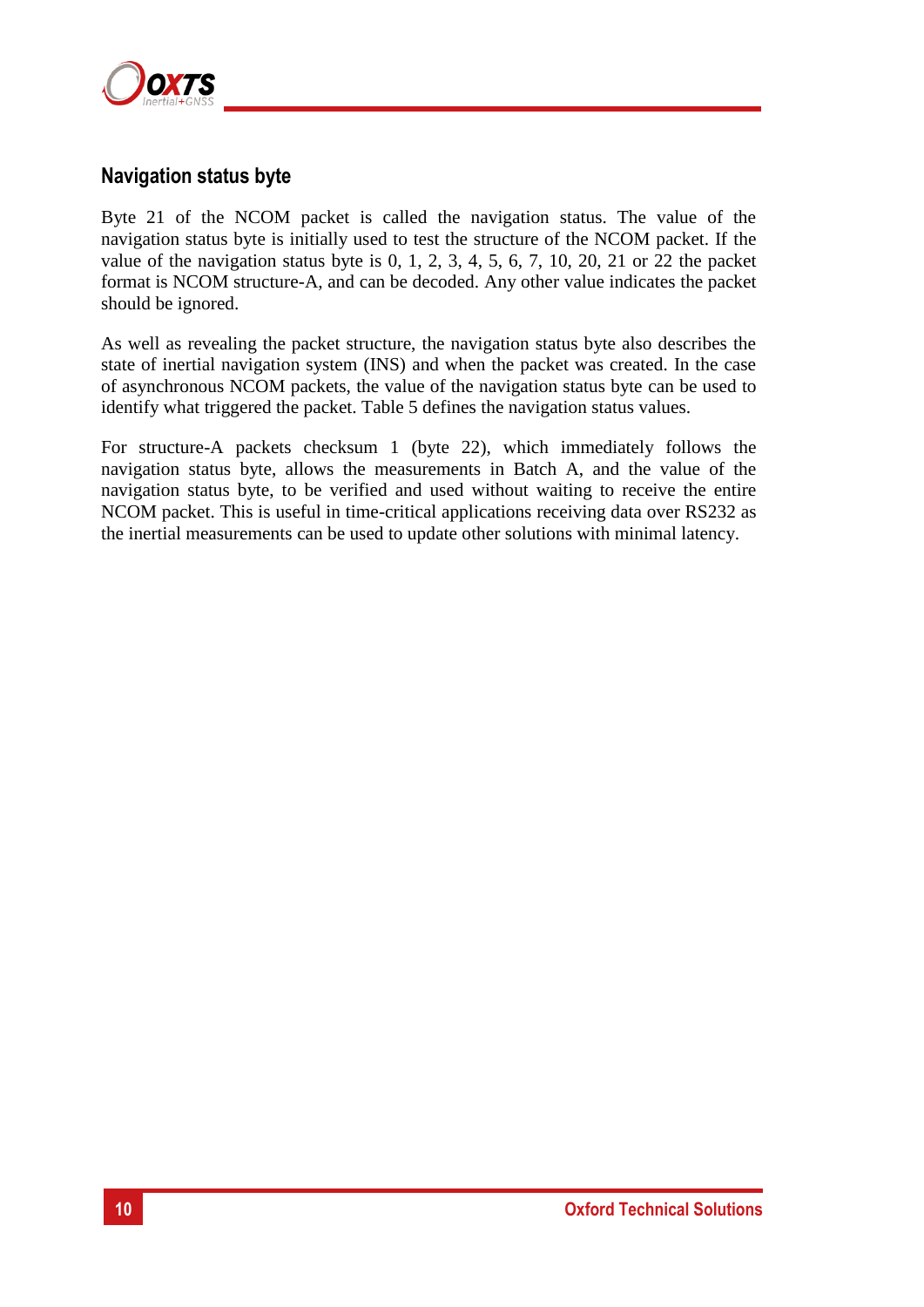

## <span id="page-9-0"></span>**Navigation status byte**

Byte 21 of the NCOM packet is called the navigation status. The value of the navigation status byte is initially used to test the structure of the NCOM packet. If the value of the navigation status byte is  $0, 1, 2, 3, 4, 5, 6, 7, 10, 20, 21$  or  $22$  the packet format is NCOM structure-A, and can be decoded. Any other value indicates the packet should be ignored.

As well as revealing the packet structure, the navigation status byte also describes the state of inertial navigation system (INS) and when the packet was created. In the case of asynchronous NCOM packets, the value of the navigation status byte can be used to identify what triggered the packet. [Table 5](#page-10-0) defines the navigation status values.

For structure-A packets checksum 1 (byte 22), which immediately follows the navigation status byte, allows the measurements in Batch A, and the value of the navigation status byte, to be verified and used without waiting to receive the entire NCOM packet. This is useful in time-critical applications receiving data over RS232 as the inertial measurements can be used to update other solutions with minimal latency.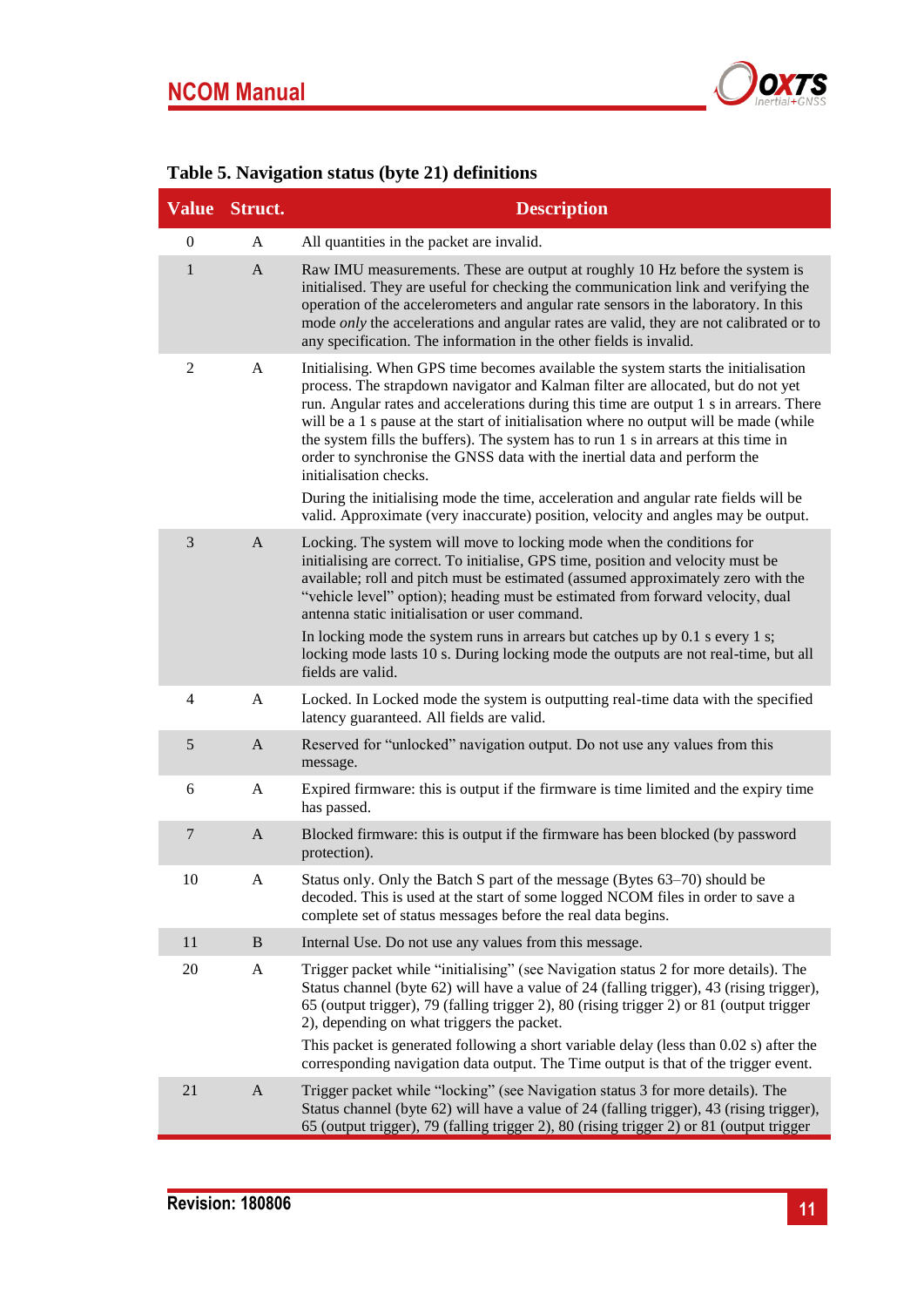

|                | Value Struct. | <b>Description</b>                                                                                                                                                                                                                                                                                                                                                                                                                                                                                                                                                                                                                              |
|----------------|---------------|-------------------------------------------------------------------------------------------------------------------------------------------------------------------------------------------------------------------------------------------------------------------------------------------------------------------------------------------------------------------------------------------------------------------------------------------------------------------------------------------------------------------------------------------------------------------------------------------------------------------------------------------------|
| $\theta$       | A             | All quantities in the packet are invalid.                                                                                                                                                                                                                                                                                                                                                                                                                                                                                                                                                                                                       |
| $\mathbf{1}$   | $\mathbf{A}$  | Raw IMU measurements. These are output at roughly 10 Hz before the system is<br>initialised. They are useful for checking the communication link and verifying the<br>operation of the accelerometers and angular rate sensors in the laboratory. In this<br>mode only the accelerations and angular rates are valid, they are not calibrated or to<br>any specification. The information in the other fields is invalid.                                                                                                                                                                                                                       |
| $\overline{2}$ | A             | Initialising. When GPS time becomes available the system starts the initialisation<br>process. The strapdown navigator and Kalman filter are allocated, but do not yet<br>run. Angular rates and accelerations during this time are output 1 s in arrears. There<br>will be a 1 s pause at the start of initialisation where no output will be made (while<br>the system fills the buffers). The system has to run 1 s in arrears at this time in<br>order to synchronise the GNSS data with the inertial data and perform the<br>initialisation checks.<br>During the initialising mode the time, acceleration and angular rate fields will be |
|                |               | valid. Approximate (very inaccurate) position, velocity and angles may be output.                                                                                                                                                                                                                                                                                                                                                                                                                                                                                                                                                               |
| 3              | $\mathsf{A}$  | Locking. The system will move to locking mode when the conditions for<br>initialising are correct. To initialise, GPS time, position and velocity must be<br>available; roll and pitch must be estimated (assumed approximately zero with the<br>"vehicle level" option); heading must be estimated from forward velocity, dual<br>antenna static initialisation or user command.                                                                                                                                                                                                                                                               |
|                |               | In locking mode the system runs in arrears but catches up by $0.1$ s every 1 s;<br>locking mode lasts 10 s. During locking mode the outputs are not real-time, but all<br>fields are valid.                                                                                                                                                                                                                                                                                                                                                                                                                                                     |
| $\overline{4}$ | $\mathbf{A}$  | Locked. In Locked mode the system is outputting real-time data with the specified<br>latency guaranteed. All fields are valid.                                                                                                                                                                                                                                                                                                                                                                                                                                                                                                                  |
| 5              | $\mathbf{A}$  | Reserved for "unlocked" navigation output. Do not use any values from this<br>message.                                                                                                                                                                                                                                                                                                                                                                                                                                                                                                                                                          |
| 6              | A             | Expired firmware: this is output if the firmware is time limited and the expiry time<br>has passed.                                                                                                                                                                                                                                                                                                                                                                                                                                                                                                                                             |
| $\overline{7}$ | $\mathbf{A}$  | Blocked firmware: this is output if the firmware has been blocked (by password<br>protection).                                                                                                                                                                                                                                                                                                                                                                                                                                                                                                                                                  |
| 10             | A             | Status only. Only the Batch S part of the message (Bytes 63-70) should be<br>decoded. This is used at the start of some logged NCOM files in order to save a<br>complete set of status messages before the real data begins.                                                                                                                                                                                                                                                                                                                                                                                                                    |
| 11             | B             | Internal Use. Do not use any values from this message.                                                                                                                                                                                                                                                                                                                                                                                                                                                                                                                                                                                          |
| 20             | $\mathbf{A}$  | Trigger packet while "initialising" (see Navigation status 2 for more details). The<br>Status channel (byte 62) will have a value of 24 (falling trigger), 43 (rising trigger),<br>65 (output trigger), 79 (falling trigger 2), 80 (rising trigger 2) or 81 (output trigger<br>2), depending on what triggers the packet.<br>This packet is generated following a short variable delay (less than 0.02 s) after the<br>corresponding navigation data output. The Time output is that of the trigger event.                                                                                                                                      |
| 21             | $\mathbf{A}$  | Trigger packet while "locking" (see Navigation status 3 for more details). The<br>Status channel (byte 62) will have a value of 24 (falling trigger), 43 (rising trigger),<br>65 (output trigger), 79 (falling trigger 2), 80 (rising trigger 2) or 81 (output trigger                                                                                                                                                                                                                                                                                                                                                                          |

## <span id="page-10-0"></span>**Table 5. Navigation status (byte 21) definitions**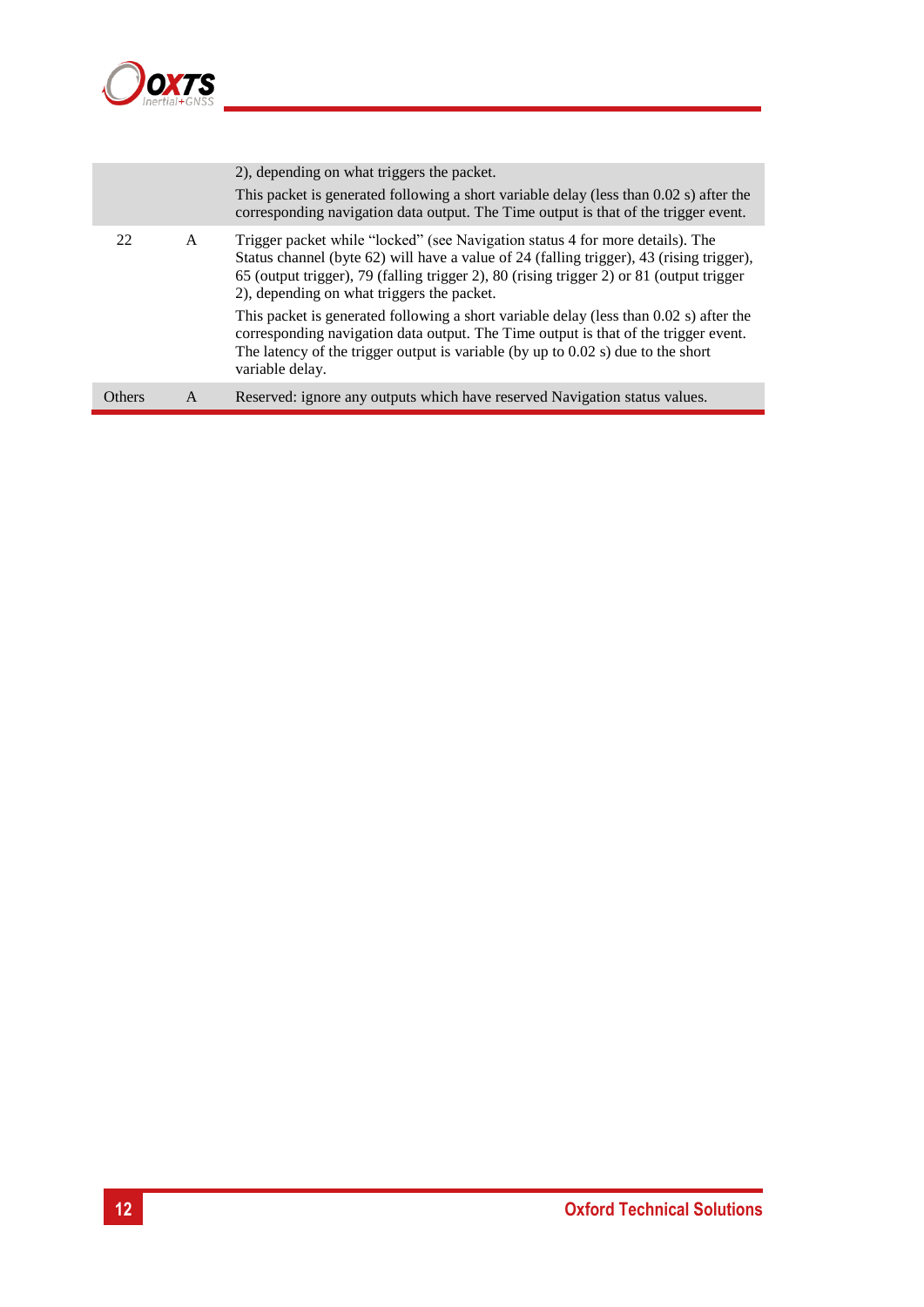

|               |   | 2), depending on what triggers the packet.<br>This packet is generated following a short variable delay (less than 0.02 s) after the<br>corresponding navigation data output. The Time output is that of the trigger event.                                                                                         |
|---------------|---|---------------------------------------------------------------------------------------------------------------------------------------------------------------------------------------------------------------------------------------------------------------------------------------------------------------------|
| 22            | A | Trigger packet while "locked" (see Navigation status 4 for more details). The<br>Status channel (byte 62) will have a value of 24 (falling trigger), 43 (rising trigger),<br>65 (output trigger), 79 (falling trigger 2), 80 (rising trigger 2) or 81 (output trigger<br>2), depending on what triggers the packet. |
|               |   | This packet is generated following a short variable delay (less than 0.02 s) after the<br>corresponding navigation data output. The Time output is that of the trigger event.<br>The latency of the trigger output is variable (by up to $0.02$ s) due to the short<br>variable delay.                              |
| <b>Others</b> | A | Reserved: ignore any outputs which have reserved Navigation status values.                                                                                                                                                                                                                                          |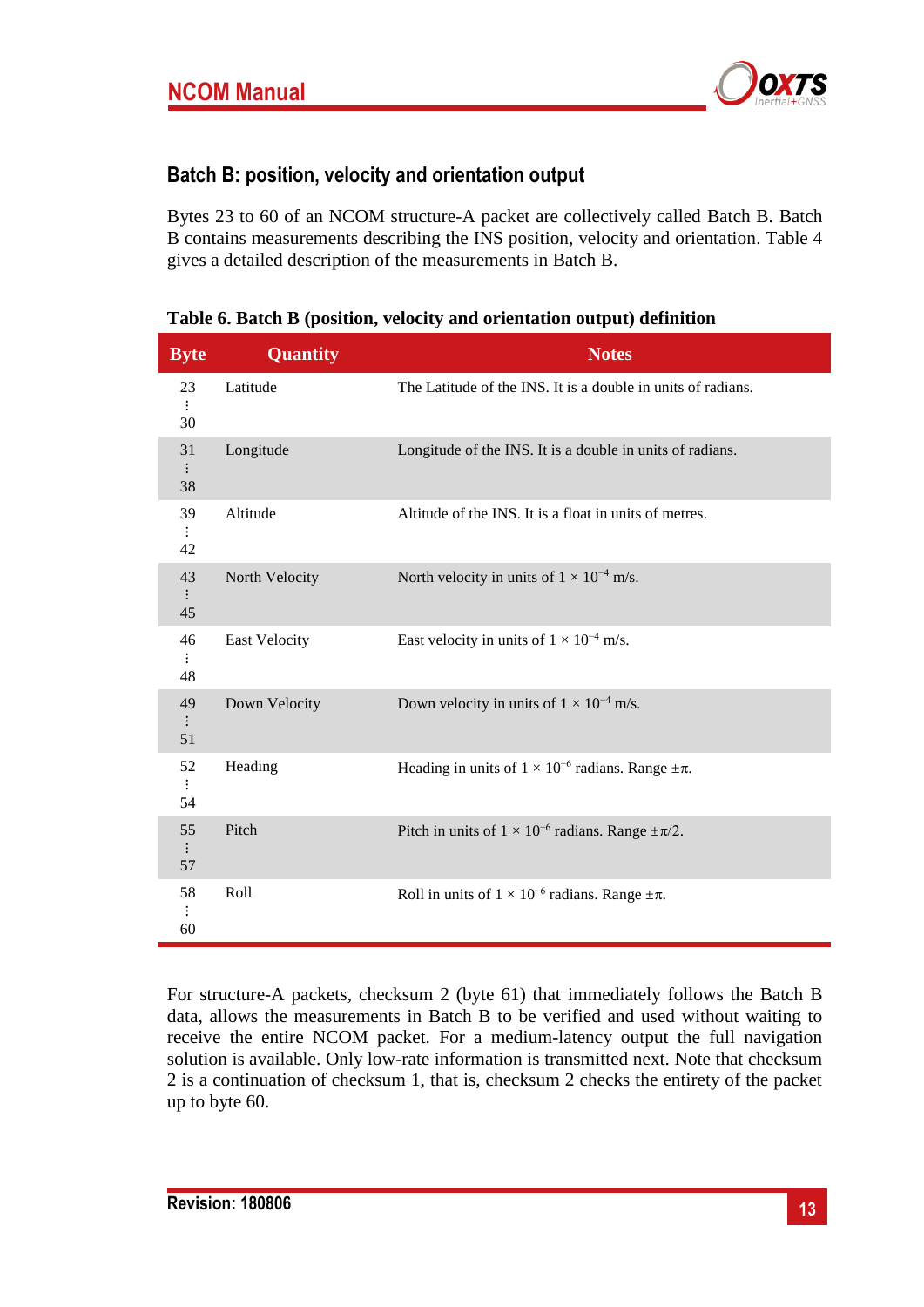

## **Batch B: position, velocity and orientation output**

Bytes 23 to 60 of an NCOM structure-A packet are collectively called Batch B. Batch B contains measurements describing the INS position, velocity and orientation. [Table 4](#page-8-1) gives a detailed description of the measurements in Batch B.

| <b>Byte</b>                | <b>Quantity</b>      | <b>Notes</b>                                                      |
|----------------------------|----------------------|-------------------------------------------------------------------|
| 23<br>$\vdots$<br>30       | Latitude             | The Latitude of the INS. It is a double in units of radians.      |
| 31<br>$\vdots$<br>38       | Longitude            | Longitude of the INS. It is a double in units of radians.         |
| 39<br>$\ddot{\cdot}$<br>42 | Altitude             | Altitude of the INS. It is a float in units of metres.            |
| 43<br>45                   | North Velocity       | North velocity in units of $1 \times 10^{-4}$ m/s.                |
| 46<br>48                   | <b>East Velocity</b> | East velocity in units of $1\times10^{-4}$ m/s.                   |
| 49<br>51                   | Down Velocity        | Down velocity in units of $1 \times 10^{-4}$ m/s.                 |
| 52<br>54                   | Heading              | Heading in units of $1 \times 10^{-6}$ radians. Range $\pm \pi$ . |
| 55<br>57                   | Pitch                | Pitch in units of $1 \times 10^{-6}$ radians. Range $\pm \pi/2$ . |
| 58<br>60                   | Roll                 | Roll in units of $1 \times 10^{-6}$ radians. Range $\pm \pi$ .    |

## <span id="page-12-0"></span>**Table 6. Batch B (position, velocity and orientation output) definition**

For structure-A packets, checksum 2 (byte 61) that immediately follows the Batch B data, allows the measurements in Batch B to be verified and used without waiting to receive the entire NCOM packet. For a medium-latency output the full navigation solution is available. Only low-rate information is transmitted next. Note that checksum 2 is a continuation of checksum 1, that is, checksum 2 checks the entirety of the packet up to byte 60.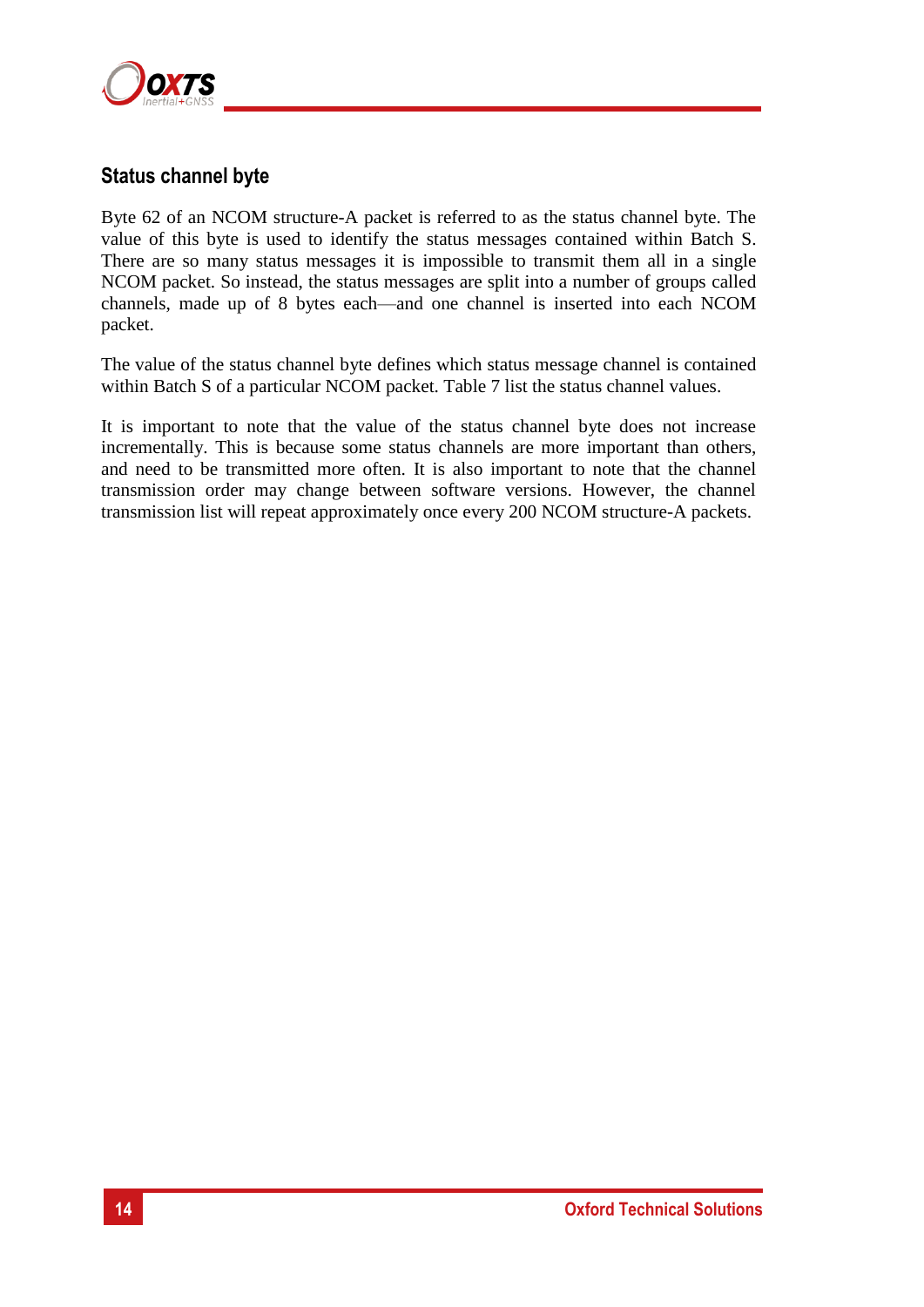

## **Status channel byte**

Byte 62 of an NCOM structure-A packet is referred to as the status channel byte. The value of this byte is used to identify the status messages contained within Batch S. There are so many status messages it is impossible to transmit them all in a single NCOM packet. So instead, the status messages are split into a number of groups called channels, made up of 8 bytes each—and one channel is inserted into each NCOM packet.

The value of the status channel byte defines which status message channel is contained within Batch S of a particular NCOM packet. [Table 7](#page-14-0) list the status channel values.

It is important to note that the value of the status channel byte does not increase incrementally. This is because some status channels are more important than others, and need to be transmitted more often. It is also important to note that the channel transmission order may change between software versions. However, the channel transmission list will repeat approximately once every 200 NCOM structure-A packets.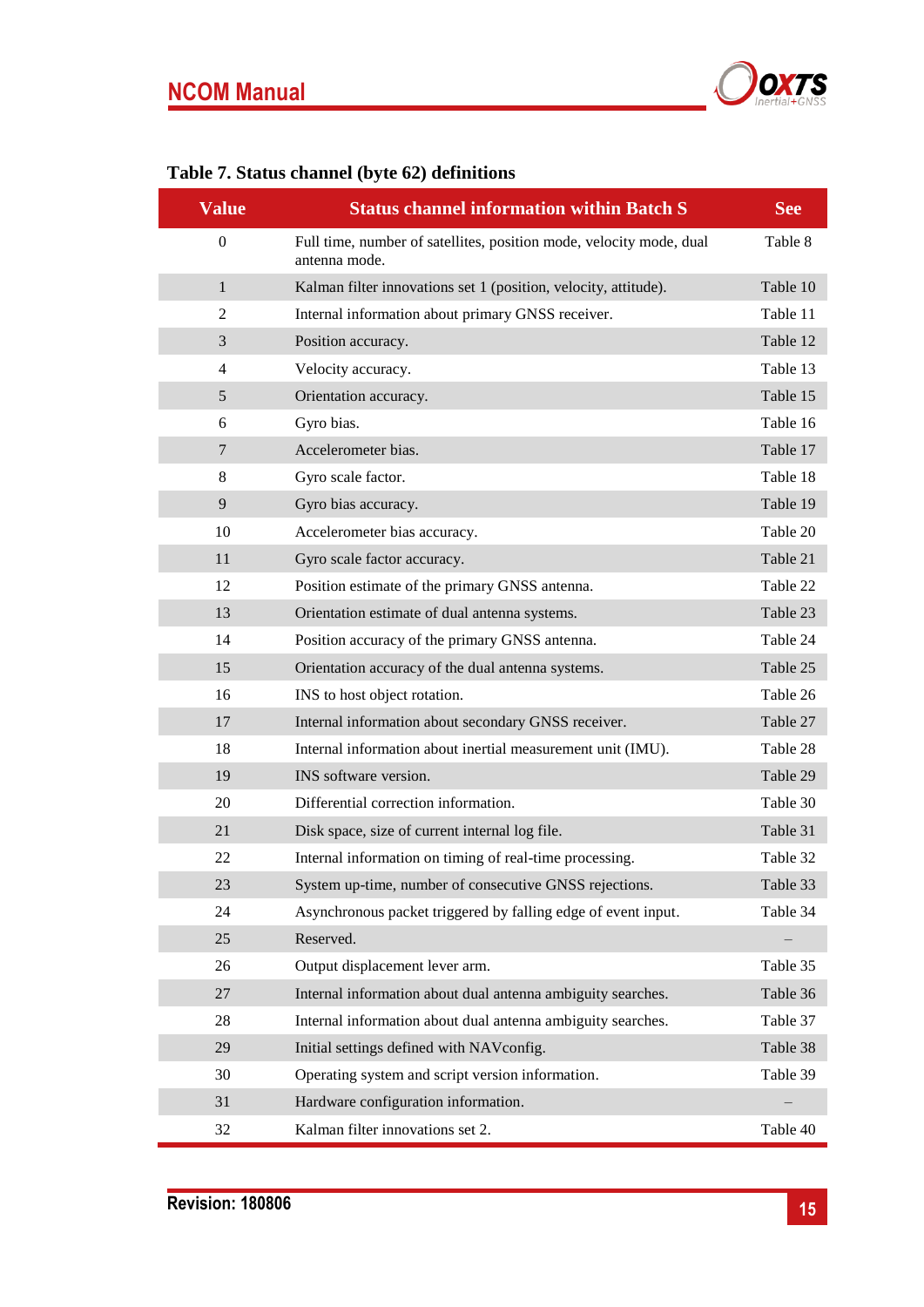

| <b>Value</b>   | <b>Status channel information within Batch S</b>                                     | <b>See</b> |
|----------------|--------------------------------------------------------------------------------------|------------|
| $\overline{0}$ | Full time, number of satellites, position mode, velocity mode, dual<br>antenna mode. | Table 8    |
| $\mathbf{1}$   | Kalman filter innovations set 1 (position, velocity, attitude).                      | Table 10   |
| 2              | Internal information about primary GNSS receiver.                                    | Table 11   |
| 3              | Position accuracy.                                                                   | Table 12   |
| $\overline{4}$ | Velocity accuracy.                                                                   | Table 13   |
| 5              | Orientation accuracy.                                                                | Table 15   |
| 6              | Gyro bias.                                                                           | Table 16   |
| $\overline{7}$ | Accelerometer bias.                                                                  | Table 17   |
| 8              | Gyro scale factor.                                                                   | Table 18   |
| 9              | Gyro bias accuracy.                                                                  | Table 19   |
| 10             | Accelerometer bias accuracy.                                                         | Table 20   |
| 11             | Gyro scale factor accuracy.                                                          | Table 21   |
| 12             | Position estimate of the primary GNSS antenna.                                       | Table 22   |
| 13             | Orientation estimate of dual antenna systems.                                        | Table 23   |
| 14             | Position accuracy of the primary GNSS antenna.                                       | Table 24   |
| 15             | Orientation accuracy of the dual antenna systems.                                    | Table 25   |
| 16             | INS to host object rotation.                                                         | Table 26   |
| 17             | Internal information about secondary GNSS receiver.                                  | Table 27   |
| 18             | Internal information about inertial measurement unit (IMU).                          | Table 28   |
| 19             | INS software version.                                                                | Table 29   |
| 20             | Differential correction information.                                                 | Table 30   |
| 21             | Disk space, size of current internal log file.                                       | Table 31   |
| 22             | Internal information on timing of real-time processing.                              | Table 32   |
| 23             | System up-time, number of consecutive GNSS rejections.                               | Table 33   |
| 24             | Asynchronous packet triggered by falling edge of event input.                        | Table 34   |
| 25             | Reserved.                                                                            |            |
| 26             | Output displacement lever arm.                                                       | Table 35   |
| 27             | Internal information about dual antenna ambiguity searches.                          | Table 36   |
| 28             | Internal information about dual antenna ambiguity searches.                          | Table 37   |
| 29             | Initial settings defined with NAVconfig.                                             | Table 38   |
| 30             | Operating system and script version information.                                     | Table 39   |
| 31             | Hardware configuration information.                                                  |            |
| 32             | Kalman filter innovations set 2.                                                     | Table 40   |

# <span id="page-14-0"></span>**Table 7. Status channel (byte 62) definitions**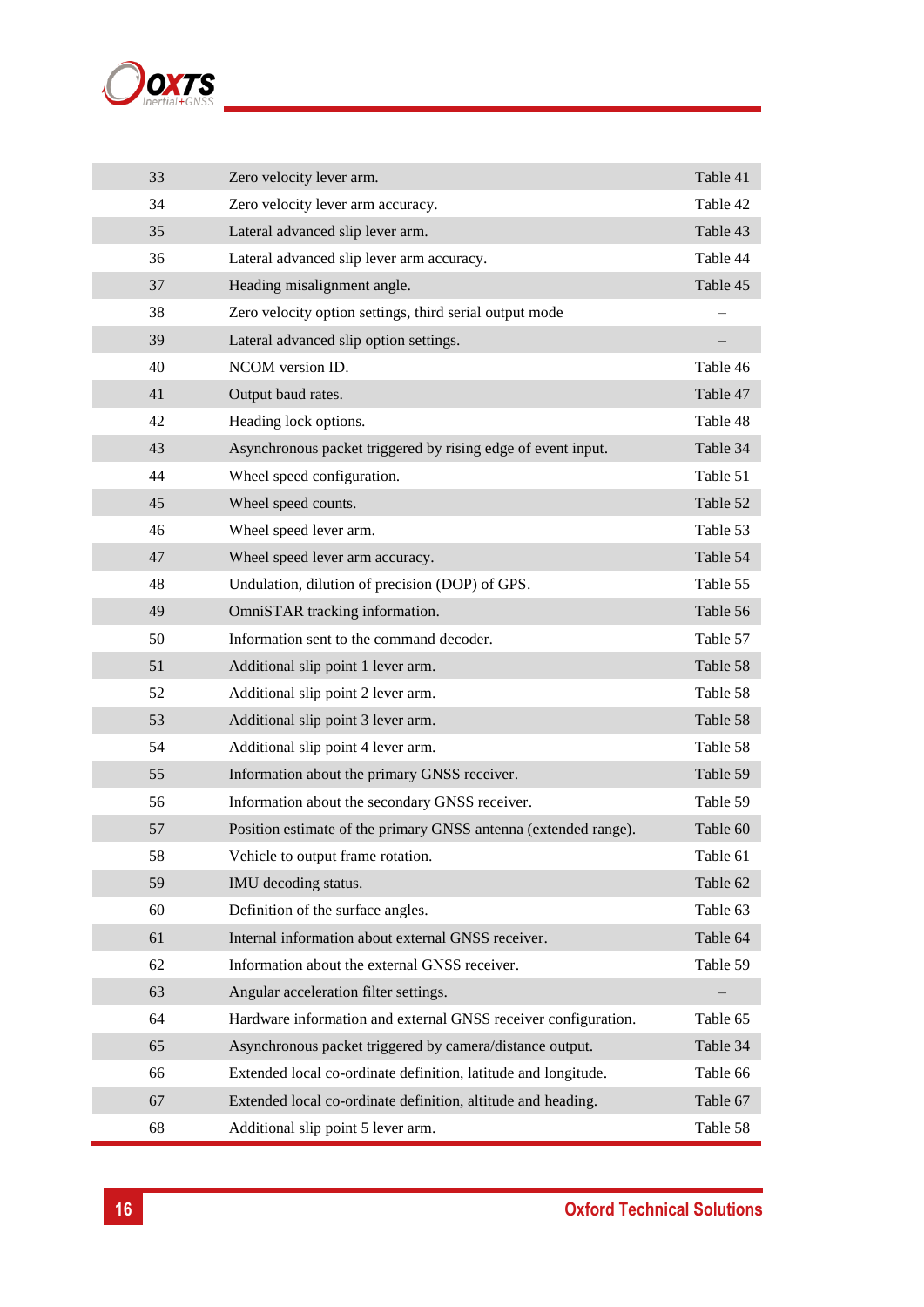

| 33 | Zero velocity lever arm.                                        | Table 41 |
|----|-----------------------------------------------------------------|----------|
| 34 | Zero velocity lever arm accuracy.                               | Table 42 |
| 35 | Lateral advanced slip lever arm.                                | Table 43 |
| 36 | Lateral advanced slip lever arm accuracy.                       | Table 44 |
| 37 | Heading misalignment angle.                                     | Table 45 |
| 38 | Zero velocity option settings, third serial output mode         |          |
| 39 | Lateral advanced slip option settings.                          |          |
| 40 | NCOM version ID.                                                | Table 46 |
| 41 | Output baud rates.                                              | Table 47 |
| 42 | Heading lock options.                                           | Table 48 |
| 43 | Asynchronous packet triggered by rising edge of event input.    | Table 34 |
| 44 | Wheel speed configuration.                                      | Table 51 |
| 45 | Wheel speed counts.                                             | Table 52 |
| 46 | Wheel speed lever arm.                                          | Table 53 |
| 47 | Wheel speed lever arm accuracy.                                 | Table 54 |
| 48 | Undulation, dilution of precision (DOP) of GPS.                 | Table 55 |
| 49 | OmniSTAR tracking information.                                  | Table 56 |
| 50 | Information sent to the command decoder.                        | Table 57 |
| 51 | Additional slip point 1 lever arm.                              | Table 58 |
| 52 | Additional slip point 2 lever arm.                              | Table 58 |
| 53 | Additional slip point 3 lever arm.                              | Table 58 |
| 54 | Additional slip point 4 lever arm.                              | Table 58 |
| 55 | Information about the primary GNSS receiver.                    | Table 59 |
| 56 | Information about the secondary GNSS receiver.                  | Table 59 |
| 57 | Position estimate of the primary GNSS antenna (extended range). | Table 60 |
| 58 | Vehicle to output frame rotation.                               | Table 61 |
| 59 | IMU decoding status.                                            | Table 62 |
| 60 | Definition of the surface angles.                               | Table 63 |
| 61 | Internal information about external GNSS receiver.              | Table 64 |
| 62 | Information about the external GNSS receiver.                   | Table 59 |
| 63 | Angular acceleration filter settings.                           |          |
| 64 | Hardware information and external GNSS receiver configuration.  | Table 65 |
| 65 | Asynchronous packet triggered by camera/distance output.        | Table 34 |
| 66 | Extended local co-ordinate definition, latitude and longitude.  | Table 66 |
| 67 | Extended local co-ordinate definition, altitude and heading.    | Table 67 |
| 68 | Additional slip point 5 lever arm.                              | Table 58 |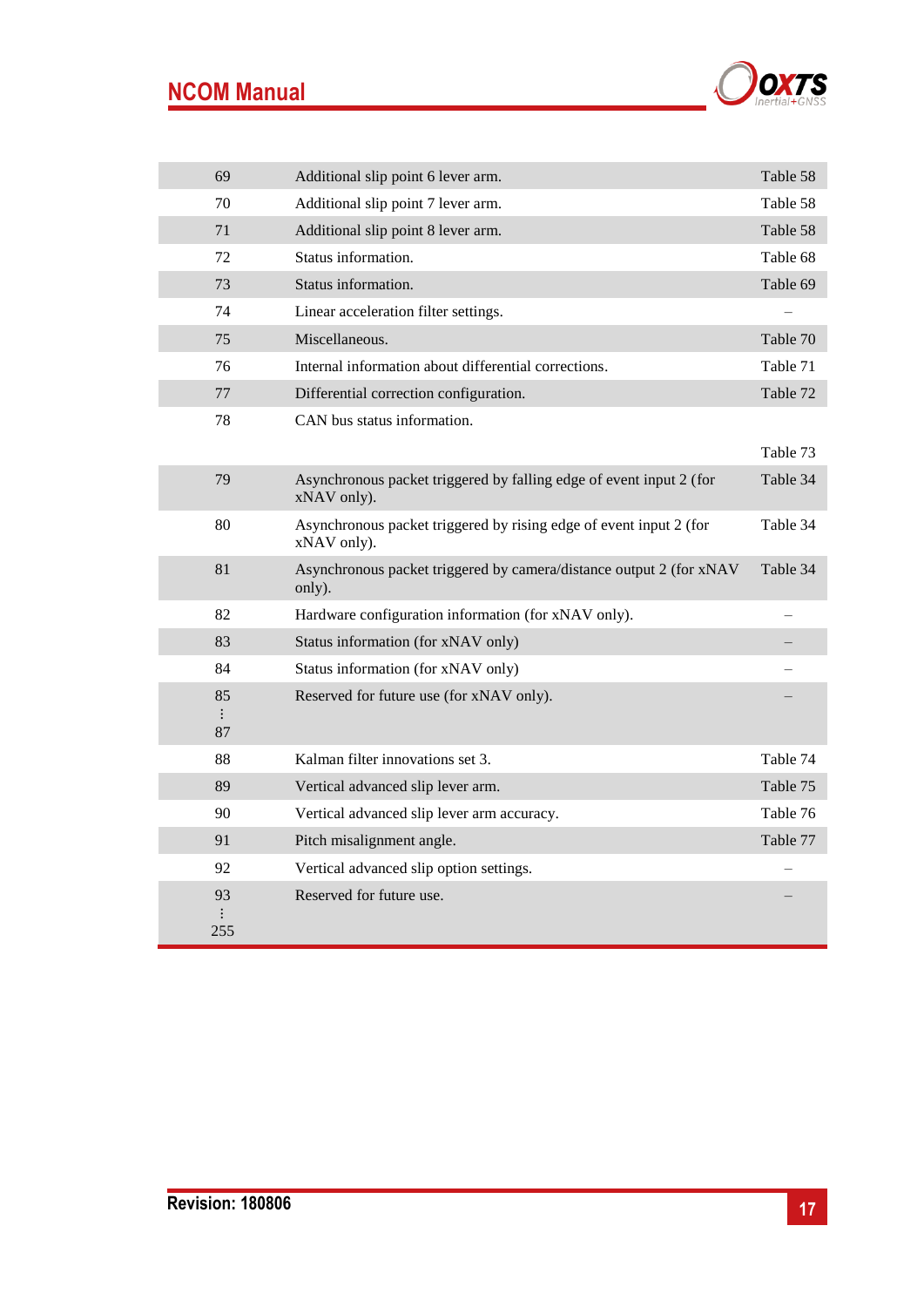# **NCOM Manual**



| 69                   | Additional slip point 6 lever arm.                                                 | Table 58 |
|----------------------|------------------------------------------------------------------------------------|----------|
| 70                   | Additional slip point 7 lever arm.                                                 | Table 58 |
| 71                   | Additional slip point 8 lever arm.                                                 | Table 58 |
| 72                   | Status information.                                                                | Table 68 |
| 73                   | Status information.                                                                | Table 69 |
| 74                   | Linear acceleration filter settings.                                               |          |
| 75                   | Miscellaneous.                                                                     | Table 70 |
| 76                   | Internal information about differential corrections.                               | Table 71 |
| 77                   | Differential correction configuration.                                             | Table 72 |
| 78                   | CAN bus status information.                                                        |          |
|                      |                                                                                    | Table 73 |
| 79                   | Asynchronous packet triggered by falling edge of event input 2 (for<br>xNAV only). | Table 34 |
| 80                   | Asynchronous packet triggered by rising edge of event input 2 (for<br>xNAV only).  | Table 34 |
| 81                   | Asynchronous packet triggered by camera/distance output 2 (for xNAV<br>only).      | Table 34 |
| 82                   | Hardware configuration information (for xNAV only).                                |          |
| 83                   | Status information (for xNAV only)                                                 |          |
| 84                   | Status information (for xNAV only)                                                 |          |
| 85<br>$\vdots$<br>87 | Reserved for future use (for xNAV only).                                           |          |
| 88                   | Kalman filter innovations set 3.                                                   | Table 74 |
| 89                   | Vertical advanced slip lever arm.                                                  | Table 75 |
| 90                   | Vertical advanced slip lever arm accuracy.                                         | Table 76 |
| 91                   | Pitch misalignment angle.                                                          | Table 77 |
| 92                   | Vertical advanced slip option settings.                                            |          |
| 93<br>255            | Reserved for future use.                                                           |          |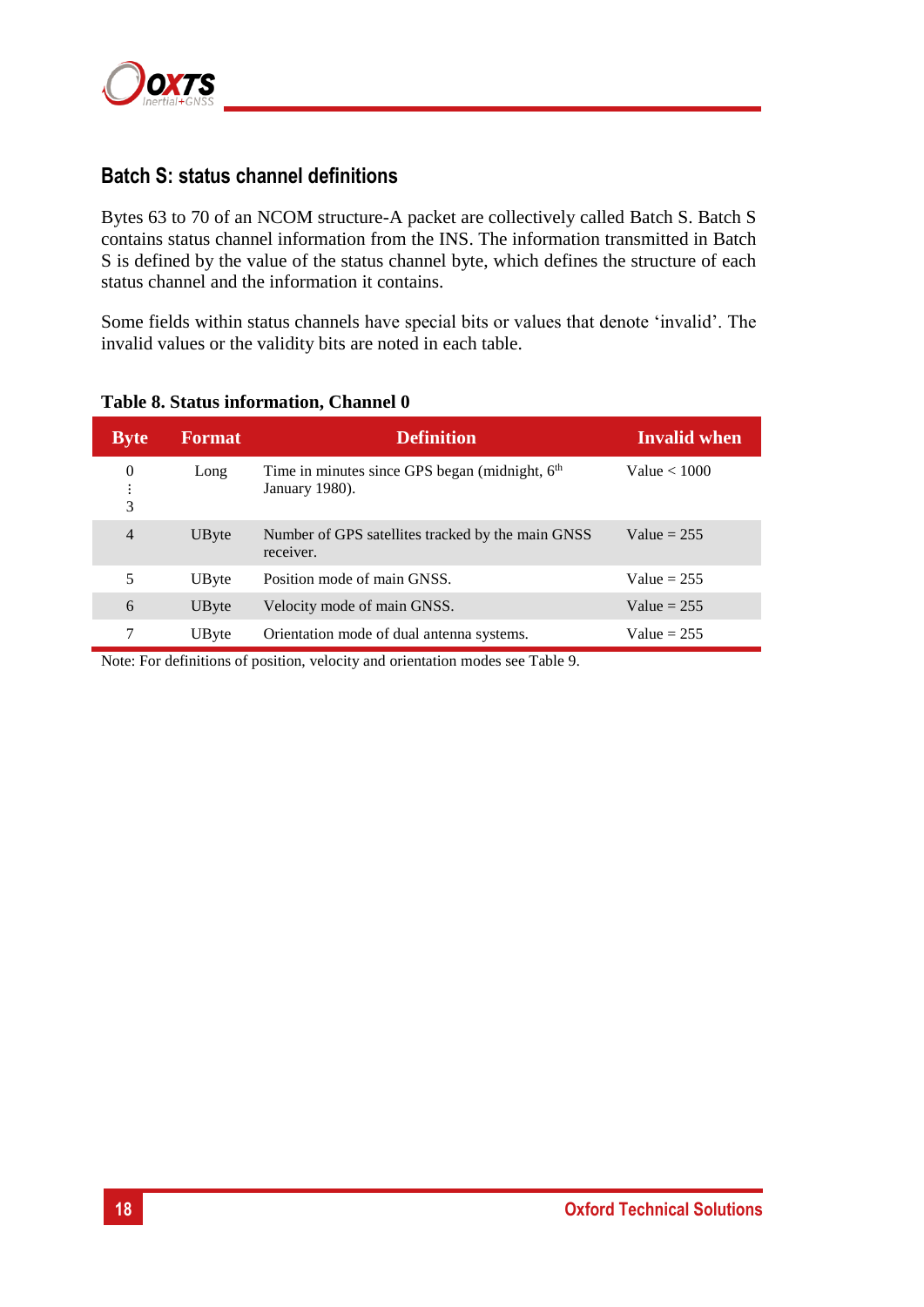

## **Batch S: status channel definitions**

Bytes 63 to 70 of an NCOM structure-A packet are collectively called Batch S. Batch S contains status channel information from the INS. The information transmitted in Batch S is defined by the value of the status channel byte, which defines the structure of each status channel and the information it contains.

Some fields within status channels have special bits or values that denote 'invalid'. The invalid values or the validity bits are noted in each table.

| <b>Byte</b>         | <b>Format</b> | <b>Definition</b>                                                              | <b>Invalid when</b> |
|---------------------|---------------|--------------------------------------------------------------------------------|---------------------|
| $\overline{0}$<br>3 | Long          | Time in minutes since GPS began (midnight, 6 <sup>th</sup> )<br>January 1980). | Value $< 1000$      |
| $\overline{4}$      | UByte         | Number of GPS satellites tracked by the main GNSS<br>receiver.                 | Value $= 255$       |
| 5                   | UByte         | Position mode of main GNSS.                                                    | Value $= 255$       |
| 6                   | UByte         | Velocity mode of main GNSS.                                                    | Value = $255$       |
|                     | UByte         | Orientation mode of dual antenna systems.                                      | Value = $255$       |

#### <span id="page-17-0"></span>**Table 8. Status information, Channel 0**

Note: For definitions of position, velocity and orientation modes see [Table 9.](#page-18-0)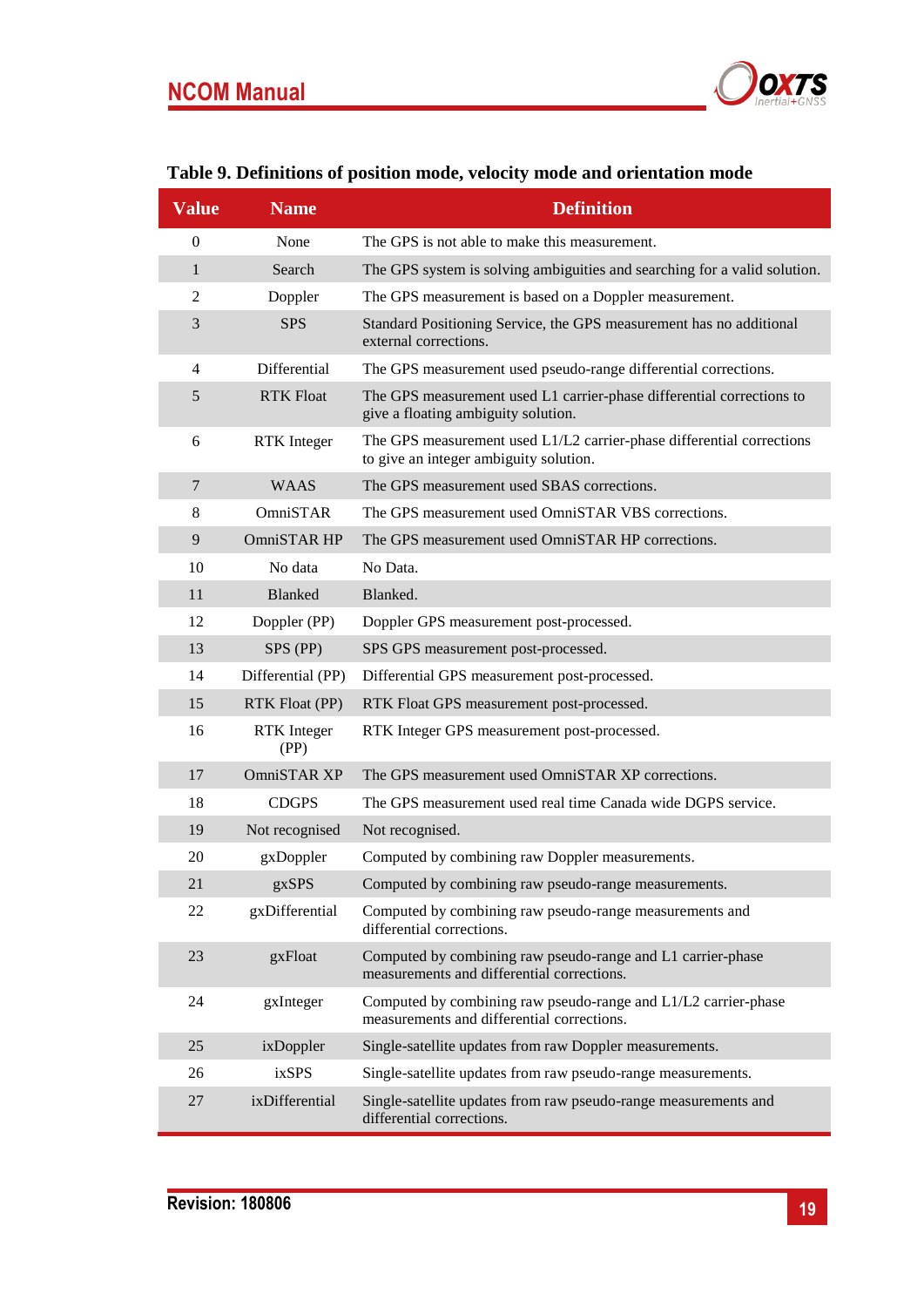

## <span id="page-18-0"></span>**Table 9. Definitions of position mode, velocity mode and orientation mode**

| <b>Value</b>     | <b>Name</b>                | <b>Definition</b>                                                                                               |
|------------------|----------------------------|-----------------------------------------------------------------------------------------------------------------|
| $\boldsymbol{0}$ | None                       | The GPS is not able to make this measurement.                                                                   |
| $\mathbf{1}$     | Search                     | The GPS system is solving ambiguities and searching for a valid solution.                                       |
| 2                | Doppler                    | The GPS measurement is based on a Doppler measurement.                                                          |
| 3                | <b>SPS</b>                 | Standard Positioning Service, the GPS measurement has no additional<br>external corrections.                    |
| $\overline{4}$   | Differential               | The GPS measurement used pseudo-range differential corrections.                                                 |
| 5                | <b>RTK Float</b>           | The GPS measurement used L1 carrier-phase differential corrections to<br>give a floating ambiguity solution.    |
| 6                | <b>RTK</b> Integer         | The GPS measurement used L1/L2 carrier-phase differential corrections<br>to give an integer ambiguity solution. |
| $\overline{7}$   | <b>WAAS</b>                | The GPS measurement used SBAS corrections.                                                                      |
| 8                | OmniSTAR                   | The GPS measurement used OmniSTAR VBS corrections.                                                              |
| 9                | OmniSTAR HP                | The GPS measurement used OmniSTAR HP corrections.                                                               |
| 10               | No data                    | No Data.                                                                                                        |
| 11               | <b>Blanked</b>             | Blanked.                                                                                                        |
| 12               | Doppler (PP)               | Doppler GPS measurement post-processed.                                                                         |
| 13               | SPS (PP)                   | SPS GPS measurement post-processed.                                                                             |
| 14               | Differential (PP)          | Differential GPS measurement post-processed.                                                                    |
| 15               | <b>RTK Float (PP)</b>      | RTK Float GPS measurement post-processed.                                                                       |
| 16               | <b>RTK</b> Integer<br>(PP) | RTK Integer GPS measurement post-processed.                                                                     |
| 17               | OmniSTAR XP                | The GPS measurement used OmniSTAR XP corrections.                                                               |
| 18               | <b>CDGPS</b>               | The GPS measurement used real time Canada wide DGPS service.                                                    |
| 19               | Not recognised             | Not recognised.                                                                                                 |
| 20               | gxDoppler                  | Computed by combining raw Doppler measurements.                                                                 |
| 21               | gxSPS                      | Computed by combining raw pseudo-range measurements.                                                            |
| 22               | gxDifferential             | Computed by combining raw pseudo-range measurements and<br>differential corrections.                            |
| 23               | gxFloat                    | Computed by combining raw pseudo-range and L1 carrier-phase<br>measurements and differential corrections.       |
| 24               | gxInteger                  | Computed by combining raw pseudo-range and L1/L2 carrier-phase<br>measurements and differential corrections.    |
| 25               | ixDoppler                  | Single-satellite updates from raw Doppler measurements.                                                         |
| 26               | ixSPS                      | Single-satellite updates from raw pseudo-range measurements.                                                    |
| 27               | ixDifferential             | Single-satellite updates from raw pseudo-range measurements and<br>differential corrections.                    |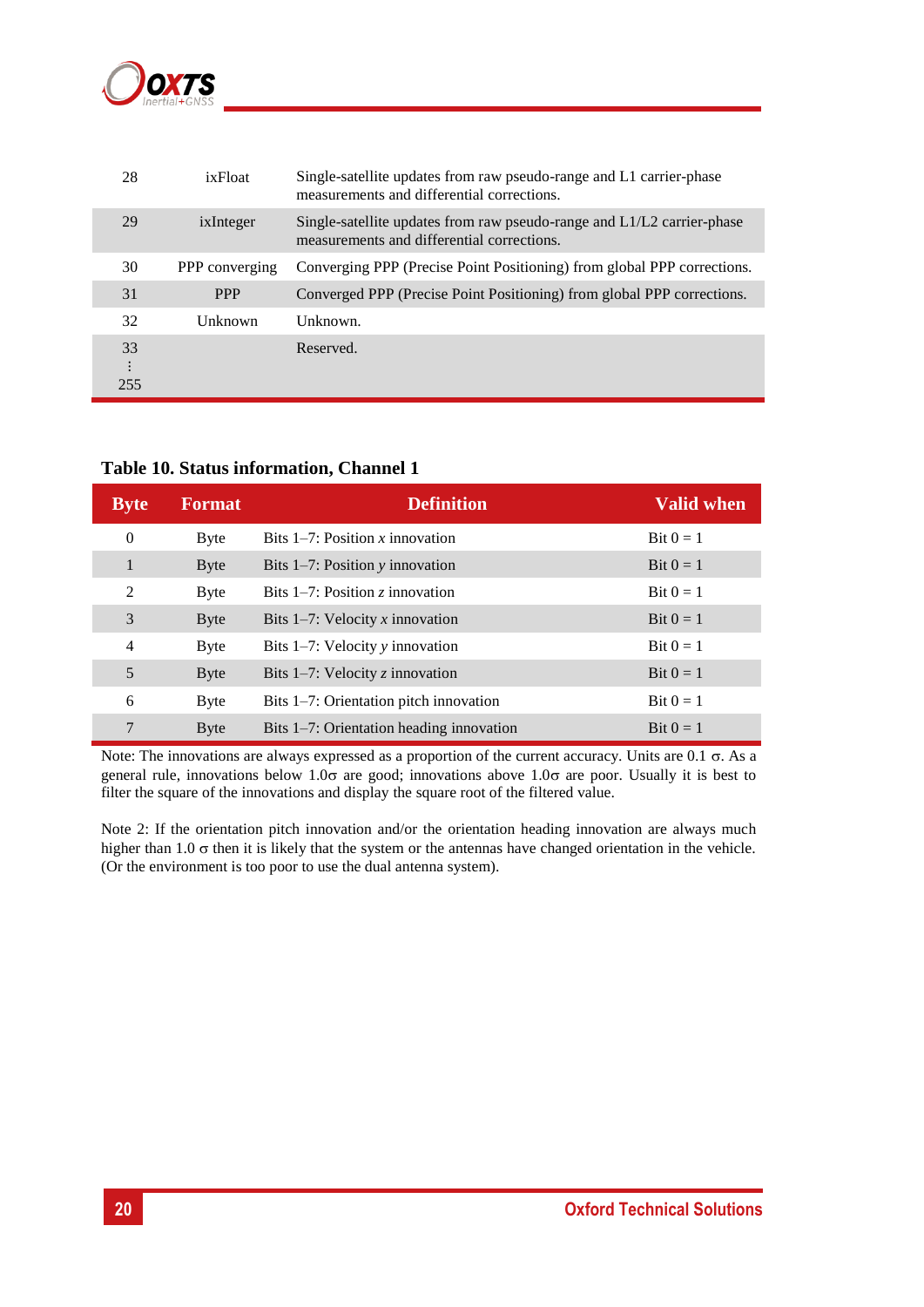

| 28                    | ixFloat        | Single-satellite updates from raw pseudo-range and L1 carrier-phase<br>measurements and differential corrections.    |
|-----------------------|----------------|----------------------------------------------------------------------------------------------------------------------|
| 29                    | ixInteger      | Single-satellite updates from raw pseudo-range and L1/L2 carrier-phase<br>measurements and differential corrections. |
| 30                    | PPP converging | Converging PPP (Precise Point Positioning) from global PPP corrections.                                              |
| 31                    | <b>PPP</b>     | Converged PPP (Precise Point Positioning) from global PPP corrections.                                               |
| 32                    | Unknown        | Unknown.                                                                                                             |
| 33<br>$\vdots$<br>255 |                | Reserved.                                                                                                            |

#### <span id="page-19-0"></span>**Table 10. Status information, Channel 1**

| <b>Byte</b>    | <b>Format</b> | <b>Definition</b>                        | <b>Valid when</b>   |
|----------------|---------------|------------------------------------------|---------------------|
| $\theta$       | <b>Byte</b>   | Bits $1-7$ : Position x innovation       | Bit $0 = 1$         |
| 1              | <b>Byte</b>   | Bits $1-7$ : Position y innovation       | $\text{Bit } 0 = 1$ |
| 2              | Byte          | Bits $1-7$ : Position z innovation       | $\text{Bit } 0 = 1$ |
| 3              | <b>Byte</b>   | Bits $1-7$ : Velocity x innovation       | Bit $0 = 1$         |
| $\overline{4}$ | Byte          | Bits $1-7$ : Velocity y innovation       | Bit $0 = 1$         |
| 5              | <b>Byte</b>   | Bits $1-7$ : Velocity z innovation       | Bit $0=1$           |
| 6              | <b>Byte</b>   | Bits 1–7: Orientation pitch innovation   | Bit $0 = 1$         |
| 7              | <b>Byte</b>   | Bits 1-7: Orientation heading innovation | Bit $0=1$           |

Note: The innovations are always expressed as a proportion of the current accuracy. Units are  $0.1 \sigma$ . As a general rule, innovations below 1.0 $\sigma$  are good; innovations above 1.0 $\sigma$  are poor. Usually it is best to filter the square of the innovations and display the square root of the filtered value.

Note 2: If the orientation pitch innovation and/or the orientation heading innovation are always much higher than 1.0  $\sigma$  then it is likely that the system or the antennas have changed orientation in the vehicle. (Or the environment is too poor to use the dual antenna system).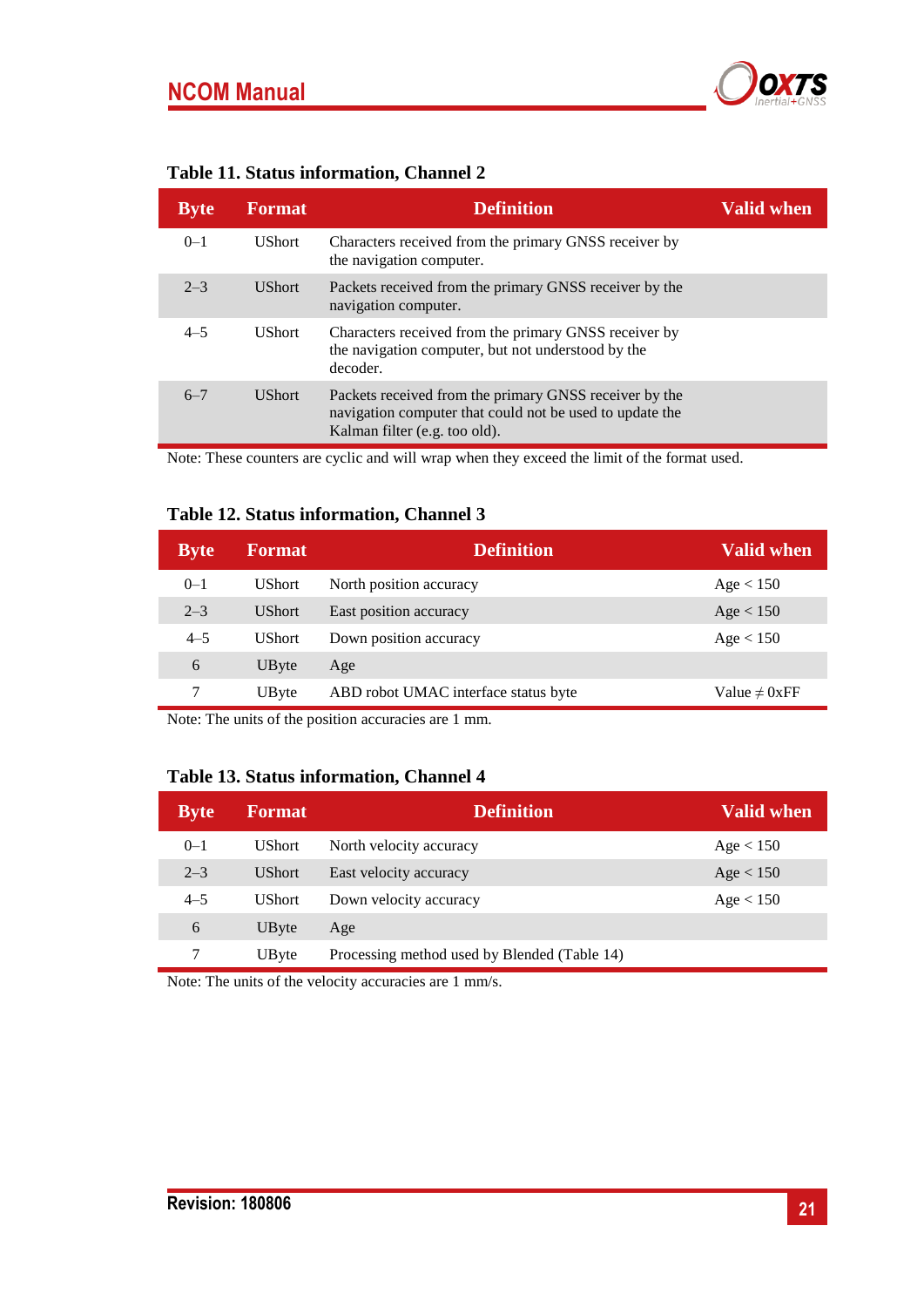

<span id="page-20-0"></span>

| Byte    | <b>Format</b> | <b>Definition</b>                                                                                                                                   | <b>Valid when</b> |
|---------|---------------|-----------------------------------------------------------------------------------------------------------------------------------------------------|-------------------|
| $0 - 1$ | <b>UShort</b> | Characters received from the primary GNSS receiver by<br>the navigation computer.                                                                   |                   |
| $2 - 3$ | <b>UShort</b> | Packets received from the primary GNSS receiver by the<br>navigation computer.                                                                      |                   |
| $4 - 5$ | <b>UShort</b> | Characters received from the primary GNSS receiver by<br>the navigation computer, but not understood by the<br>decoder.                             |                   |
| $6 - 7$ | <b>UShort</b> | Packets received from the primary GNSS receiver by the<br>navigation computer that could not be used to update the<br>Kalman filter (e.g. too old). |                   |

Note: These counters are cyclic and will wrap when they exceed the limit of the format used.

## <span id="page-20-1"></span>**Table 12. Status information, Channel 3**

| <b>Byte</b> | <b>Format</b> | <b>Definition</b>                    | <b>Valid when</b>  |
|-------------|---------------|--------------------------------------|--------------------|
| $0 - 1$     | <b>UShort</b> | North position accuracy              | Age < 150          |
| $2 - 3$     | <b>UShort</b> | East position accuracy               | Age < 150          |
| $4 - 5$     | <b>UShort</b> | Down position accuracy               | Age < 150          |
| 6           | UByte         | Age                                  |                    |
|             | UByte         | ABD robot UMAC interface status byte | Value $\neq 0$ xFF |

Note: The units of the position accuracies are 1 mm.

#### **Table 13. Status information, Channel 4**

| <b>Byte</b> | <b>Format</b> | <b>Definition</b>                            | <b>Valid when</b> |
|-------------|---------------|----------------------------------------------|-------------------|
| $0 - 1$     | <b>UShort</b> | North velocity accuracy                      | Age < 150         |
| $2 - 3$     | UShort.       | East velocity accuracy                       | Age < 150         |
| $4 - 5$     | <b>UShort</b> | Down velocity accuracy                       | Age < 150         |
| 6           | UByte         | Age                                          |                   |
|             | UByte         | Processing method used by Blended (Table 14) |                   |

Note: The units of the velocity accuracies are 1 mm/s.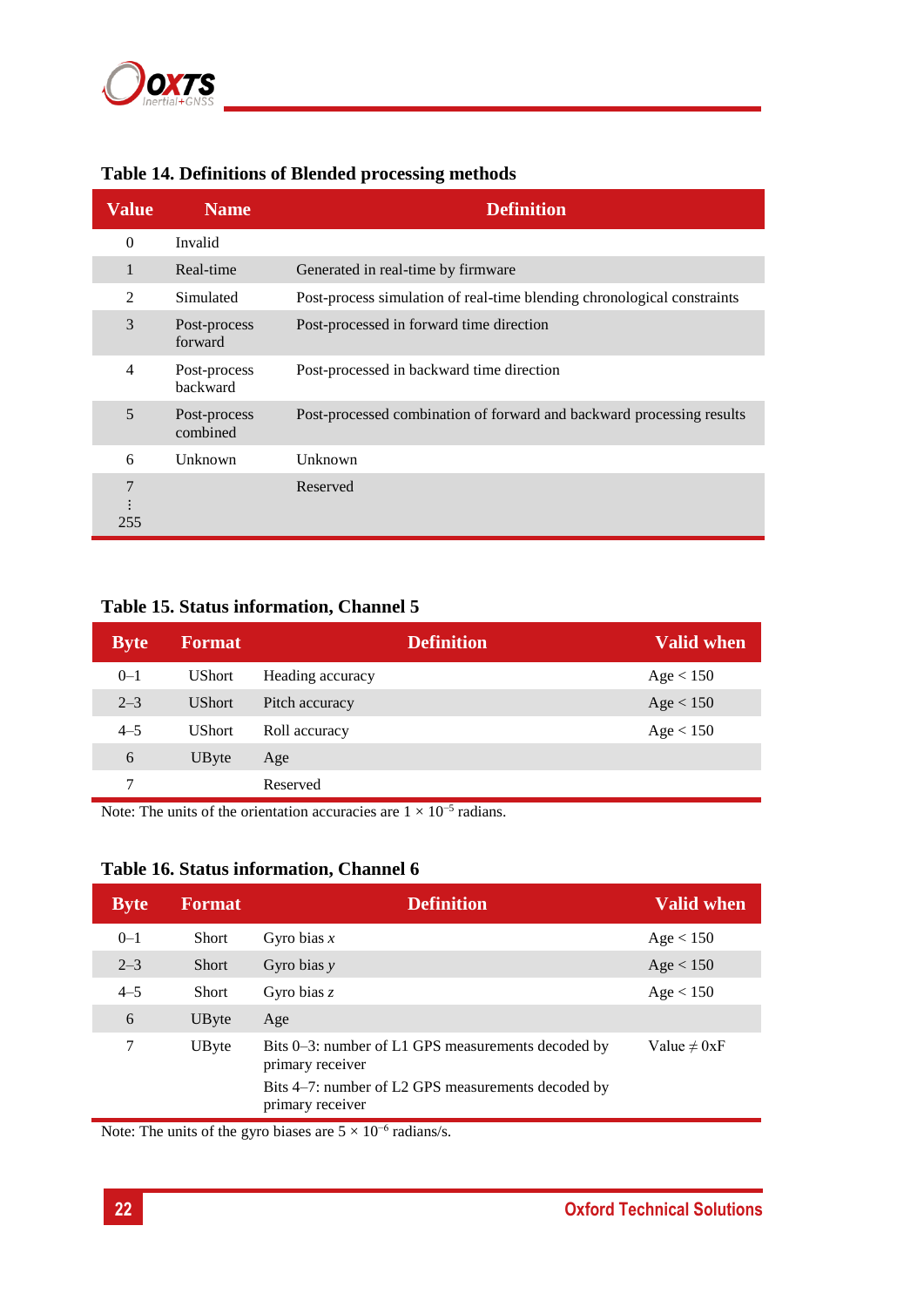

| <b>Value</b>   | <b>Name</b>              | <b>Definition</b>                                                       |
|----------------|--------------------------|-------------------------------------------------------------------------|
| $\theta$       | Invalid                  |                                                                         |
| $\mathbf{1}$   | Real-time                | Generated in real-time by firmware                                      |
| 2              | Simulated                | Post-process simulation of real-time blending chronological constraints |
| 3              | Post-process<br>forward  | Post-processed in forward time direction                                |
| $\overline{4}$ | Post-process<br>backward | Post-processed in backward time direction                               |
| 5              | Post-process<br>combined | Post-processed combination of forward and backward processing results   |
| 6              | Unknown                  | Unknown                                                                 |
| 7<br>255       |                          | Reserved                                                                |

## <span id="page-21-1"></span>**Table 14. Definitions of Blended processing methods**

## <span id="page-21-0"></span>**Table 15. Status information, Channel 5**

| <b>Byte</b> | <b>Format</b> | <b>Definition</b> | Valid when |
|-------------|---------------|-------------------|------------|
| $0 - 1$     | <b>UShort</b> | Heading accuracy  | Age < 150  |
| $2 - 3$     | <b>UShort</b> | Pitch accuracy    | Age < 150  |
| $4 - 5$     | <b>UShort</b> | Roll accuracy     | Age < 150  |
| 6           | UByte         | Age               |            |
| 7           |               | Reserved          |            |

Note: The units of the orientation accuracies are  $1 \times 10^{-5}$  radians.

#### **Table 16. Status information, Channel 6**

| <b>Byte</b> | <b>Format</b> | <b>Definition</b>                                                      | <b>Valid when</b> |
|-------------|---------------|------------------------------------------------------------------------|-------------------|
| $0 - 1$     | <b>Short</b>  | Gyro bias $x$                                                          | Age < 150         |
| $2 - 3$     | <b>Short</b>  | Gyro bias $y$                                                          | Age < 150         |
| $4 - 5$     | <b>Short</b>  | Gyro bias $z$                                                          | Age < 150         |
| 6           | UByte         | Age                                                                    |                   |
| 7           | UByte         | Bits 0–3: number of L1 GPS measurements decoded by<br>primary receiver | Value $\neq 0xF$  |
|             |               | Bits 4–7: number of L2 GPS measurements decoded by<br>primary receiver |                   |

Note: The units of the gyro biases are  $5 \times 10^{-6}$  radians/s.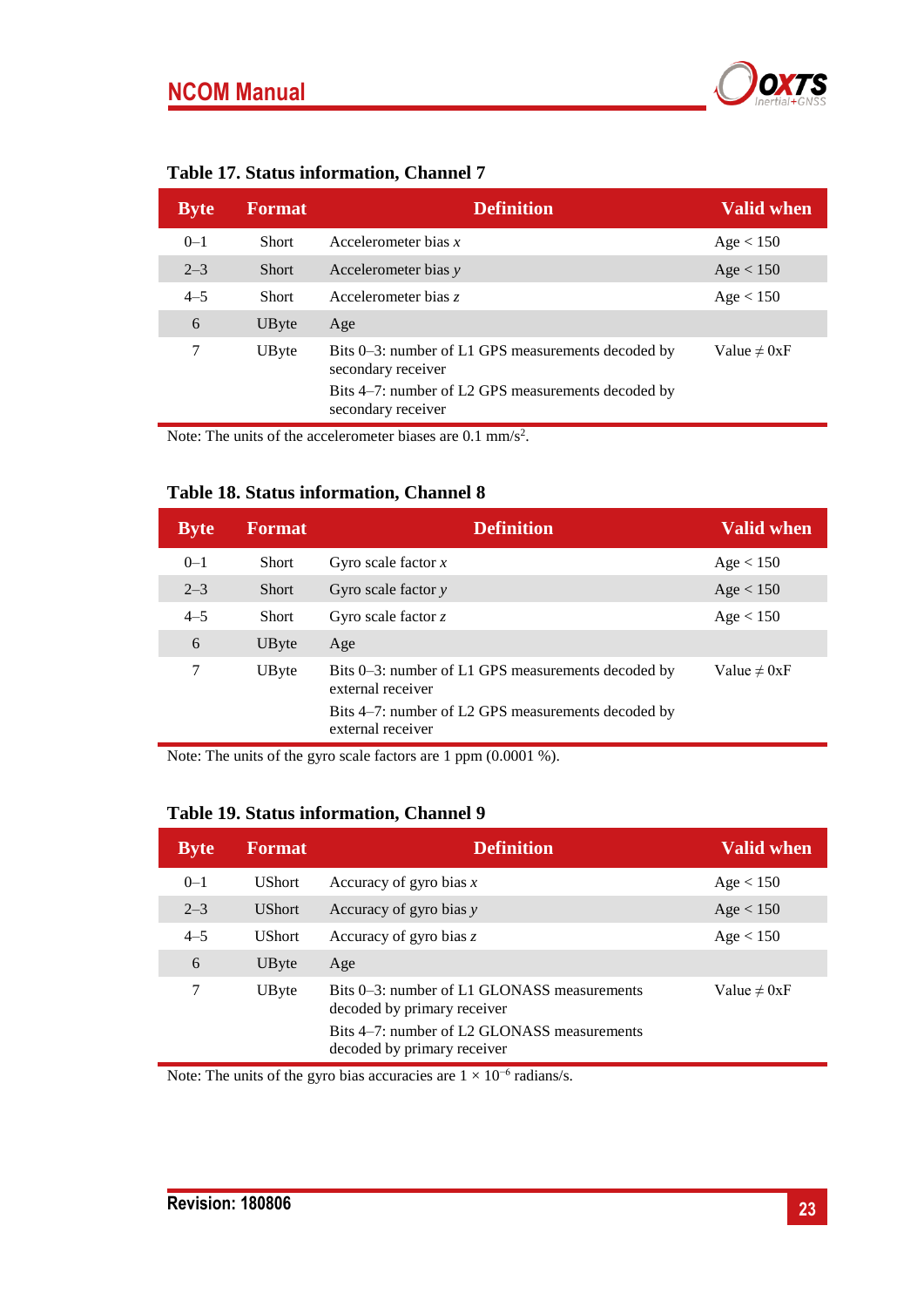

| <b>Table 17. Status information, Channel 7</b> |  |  |  |  |
|------------------------------------------------|--|--|--|--|
|------------------------------------------------|--|--|--|--|

| <b>Byte</b> | <b>Format</b> | <b>Definition</b>                                                        | Valid when       |
|-------------|---------------|--------------------------------------------------------------------------|------------------|
| $0 - 1$     | <b>Short</b>  | Accelerometer bias $x$                                                   | Age < 150        |
| $2 - 3$     | <b>Short</b>  | Accelerometer bias y                                                     | Age < 150        |
| $4 - 5$     | Short         | Accelerometer bias z                                                     | Age < 150        |
| 6           | UByte         | Age                                                                      |                  |
| 7           | UByte         | Bits 0–3: number of L1 GPS measurements decoded by<br>secondary receiver | Value $\neq 0xF$ |
|             |               | Bits 4–7: number of L2 GPS measurements decoded by<br>secondary receiver |                  |

Note: The units of the accelerometer biases are  $0.1 \text{ mm/s}^2$ .

#### **Table 18. Status information, Channel 8**

| <b>Byte</b> | <b>Format</b> | <b>Definition</b>                                                       | <b>Valid when</b> |
|-------------|---------------|-------------------------------------------------------------------------|-------------------|
| $0 - 1$     | <b>Short</b>  | Gyro scale factor $x$                                                   | Age < 150         |
| $2 - 3$     | <b>Short</b>  | Gyro scale factor $y$                                                   | Age < 150         |
| $4 - 5$     | <b>Short</b>  | Gyro scale factor $z$                                                   | Age < 150         |
| 6           | UByte         | Age                                                                     |                   |
| 7           | UByte         | Bits 0–3: number of L1 GPS measurements decoded by<br>external receiver | Value $\neq 0xF$  |
|             |               | Bits 4–7: number of L2 GPS measurements decoded by<br>external receiver |                   |

Note: The units of the gyro scale factors are 1 ppm (0.0001 %).

<span id="page-22-0"></span>

| Table 19. Status information, Channel 9 |               |                                                                            |                   |  |  |
|-----------------------------------------|---------------|----------------------------------------------------------------------------|-------------------|--|--|
| <b>Byte</b>                             | <b>Format</b> | <b>Definition</b>                                                          | <b>Valid when</b> |  |  |
| $0 - 1$                                 | <b>UShort</b> | Accuracy of gyro bias $x$                                                  | Age < 150         |  |  |
| $2 - 3$                                 | <b>UShort</b> | Accuracy of gyro bias y                                                    | Age < 150         |  |  |
| $4 - 5$                                 | <b>UShort</b> | Accuracy of gyro bias $z$                                                  | Age < 150         |  |  |
| 6                                       | UByte         | Age                                                                        |                   |  |  |
| 7                                       | UByte         | Bits 0–3: number of L1 GLONASS measurements<br>decoded by primary receiver | Value $\neq 0$ xF |  |  |

Bits 4–7: number of L2 GLONASS measurements

Note: The units of the gyro bias accuracies are  $1 \times 10^{-6}$  radians/s.

decoded by primary receiver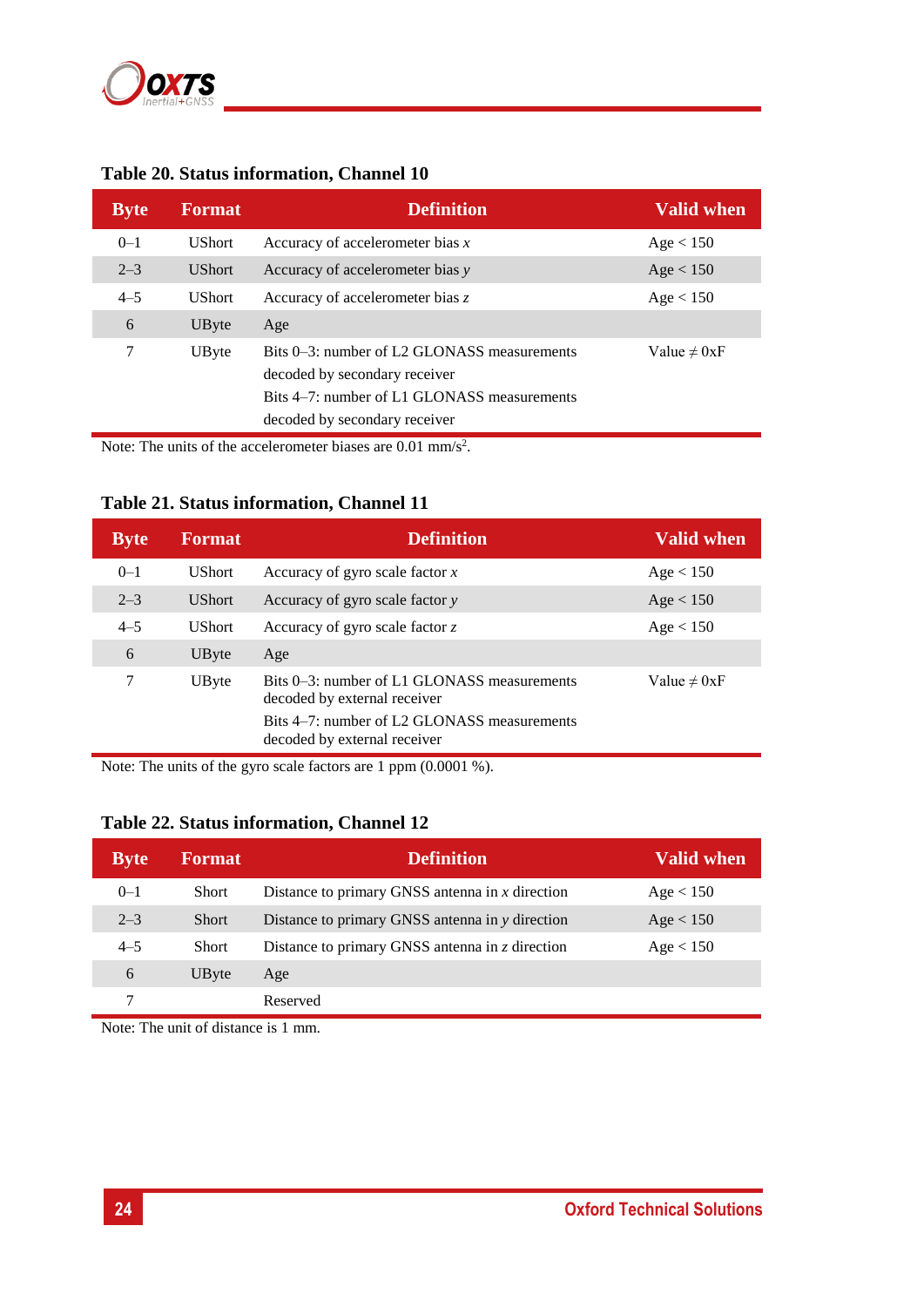

| <b>Byte</b> | <b>Format</b> | <b>Definition</b>                                                                                                                                            | <b>Valid when</b> |
|-------------|---------------|--------------------------------------------------------------------------------------------------------------------------------------------------------------|-------------------|
| $0 - 1$     | <b>UShort</b> | Accuracy of accelerometer bias $x$                                                                                                                           | Age < 150         |
| $2 - 3$     | <b>UShort</b> | Accuracy of accelerometer bias y                                                                                                                             | Age < 150         |
| $4 - 5$     | <b>UShort</b> | Accuracy of accelerometer bias z                                                                                                                             | Age < 150         |
| 6           | UByte         | Age                                                                                                                                                          |                   |
| 7           | UByte         | Bits 0–3: number of L2 GLONASS measurements<br>decoded by secondary receiver<br>Bits 4–7: number of L1 GLONASS measurements<br>decoded by secondary receiver | Value $\neq 0xF$  |

#### <span id="page-23-0"></span>**Table 20. Status information, Channel 10**

Note: The units of the accelerometer biases are  $0.01 \text{ mm/s}^2$ .

## <span id="page-23-1"></span>**Table 21. Status information, Channel 11**

| <b>Byte</b> | <b>Format</b> | <b>Definition</b>                                                                                                                                          | <b>Valid when</b> |
|-------------|---------------|------------------------------------------------------------------------------------------------------------------------------------------------------------|-------------------|
| $0 - 1$     | <b>UShort</b> | Accuracy of gyro scale factor $x$                                                                                                                          | Age < 150         |
| $2 - 3$     | <b>UShort</b> | Accuracy of gyro scale factor y                                                                                                                            | Age < 150         |
| $4 - 5$     | <b>UShort</b> | Accuracy of gyro scale factor $z$                                                                                                                          | Age < 150         |
| 6           | UByte         | Age                                                                                                                                                        |                   |
| 7           | UByte         | Bits 0–3: number of L1 GLONASS measurements<br>decoded by external receiver<br>Bits 4–7: number of L2 GLONASS measurements<br>decoded by external receiver | Value $\neq 0xF$  |

Note: The units of the gyro scale factors are 1 ppm (0.0001 %).

#### **Table 22. Status information, Channel 12**

| <b>Byte</b> | <b>Format</b> | <b>Definition</b>                                 | <b>Valid when</b> |
|-------------|---------------|---------------------------------------------------|-------------------|
| $0 - 1$     | <b>Short</b>  | Distance to primary GNSS antenna in $x$ direction | Age < 150         |
| $2 - 3$     | <b>Short</b>  | Distance to primary GNSS antenna in y direction   | Age < 150         |
| $4 - 5$     | <b>Short</b>  | Distance to primary GNSS antenna in $z$ direction | Age < 150         |
| 6           | <b>UByte</b>  | Age                                               |                   |
|             |               | Reserved                                          |                   |

Note: The unit of distance is 1 mm.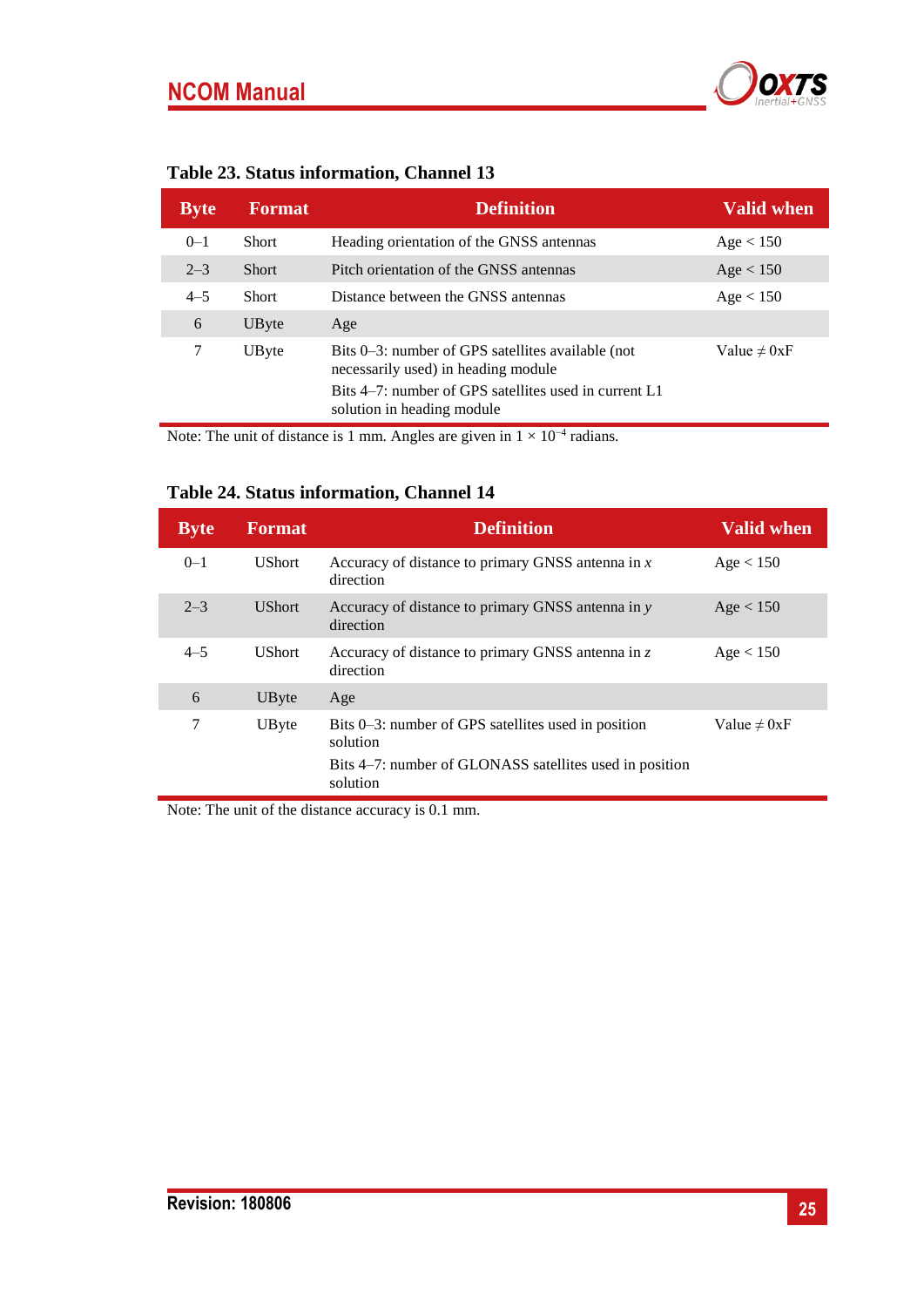

| <b>Byte</b> | <b>Format</b> | <b>Definition</b>                                                                        | <b>Valid when</b> |
|-------------|---------------|------------------------------------------------------------------------------------------|-------------------|
| $0 - 1$     | Short         | Heading orientation of the GNSS antennas                                                 | Age < 150         |
| $2 - 3$     | <b>Short</b>  | Pitch orientation of the GNSS antennas                                                   | Age < 150         |
| $4 - 5$     | Short         | Distance between the GNSS antennas                                                       | Age < 150         |
| 6           | UByte         | Age                                                                                      |                   |
| 7           | UByte         | Bits 0–3: number of GPS satellites available (not<br>necessarily used) in heading module | Value $\neq 0xF$  |
|             |               | Bits 4–7: number of GPS satellites used in current L1<br>solution in heading module      |                   |

## **Table 23. Status information, Channel 13**

Note: The unit of distance is 1 mm. Angles are given in  $1 \times 10^{-4}$  radians.

## **Table 24. Status information, Channel 14**

| <b>Byte</b> | <b>Format</b> | <b>Definition</b>                                                   | <b>Valid when</b> |
|-------------|---------------|---------------------------------------------------------------------|-------------------|
| $0 - 1$     | <b>UShort</b> | Accuracy of distance to primary GNSS antenna in $x$<br>direction    | Age < 150         |
| $2 - 3$     | <b>UShort</b> | Accuracy of distance to primary GNSS antenna in y<br>direction      | Age < 150         |
| $4 - 5$     | <b>UShort</b> | Accuracy of distance to primary GNSS antenna in $z$<br>direction    | Age < 150         |
| 6           | UByte         | Age                                                                 |                   |
| 7           | UByte         | Bits 0–3: number of GPS satellites used in position<br>solution     | Value $\neq 0xF$  |
|             |               | Bits 4–7: number of GLONASS satellites used in position<br>solution |                   |

Note: The unit of the distance accuracy is 0.1 mm.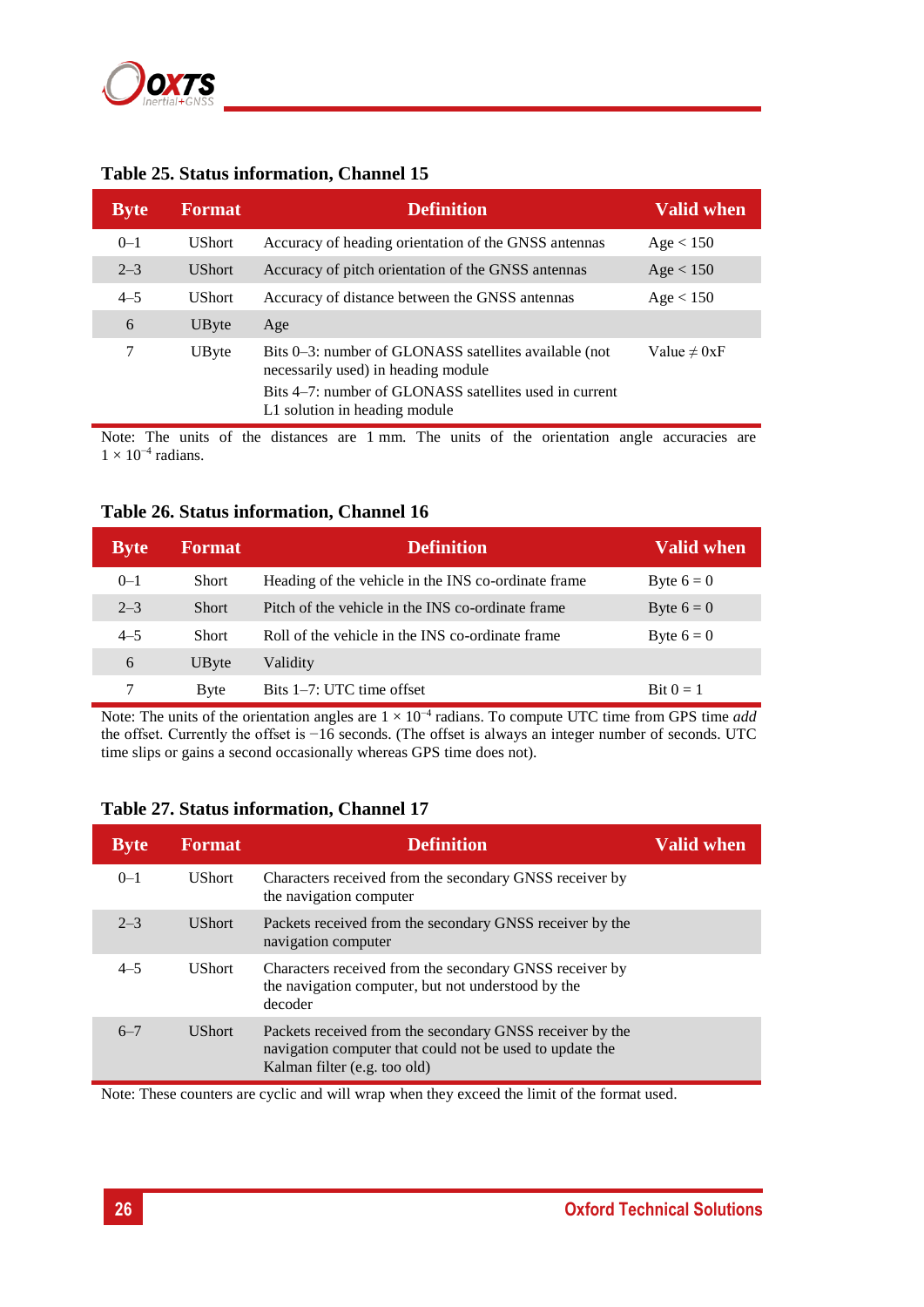

|             | ruote 201 d'unius mitorimunom, chumnel re |                                                                                              |                   |  |  |
|-------------|-------------------------------------------|----------------------------------------------------------------------------------------------|-------------------|--|--|
| <b>Byte</b> | <b>Format</b>                             | <b>Definition</b>                                                                            | <b>Valid when</b> |  |  |
| $0 - 1$     | <b>UShort</b>                             | Accuracy of heading orientation of the GNSS antennas                                         | Age < 150         |  |  |
| $2 - 3$     | <b>UShort</b>                             | Accuracy of pitch orientation of the GNSS antennas                                           | Age < 150         |  |  |
| $4 - 5$     | <b>UShort</b>                             | Accuracy of distance between the GNSS antennas                                               | Age < 150         |  |  |
| 6           | UByte                                     | Age                                                                                          |                   |  |  |
| 7           | UByte                                     | Bits 0–3: number of GLONASS satellites available (not<br>necessarily used) in heading module | Value $\neq 0xF$  |  |  |
|             |                                           | Bits 4–7: number of GLONASS satellites used in current<br>L1 solution in heading module      |                   |  |  |
|             |                                           |                                                                                              |                   |  |  |

#### **Table 25. Status information, Channel 15**

Note: The units of the distances are 1 mm. The units of the orientation angle accuracies are  $1 \times 10^{-4}$  radians.

#### **Table 26. Status information, Channel 16**

| <b>Byte</b> | <b>Format</b> | <b>Definition</b>                                   | Valid when          |
|-------------|---------------|-----------------------------------------------------|---------------------|
| $0 - 1$     | <b>Short</b>  | Heading of the vehicle in the INS co-ordinate frame | Byte $6 = 0$        |
| $2 - 3$     | <b>Short</b>  | Pitch of the vehicle in the INS co-ordinate frame   | Byte $6 = 0$        |
| $4 - 5$     | Short         | Roll of the vehicle in the INS co-ordinate frame    | Byte $6 = 0$        |
| 6           | UByte         | Validity                                            |                     |
|             | <b>Byte</b>   | Bits 1–7: UTC time offset                           | $\text{Bit } 0 = 1$ |

Note: The units of the orientation angles are 1 × 10−4 radians. To compute UTC time from GPS time *add* the offset. Currently the offset is −16 seconds. (The offset is always an integer number of seconds. UTC time slips or gains a second occasionally whereas GPS time does not).

#### <span id="page-25-0"></span>**Table 27. Status information, Channel 17**

| <b>Byte</b> | <b>Format</b> | <b>Definition</b>                                                                                                                                    | <b>Valid when</b> |
|-------------|---------------|------------------------------------------------------------------------------------------------------------------------------------------------------|-------------------|
| $0 - 1$     | <b>UShort</b> | Characters received from the secondary GNSS receiver by<br>the navigation computer                                                                   |                   |
| $2 - 3$     | <b>UShort</b> | Packets received from the secondary GNSS receiver by the<br>navigation computer                                                                      |                   |
| $4 - 5$     | <b>UShort</b> | Characters received from the secondary GNSS receiver by<br>the navigation computer, but not understood by the<br>decoder                             |                   |
| $6 - 7$     | <b>UShort</b> | Packets received from the secondary GNSS receiver by the<br>navigation computer that could not be used to update the<br>Kalman filter (e.g. too old) |                   |

Note: These counters are cyclic and will wrap when they exceed the limit of the format used.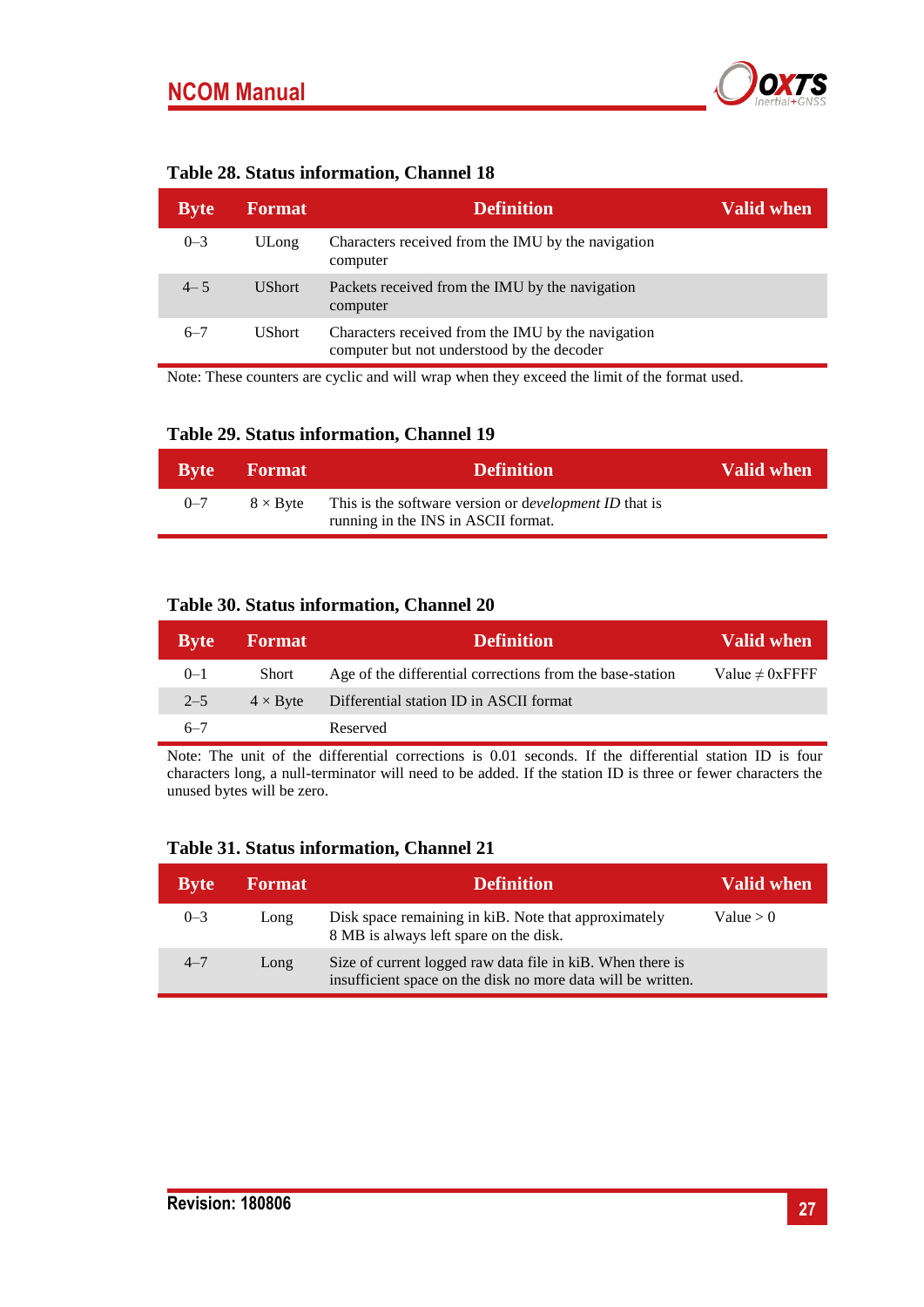

<span id="page-26-0"></span>

|  |  | Table 28. Status information, Channel 18 |  |  |
|--|--|------------------------------------------|--|--|
|--|--|------------------------------------------|--|--|

| <b>Byte</b> | <b>Format</b> | <b>Definition</b>                                                                                | Valid when |
|-------------|---------------|--------------------------------------------------------------------------------------------------|------------|
| $0 - 3$     | ULong         | Characters received from the IMU by the navigation<br>computer                                   |            |
| $4 - 5$     | <b>UShort</b> | Packets received from the IMU by the navigation<br>computer                                      |            |
| $6 - 7$     | UShort.       | Characters received from the IMU by the navigation<br>computer but not understood by the decoder |            |

Note: These counters are cyclic and will wrap when they exceed the limit of the format used.

<span id="page-26-1"></span>

|  |  | Table 29. Status information, Channel 19 |  |  |
|--|--|------------------------------------------|--|--|
|--|--|------------------------------------------|--|--|

|         | <b>Byte</b> Format | <b>Definition</b>                                                                             | Valid when |
|---------|--------------------|-----------------------------------------------------------------------------------------------|------------|
| $0 - 7$ | $8 \times$ Byte    | This is the software version or development ID that is<br>running in the INS in ASCII format. |            |

#### **Table 30. Status information, Channel 20**

| <b>Byte</b> | <b>Format</b>   | <b>Definition</b>                                         | <b>Valid when</b>    |
|-------------|-----------------|-----------------------------------------------------------|----------------------|
| $0 - 1$     | Short           | Age of the differential corrections from the base-station | Value $\neq 0$ xFFFF |
| $2 - 5$     | $4 \times$ Byte | Differential station ID in ASCII format                   |                      |
| $6 - 7$     |                 | Reserved                                                  |                      |

Note: The unit of the differential corrections is 0.01 seconds. If the differential station ID is four characters long, a null-terminator will need to be added. If the station ID is three or fewer characters the unused bytes will be zero.

#### **Table 31. Status information, Channel 21**

| <b>Byte</b> | <b>Format</b> | <b>Definition</b>                                                                                                          | <b>Valid when</b> |
|-------------|---------------|----------------------------------------------------------------------------------------------------------------------------|-------------------|
| $0 - 3$     | Long          | Disk space remaining in kiB. Note that approximately<br>8 MB is always left spare on the disk.                             | Value > 0         |
| $4 - 7$     | Long          | Size of current logged raw data file in kiB. When there is<br>insufficient space on the disk no more data will be written. |                   |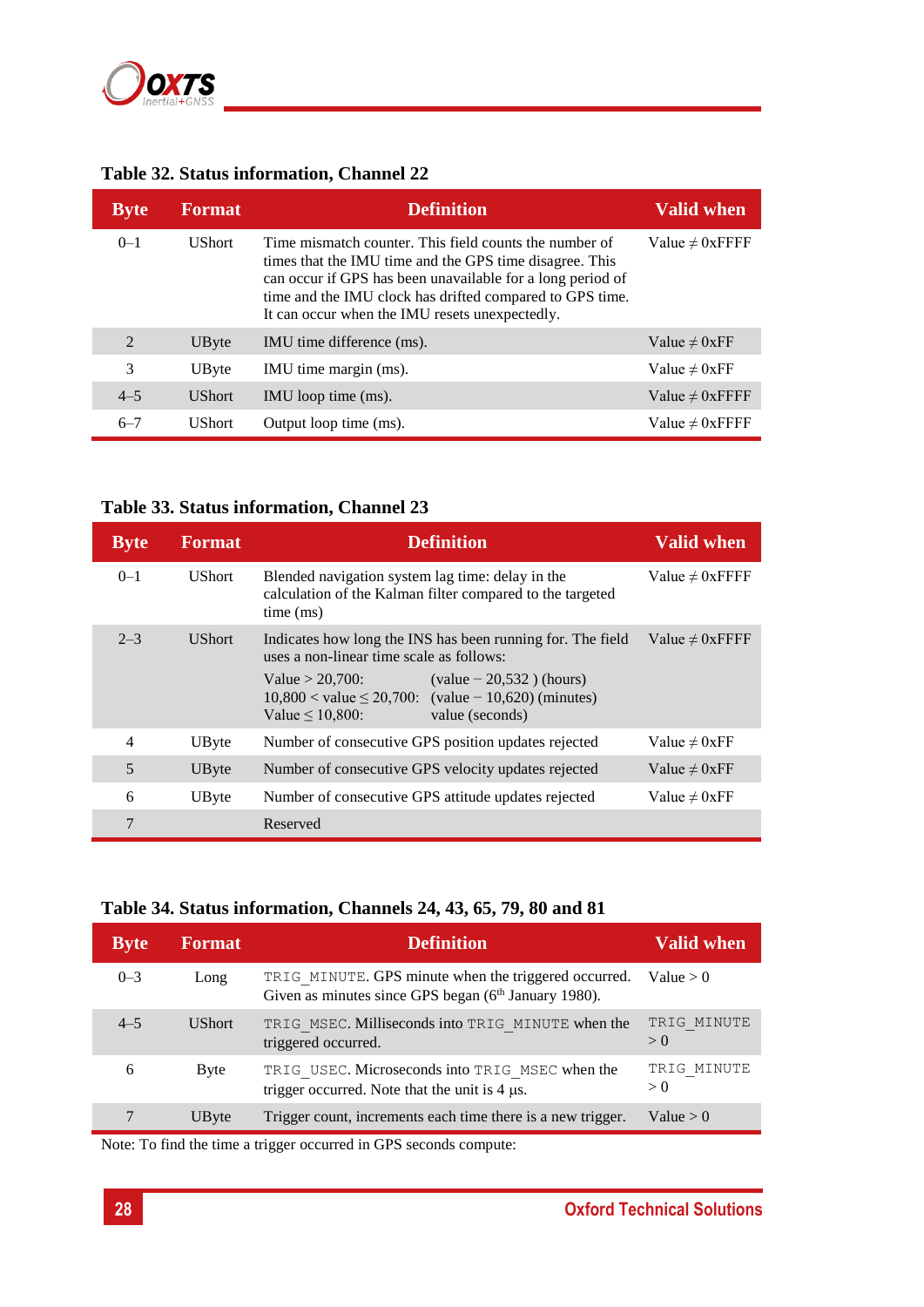

## <span id="page-27-0"></span>**Table 32. Status information, Channel 22**

| <b>Byte</b> | <b>Format</b> | <b>Definition</b>                                                                                                                                                                                                                                                                             | <b>Valid when</b>    |
|-------------|---------------|-----------------------------------------------------------------------------------------------------------------------------------------------------------------------------------------------------------------------------------------------------------------------------------------------|----------------------|
| $0 - 1$     | <b>UShort</b> | Time mismatch counter. This field counts the number of<br>times that the IMU time and the GPS time disagree. This<br>can occur if GPS has been unavailable for a long period of<br>time and the IMU clock has drifted compared to GPS time.<br>It can occur when the IMU resets unexpectedly. | Value $\neq 0$ xFFFF |
| 2           | UByte         | IMU time difference (ms).                                                                                                                                                                                                                                                                     | Value $\neq 0$ xFF   |
| 3           | UByte         | IMU time margin (ms).                                                                                                                                                                                                                                                                         | Value $\neq 0$ xFF   |
| $4 - 5$     | <b>UShort</b> | IMU loop time (ms).                                                                                                                                                                                                                                                                           | Value $\neq 0$ xFFFF |
| $6 - 7$     | <b>UShort</b> | Output loop time (ms).                                                                                                                                                                                                                                                                        | Value $\neq 0$ xFFFF |

## <span id="page-27-1"></span>**Table 33. Status information, Channel 23**

| <b>Byte</b> | <b>Format</b> | <b>Definition</b>                                                                                                                                                                                                                                                            | <b>Valid when</b>    |
|-------------|---------------|------------------------------------------------------------------------------------------------------------------------------------------------------------------------------------------------------------------------------------------------------------------------------|----------------------|
| $0 - 1$     | <b>UShort</b> | Blended navigation system lag time: delay in the<br>calculation of the Kalman filter compared to the targeted<br>time (ms)                                                                                                                                                   | Value $\neq 0$ xFFFF |
| $2 - 3$     | <b>UShort</b> | Indicates how long the INS has been running for. The field<br>uses a non-linear time scale as follows:<br>$\text{(value} - 20.532)$ (hours)<br>Value $> 20,700$ :<br>$10,800 <$ value $\leq 20,700$ : (value - 10,620) (minutes)<br>Value $\leq 10,800$ :<br>value (seconds) | Value $\neq 0$ xFFFF |
| 4           | UByte         | Number of consecutive GPS position updates rejected                                                                                                                                                                                                                          | Value $\neq 0$ xFF   |
| 5           | UByte         | Number of consecutive GPS velocity updates rejected                                                                                                                                                                                                                          | Value $\neq 0$ xFF   |
| 6           | UByte         | Number of consecutive GPS attitude updates rejected                                                                                                                                                                                                                          | Value $\neq 0$ xFF   |
| 7           |               | Reserved                                                                                                                                                                                                                                                                     |                      |

#### <span id="page-27-2"></span>**Table 34. Status information, Channels 24, 43, 65, 79, 80 and 81**

| Byte    | <b>Format</b> | <b>Definition</b>                                                                                                        | <b>Valid when</b>  |
|---------|---------------|--------------------------------------------------------------------------------------------------------------------------|--------------------|
| $0 - 3$ | Long          | TRIG MINUTE. GPS minute when the triggered occurred.<br>Given as minutes since GPS began (6 <sup>th</sup> January 1980). | Value $> 0$        |
| $4 - 5$ | <b>UShort</b> | TRIG MSEC. Milliseconds into TRIG MINUTE when the<br>triggered occurred.                                                 | TRIG MINUTE<br>> 0 |
| 6       | Byte          | TRIG USEC. Microseconds into TRIG MSEC when the<br>trigger occurred. Note that the unit is $4 \mu s$ .                   | TRIG MINUTE<br>> 0 |
|         | UByte         | Trigger count, increments each time there is a new trigger.                                                              | Value $> 0$        |

Note: To find the time a trigger occurred in GPS seconds compute: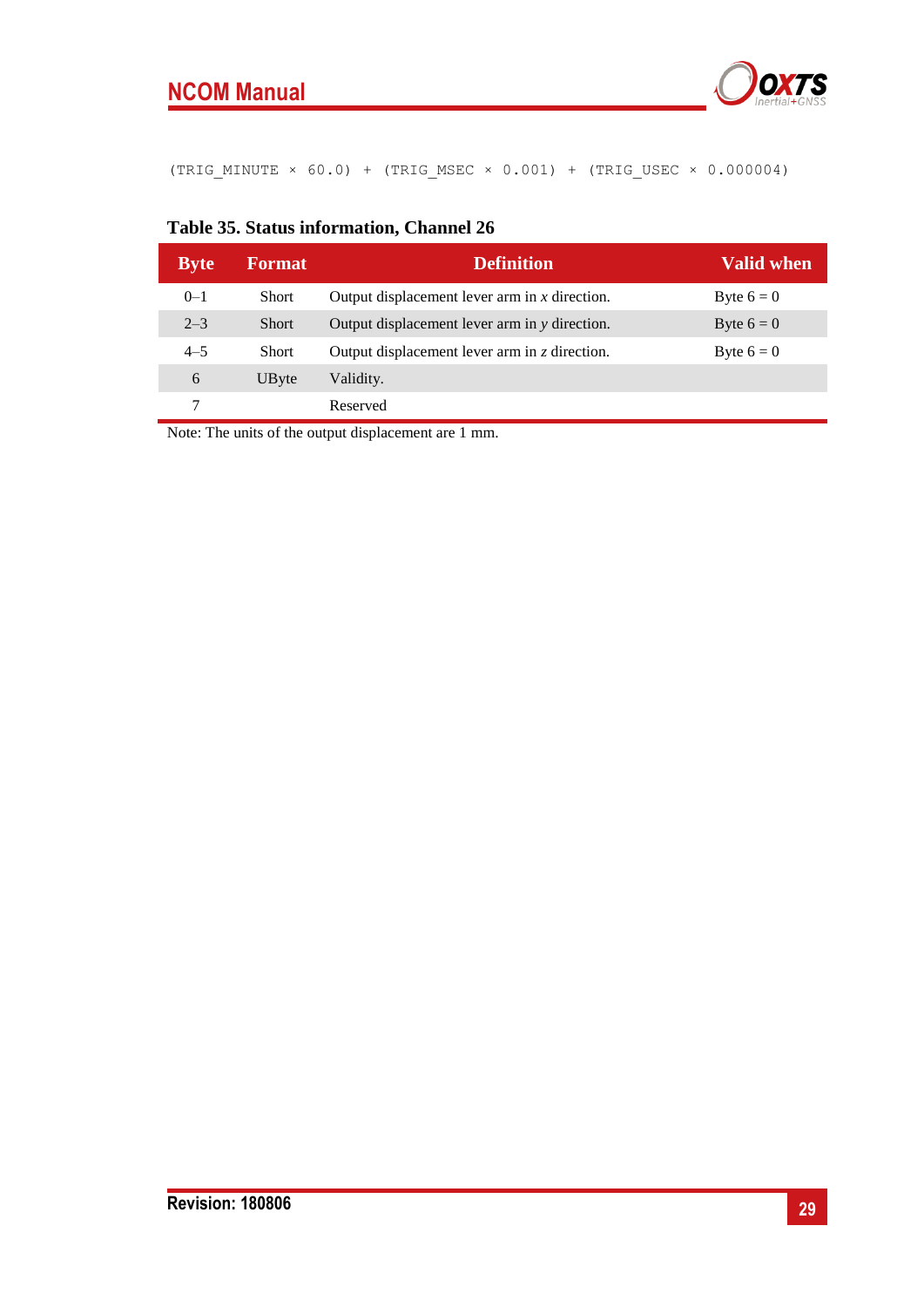

(TRIG\_MINUTE × 60.0) + (TRIG\_MSEC × 0.001) + (TRIG\_USEC × 0.000004)

| <b>Byte</b> | <b>Format</b> | <b>Definition</b>                                   | <b>Valid when</b> |
|-------------|---------------|-----------------------------------------------------|-------------------|
| $0 - 1$     | <b>Short</b>  | Output displacement lever arm in $x$ direction.     | Byte $6 = 0$      |
| $2 - 3$     | <b>Short</b>  | Output displacement lever arm in y direction.       | Byte $6 = 0$      |
| $4 - 5$     | <b>Short</b>  | Output displacement lever arm in $\zeta$ direction. | Byte $6 = 0$      |
| 6           | UByte         | Validity.                                           |                   |
|             |               | Reserved                                            |                   |

#### <span id="page-28-0"></span>**Table 35. Status information, Channel 26**

Note: The units of the output displacement are 1 mm.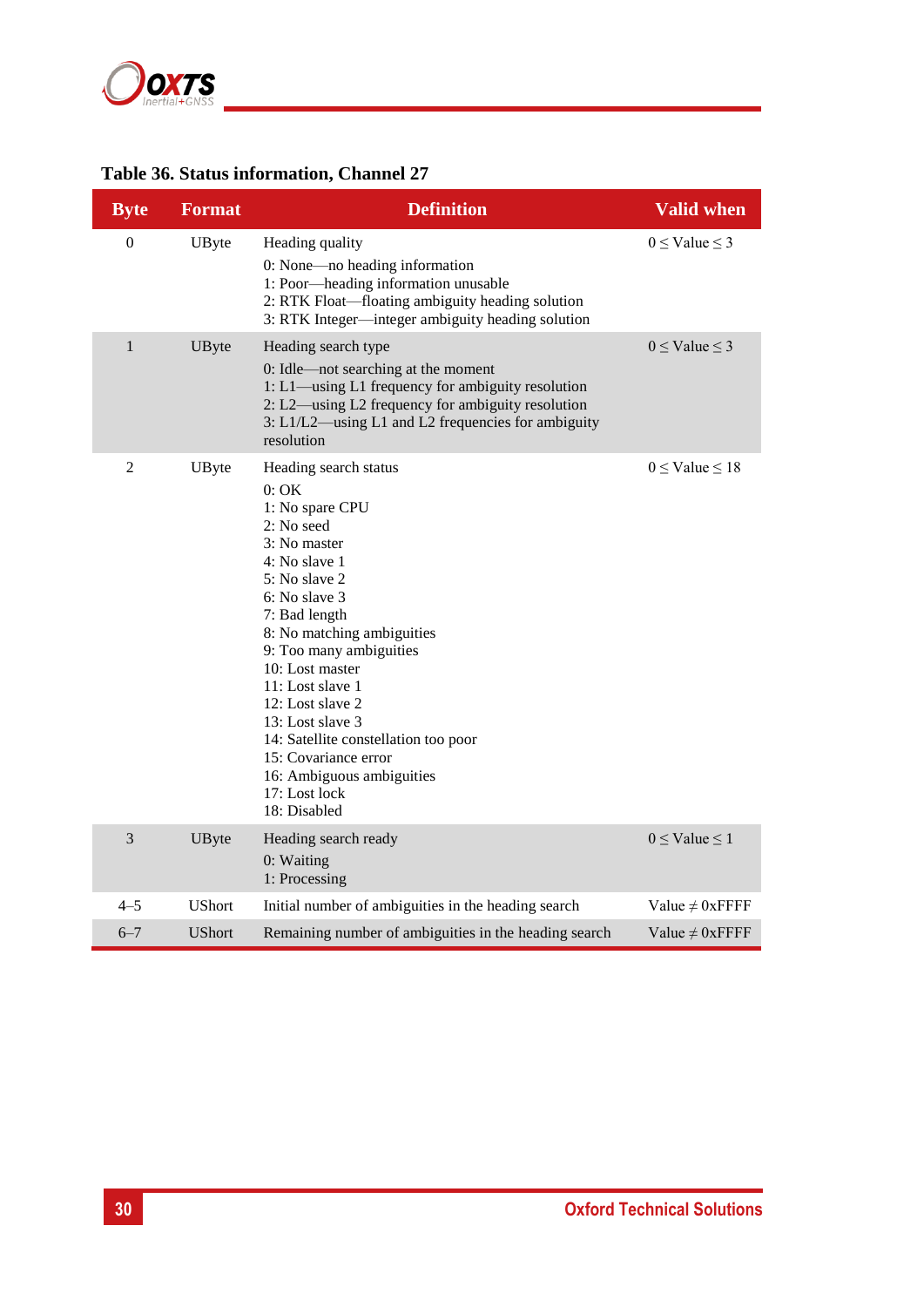

## <span id="page-29-0"></span>**Table 36. Status information, Channel 27**

| <b>Byte</b>    | <b>Format</b> | <b>Definition</b>                                                                                                                                                                                                                                                                                                                                                                                                        | <b>Valid when</b>        |
|----------------|---------------|--------------------------------------------------------------------------------------------------------------------------------------------------------------------------------------------------------------------------------------------------------------------------------------------------------------------------------------------------------------------------------------------------------------------------|--------------------------|
| $\overline{0}$ | UByte         | Heading quality<br>0: None-no heading information<br>1: Poor-heading information unusable<br>2: RTK Float—floating ambiguity heading solution<br>3: RTK Integer-integer ambiguity heading solution                                                                                                                                                                                                                       | $0 \leq$ Value $\leq$ 3  |
| $\mathbf{1}$   | UByte         | Heading search type<br>0: Idle—not searching at the moment<br>1: L1-using L1 frequency for ambiguity resolution<br>2: L2—using L2 frequency for ambiguity resolution<br>3: L1/L2—using L1 and L2 frequencies for ambiguity<br>resolution                                                                                                                                                                                 | $0 \leq$ Value $\leq$ 3  |
| $\overline{2}$ | UByte         | Heading search status<br>0:OK<br>1: No spare CPU<br>2: No seed<br>3: No master<br>4: No slave 1<br>5: No slave 2<br>6: No slave 3<br>7: Bad length<br>8: No matching ambiguities<br>9: Too many ambiguities<br>10: Lost master<br>11: Lost slave 1<br>12: Lost slave 2<br>13: Lost slave 3<br>14: Satellite constellation too poor<br>15: Covariance error<br>16: Ambiguous ambiguities<br>17: Lost lock<br>18: Disabled | $0 \leq$ Value $\leq$ 18 |
| 3              | UByte         | Heading search ready<br>0: Waiting<br>1: Processing                                                                                                                                                                                                                                                                                                                                                                      | $0 \leq$ Value $\leq$ 1  |
| $4 - 5$        | <b>UShort</b> | Initial number of ambiguities in the heading search                                                                                                                                                                                                                                                                                                                                                                      | Value $\neq 0$ xFFFF     |
| $6 - 7$        | <b>UShort</b> | Remaining number of ambiguities in the heading search                                                                                                                                                                                                                                                                                                                                                                    | Value $\neq 0$ xFFFF     |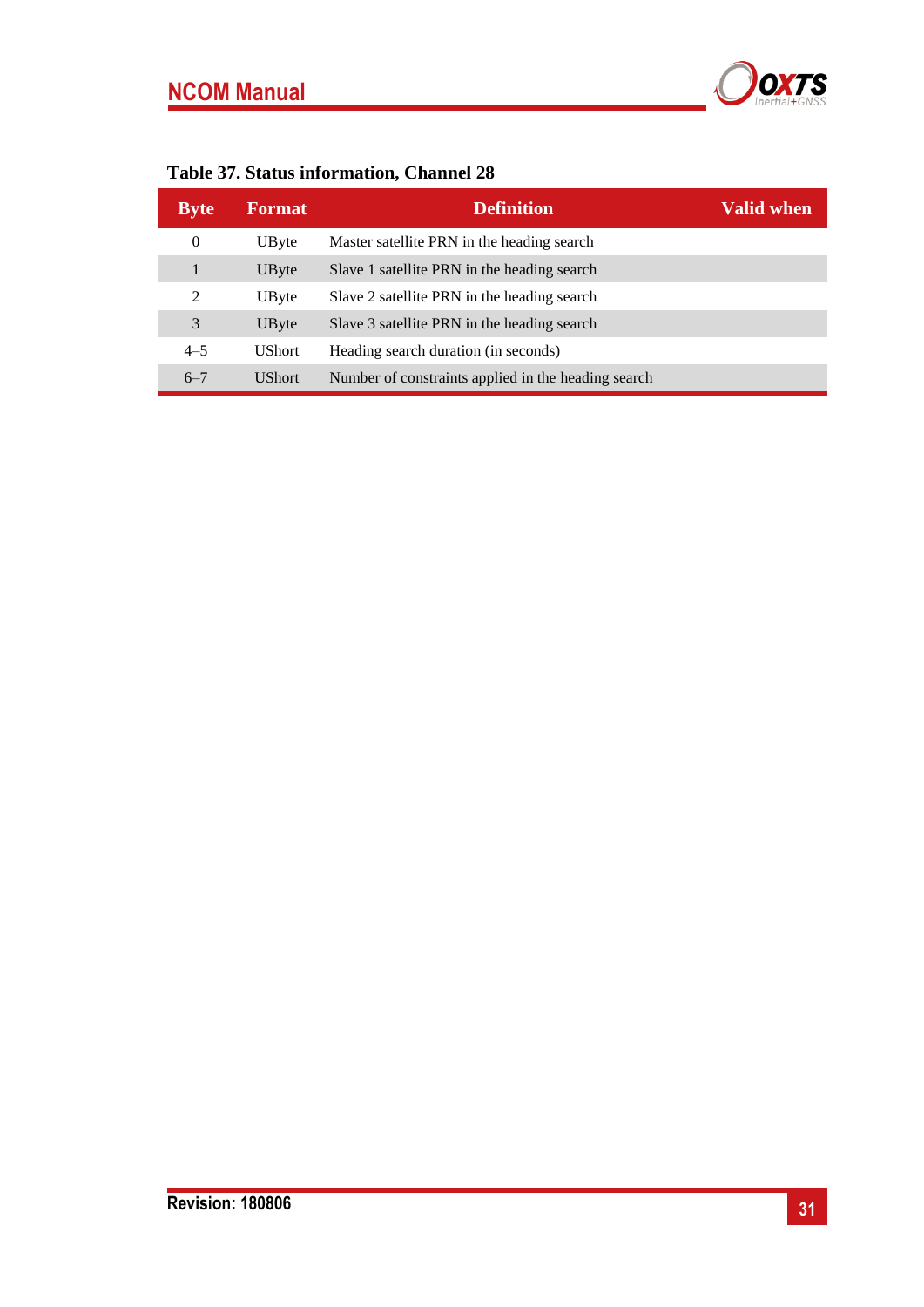# **NCOM Manual**



<span id="page-30-0"></span>

| <b>Byte</b> | Format        | <b>Definition</b>                                   | Valid when, |
|-------------|---------------|-----------------------------------------------------|-------------|
| 0           | UByte         | Master satellite PRN in the heading search          |             |
|             | UByte         | Slave 1 satellite PRN in the heading search         |             |
| 2           | UByte         | Slave 2 satellite PRN in the heading search         |             |
| 3           | UByte         | Slave 3 satellite PRN in the heading search         |             |
| $4 - 5$     | <b>UShort</b> | Heading search duration (in seconds)                |             |
| $6 - 7$     | <b>UShort</b> | Number of constraints applied in the heading search |             |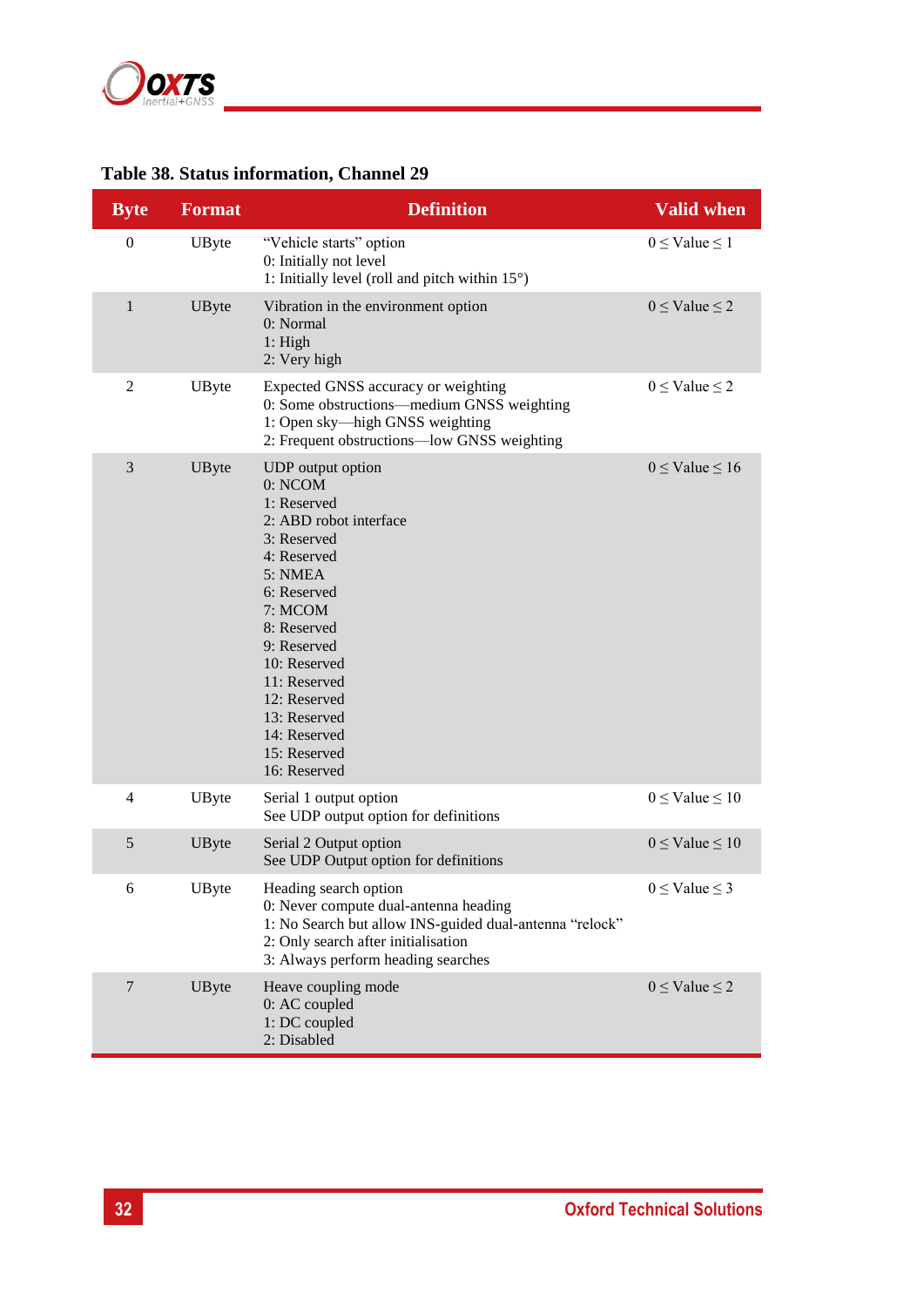

## <span id="page-31-0"></span>**Table 38. Status information, Channel 29**

| <b>Byte</b>      | <b>Format</b> | <b>Definition</b>                                                                                                                                                                                                                                                                      | <b>Valid when</b>        |
|------------------|---------------|----------------------------------------------------------------------------------------------------------------------------------------------------------------------------------------------------------------------------------------------------------------------------------------|--------------------------|
| $\boldsymbol{0}$ | UByte         | "Vehicle starts" option<br>0: Initially not level<br>1: Initially level (roll and pitch within $15^{\circ}$ )                                                                                                                                                                          | $0 \leq$ Value $\leq$ 1  |
| $\mathbf{1}$     | UByte         | Vibration in the environment option<br>0: Normal<br>1: High<br>2: Very high                                                                                                                                                                                                            | $0 \leq$ Value $\leq$ 2  |
| $\mathfrak{2}$   | UByte         | Expected GNSS accuracy or weighting<br>0: Some obstructions—medium GNSS weighting<br>1: Open sky-high GNSS weighting<br>2: Frequent obstructions-low GNSS weighting                                                                                                                    | $0 \leq$ Value $\leq$ 2  |
| 3                | UByte         | UDP output option<br>0: NCOM<br>1: Reserved<br>2: ABD robot interface<br>3: Reserved<br>4: Reserved<br>5: NMEA<br>6: Reserved<br>7: MCOM<br>8: Reserved<br>9: Reserved<br>10: Reserved<br>11: Reserved<br>12: Reserved<br>13: Reserved<br>14: Reserved<br>15: Reserved<br>16: Reserved | $0 \leq$ Value $\leq 16$ |
| $\overline{4}$   | UByte         | Serial 1 output option<br>See UDP output option for definitions                                                                                                                                                                                                                        | $0 \leq$ Value $\leq 10$ |
| 5                | UByte         | Serial 2 Output option<br>See UDP Output option for definitions                                                                                                                                                                                                                        | $0 \leq$ Value $\leq 10$ |
| 6                | UByte         | Heading search option<br>0: Never compute dual-antenna heading<br>1: No Search but allow INS-guided dual-antenna "relock"<br>2: Only search after initialisation<br>3: Always perform heading searches                                                                                 | $0 \leq$ Value $\leq$ 3  |
| 7                | UByte         | Heave coupling mode<br>0: AC coupled<br>1: DC coupled<br>2: Disabled                                                                                                                                                                                                                   | $0 \leq$ Value $\leq$ 2  |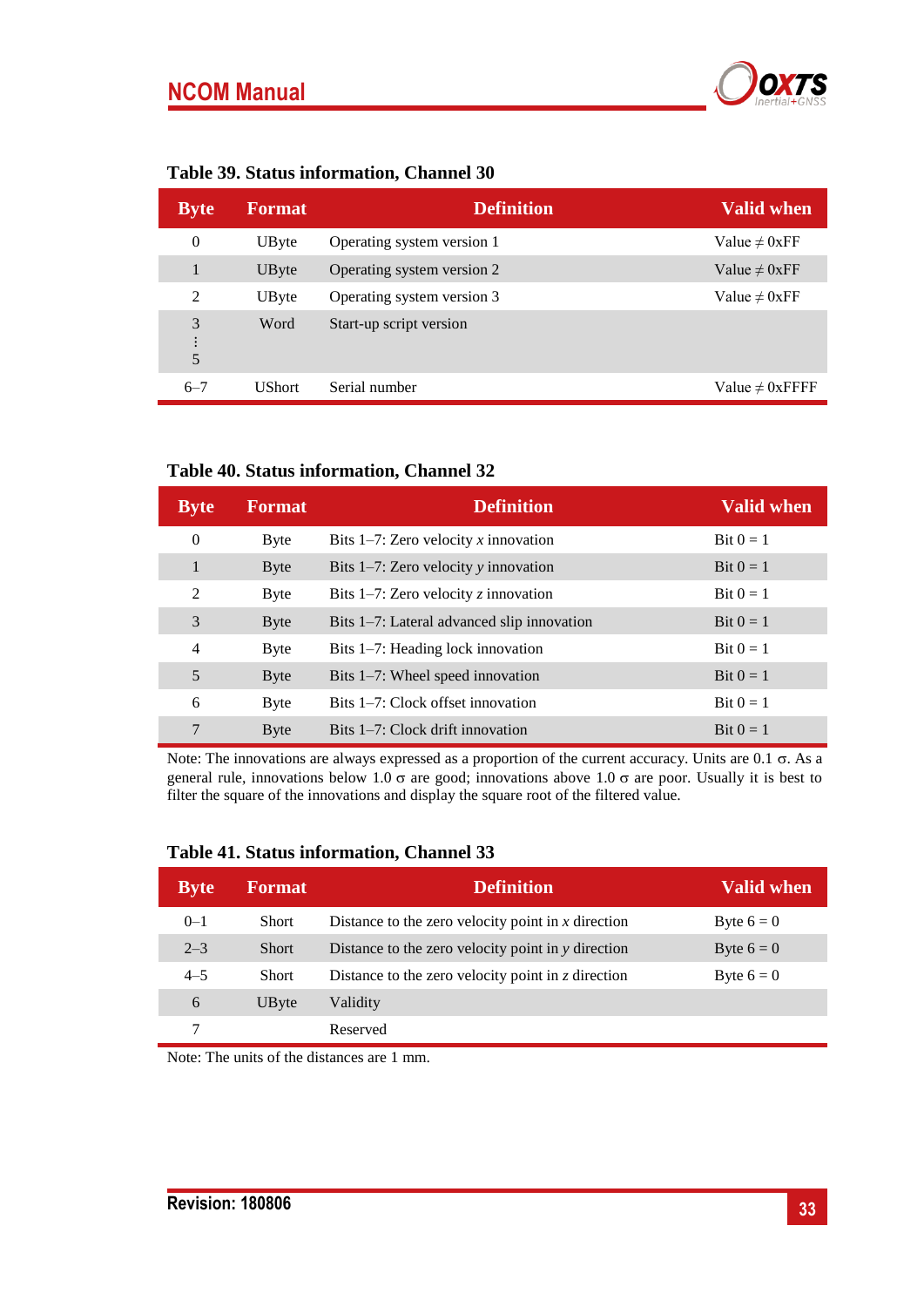## **NCOM Manual**



|             |                  | Table 37. Status Information, Channel 30 |                    |
|-------------|------------------|------------------------------------------|--------------------|
| <b>Byte</b> | <b>Example 1</b> | <b>Definition</b>                        | <b>Valid when</b>  |
|             | UBvte            | Operating system version 1               | Value $\neq 0$ xFF |

## <span id="page-32-0"></span>**Table 39. Status information, Channel 30**

| $\sim$ , we       | .             | ,,,,,,,,,,,,,,             |                      |
|-------------------|---------------|----------------------------|----------------------|
| 0                 | UByte         | Operating system version 1 | Value $\neq 0$ xFF   |
|                   | UByte         | Operating system version 2 | Value $\neq 0$ xFF   |
| 2                 | UByte         | Operating system version 3 | Value $\neq 0$ xFF   |
| 3<br>$\cdot$<br>5 | Word          | Start-up script version    |                      |
| $6 - 7$           | <b>UShort</b> | Serial number              | Value $\neq 0$ xFFFF |

#### <span id="page-32-1"></span>**Table 40. Status information, Channel 32**

| <b>Byte</b>    | <b>Format</b> | <b>Definition</b>                          | <b>Valid when</b> |
|----------------|---------------|--------------------------------------------|-------------------|
| $\theta$       | <b>Byte</b>   | Bits 1-7: Zero velocity x innovation       | Bit $0 = 1$       |
| 1              | Byte          | Bits $1-7$ : Zero velocity y innovation    | Bit $0=1$         |
| $\mathfrak{D}$ | Byte          | Bits 1-7: Zero velocity $z$ innovation     | Bit $0 = 1$       |
| 3              | <b>Byte</b>   | Bits 1-7: Lateral advanced slip innovation | Bit $0=1$         |
| $\overline{4}$ | <b>Byte</b>   | Bits 1–7: Heading lock innovation          | Bit $0 = 1$       |
| 5              | <b>Byte</b>   | Bits 1–7: Wheel speed innovation           | Bit $0 = 1$       |
| 6              | Byte          | Bits 1–7: Clock offset innovation          | Bit $0=1$         |
| 7              | <b>Byte</b>   | Bits 1–7: Clock drift innovation           | Bit $0=1$         |

Note: The innovations are always expressed as a proportion of the current accuracy. Units are  $0.1 \sigma$ . As a general rule, innovations below 1.0  $\sigma$  are good; innovations above 1.0  $\sigma$  are poor. Usually it is best to filter the square of the innovations and display the square root of the filtered value.

| <b>Byte</b> | <b>Format</b> | <b>Definition</b>                                        | <b>Valid when</b> |
|-------------|---------------|----------------------------------------------------------|-------------------|
| $0 - 1$     | <b>Short</b>  | Distance to the zero velocity point in $x$ direction     | Byte $6 = 0$      |
| $2 - 3$     | <b>Short</b>  | Distance to the zero velocity point in y direction       | Byte $6 = 0$      |
| $4 - 5$     | <b>Short</b>  | Distance to the zero velocity point in $\zeta$ direction | Byte $6 = 0$      |
| 6           | UByte         | Validity                                                 |                   |
|             |               | Reserved                                                 |                   |

#### <span id="page-32-2"></span>**Table 41. Status information, Channel 33**

Note: The units of the distances are 1 mm.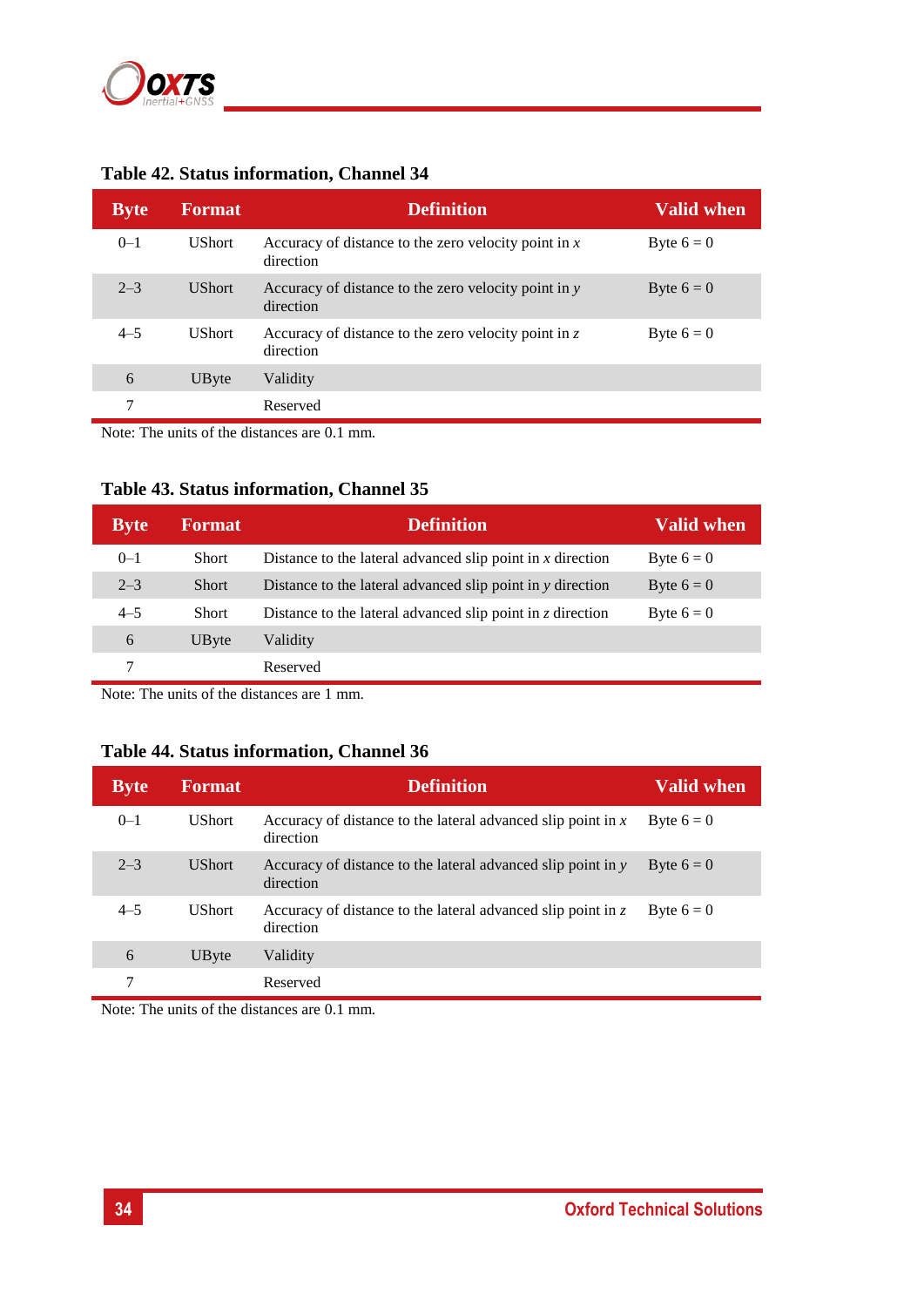

| <b>UShort</b><br>Accuracy of distance to the zero velocity point in $x$<br>$0 - 1$<br>Byte $6 = 0$<br>direction<br>$2 - 3$<br><b>UShort</b><br>Byte $6 = 0$<br>Accuracy of distance to the zero velocity point in $\nu$<br>direction<br>$4 - 5$<br><b>UShort</b><br>Accuracy of distance to the zero velocity point in $z$<br>Byte $6 = 0$<br>direction<br>6<br>UByte<br>Validity | <b>Byte</b> | <b>Format</b> | <b>Definition</b> | <b>Valid when</b> |
|-----------------------------------------------------------------------------------------------------------------------------------------------------------------------------------------------------------------------------------------------------------------------------------------------------------------------------------------------------------------------------------|-------------|---------------|-------------------|-------------------|
|                                                                                                                                                                                                                                                                                                                                                                                   |             |               |                   |                   |
|                                                                                                                                                                                                                                                                                                                                                                                   |             |               |                   |                   |
|                                                                                                                                                                                                                                                                                                                                                                                   |             |               |                   |                   |
|                                                                                                                                                                                                                                                                                                                                                                                   |             |               |                   |                   |
| 7<br>Reserved                                                                                                                                                                                                                                                                                                                                                                     |             |               |                   |                   |

## <span id="page-33-0"></span>**Table 42. Status information, Channel 34**

Note: The units of the distances are 0.1 mm.

#### <span id="page-33-1"></span>**Table 43. Status information, Channel 35**

| <b>Byte</b> | <b>Format</b> | <b>Definition</b>                                                | <b>Valid when</b> |
|-------------|---------------|------------------------------------------------------------------|-------------------|
| $0 - 1$     | <b>Short</b>  | Distance to the lateral advanced slip point in $x$ direction     | Byte $6 = 0$      |
| $2 - 3$     | <b>Short</b>  | Distance to the lateral advanced slip point in y direction       | Byte $6 = 0$      |
| $4 - 5$     | <b>Short</b>  | Distance to the lateral advanced slip point in $\zeta$ direction | Byte $6 = 0$      |
| 6           | UByte         | Validity                                                         |                   |
|             |               | Reserved                                                         |                   |

Note: The units of the distances are 1 mm.

#### <span id="page-33-2"></span>**Table 44. Status information, Channel 36**

| <b>Byte</b> | <b>Format</b> | <b>Definition</b>                                                           | <b>Valid when</b> |
|-------------|---------------|-----------------------------------------------------------------------------|-------------------|
| $0 - 1$     | <b>UShort</b> | Accuracy of distance to the lateral advanced slip point in $x$<br>direction | Byte $6 = 0$      |
| $2 - 3$     | <b>UShort</b> | Accuracy of distance to the lateral advanced slip point in y<br>direction   | Byte $6 = 0$      |
| $4 - 5$     | <b>UShort</b> | Accuracy of distance to the lateral advanced slip point in z<br>direction   | Byte $6 = 0$      |
| 6           | UByte         | Validity                                                                    |                   |
| 7           |               | Reserved                                                                    |                   |

Note: The units of the distances are 0.1 mm.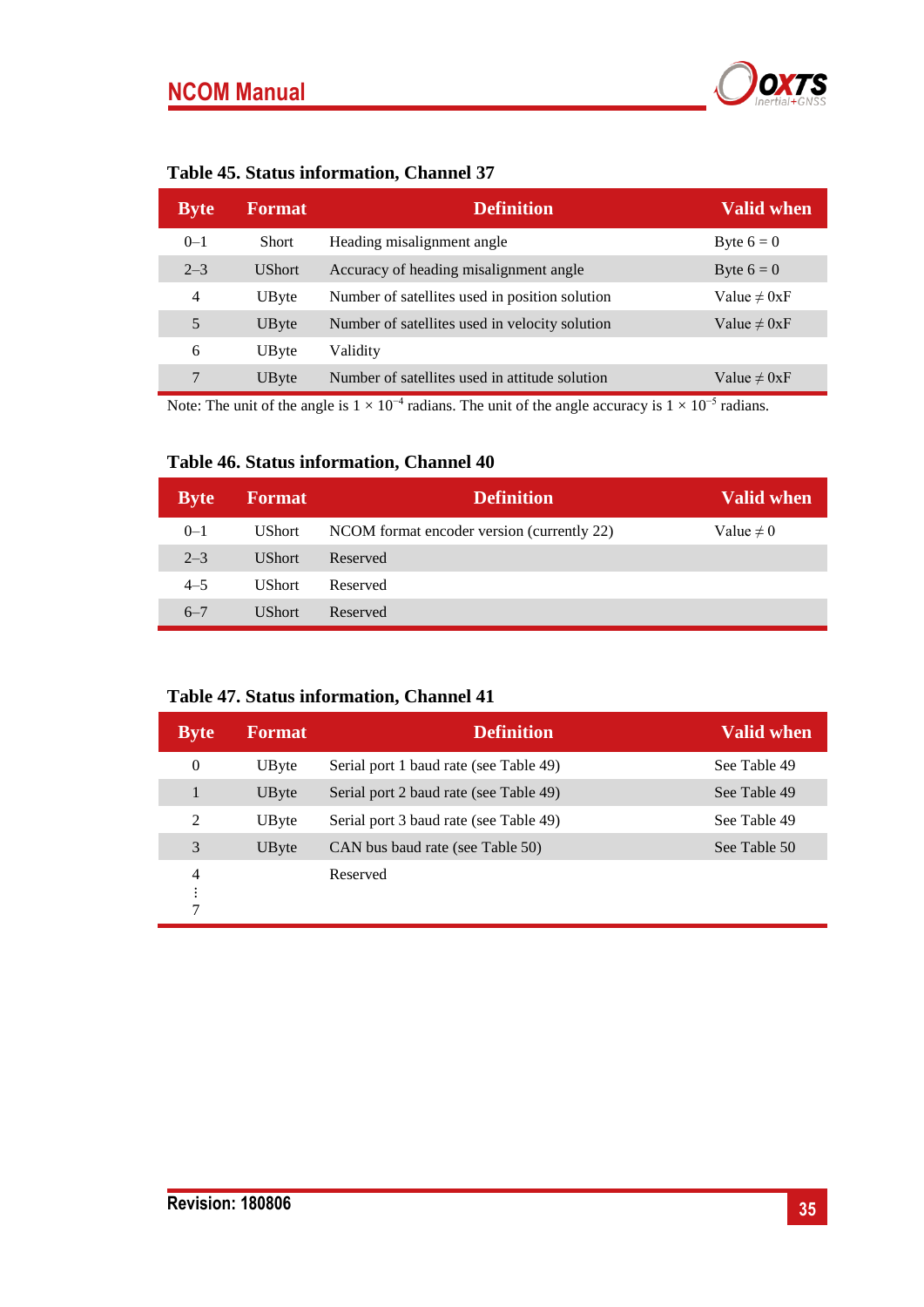# **NCOM Manual**



<span id="page-34-0"></span>

| <b>Byte</b>    | <b>Format</b> | <b>Definition</b>                              | <b>Valid when</b> |
|----------------|---------------|------------------------------------------------|-------------------|
| $0 - 1$        | <b>Short</b>  | Heading misalignment angle                     | Byte $6 = 0$      |
| $2 - 3$        | <b>UShort</b> | Accuracy of heading misalignment angle         | Byte $6 = 0$      |
| $\overline{4}$ | UByte         | Number of satellites used in position solution | Value $\neq 0xF$  |
| 5              | UByte         | Number of satellites used in velocity solution | Value $\neq 0xF$  |
| 6              | UByte         | Validity                                       |                   |
| 7              | UByte         | Number of satellites used in attitude solution | Value $\neq 0xF$  |

Note: The unit of the angle is  $1 \times 10^{-4}$  radians. The unit of the angle accuracy is  $1 \times 10^{-5}$  radians.

## <span id="page-34-1"></span>**Table 46. Status information, Channel 40**

| <b>Byte</b> | <b>Format</b> | <b>Definition</b>                          | Valid when     |
|-------------|---------------|--------------------------------------------|----------------|
| $0 - 1$     | <b>UShort</b> | NCOM format encoder version (currently 22) | Value $\neq 0$ |
| $2 - 3$     | UShort        | Reserved                                   |                |
| $4 - 5$     | UShort        | Reserved                                   |                |
| $6 - 7$     | <b>UShort</b> | Reserved                                   |                |

## <span id="page-34-2"></span>**Table 47. Status information, Channel 41**

| <b>Byte</b>         | <b>Format</b> | <b>Definition</b>                      | <b>Valid when</b> |
|---------------------|---------------|----------------------------------------|-------------------|
| $\theta$            | UByte         | Serial port 1 baud rate (see Table 49) | See Table 49      |
|                     | UByte         | Serial port 2 baud rate (see Table 49) | See Table 49      |
| 2                   | UByte         | Serial port 3 baud rate (see Table 49) | See Table 49      |
| 3                   | UByte         | CAN bus baud rate (see Table 50)       | See Table 50      |
| $\overline{4}$<br>7 |               | Reserved                               |                   |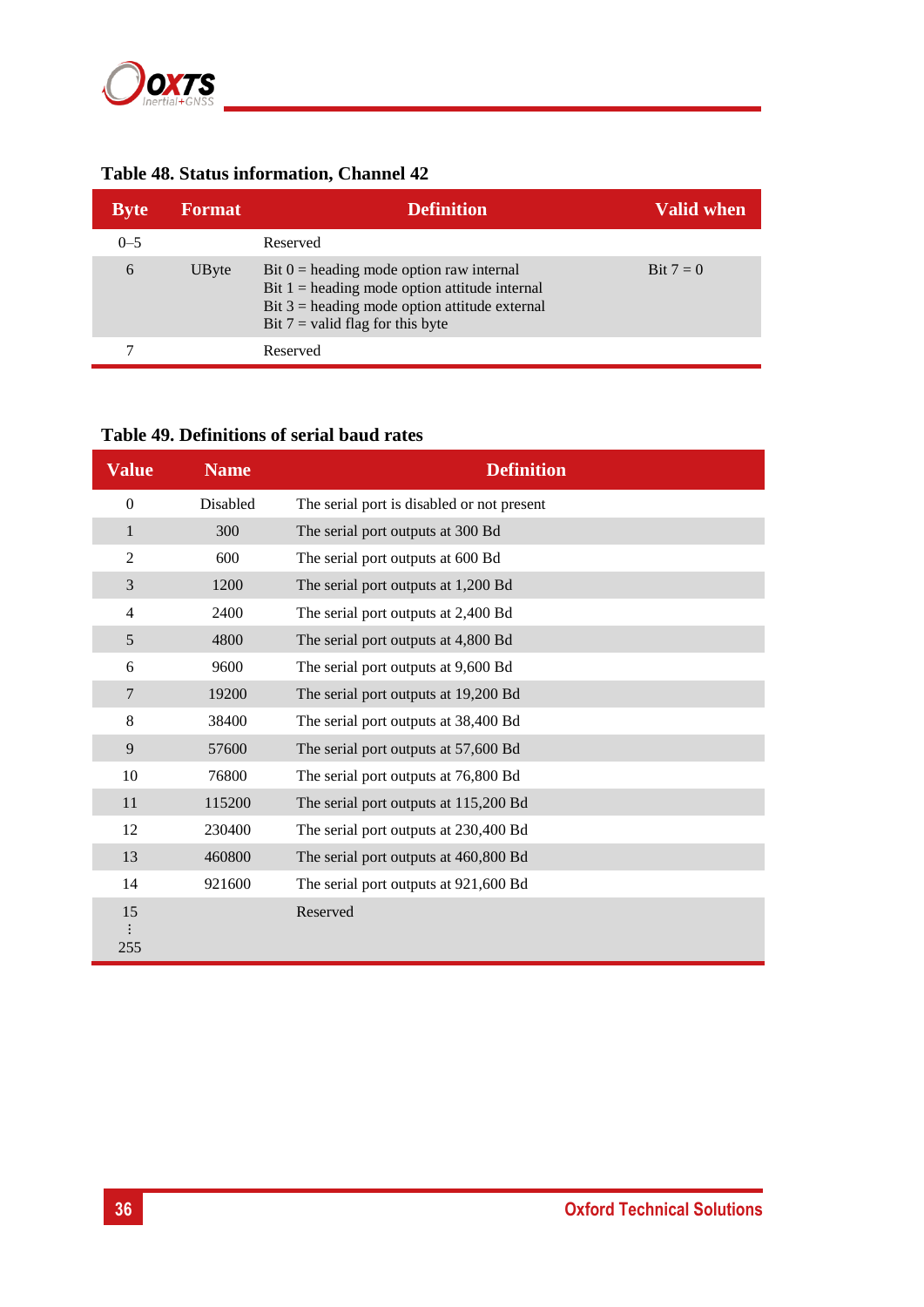

## <span id="page-35-0"></span>**Table 48. Status information, Channel 42**

| <b>Byte</b> | <b>Format</b> | <b>Definition</b>                                                                                                                                                                      | Valid when |
|-------------|---------------|----------------------------------------------------------------------------------------------------------------------------------------------------------------------------------------|------------|
| $0 - 5$     |               | Reserved                                                                                                                                                                               |            |
| 6           | UByte         | Bit $0$ = heading mode option raw internal<br>Bit $1$ = heading mode option attitude internal<br>Bit $3$ = heading mode option attitude external<br>Bit $7$ = valid flag for this byte | Bit $7=0$  |
|             |               | Reserved                                                                                                                                                                               |            |

## <span id="page-35-1"></span>**Table 49. Definitions of serial baud rates**

| <b>Value</b>             | <b>Name</b> | <b>Definition</b>                          |
|--------------------------|-------------|--------------------------------------------|
| $\overline{0}$           | Disabled    | The serial port is disabled or not present |
| $\mathbf{1}$             | 300         | The serial port outputs at 300 Bd          |
| 2                        | 600         | The serial port outputs at 600 Bd          |
| 3                        | 1200        | The serial port outputs at 1,200 Bd        |
| $\overline{\mathcal{A}}$ | 2400        | The serial port outputs at 2,400 Bd        |
| 5                        | 4800        | The serial port outputs at 4,800 Bd        |
| 6                        | 9600        | The serial port outputs at 9,600 Bd        |
| 7                        | 19200       | The serial port outputs at 19,200 Bd       |
| 8                        | 38400       | The serial port outputs at 38,400 Bd       |
| 9                        | 57600       | The serial port outputs at 57,600 Bd       |
| 10                       | 76800       | The serial port outputs at 76,800 Bd       |
| 11                       | 115200      | The serial port outputs at 115,200 Bd      |
| 12                       | 230400      | The serial port outputs at 230,400 Bd      |
| 13                       | 460800      | The serial port outputs at 460,800 Bd      |
| 14                       | 921600      | The serial port outputs at 921,600 Bd      |
| 15<br>255                |             | Reserved                                   |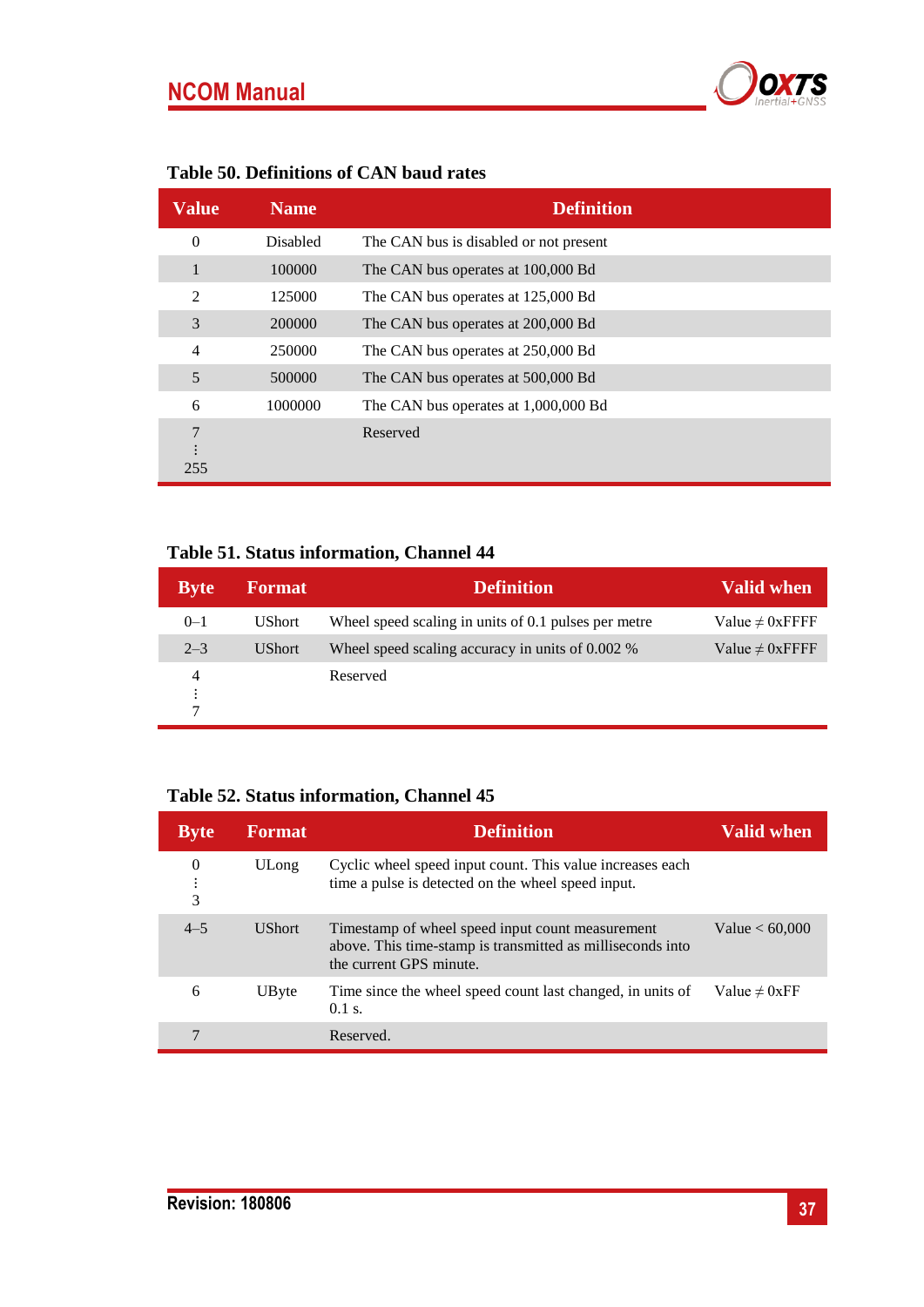

#### <span id="page-36-1"></span>**Table 50. Definitions of CAN baud rates**

| Value          | <b>Name</b>     | <b>Definition</b>                      |
|----------------|-----------------|----------------------------------------|
| $\theta$       | <b>Disabled</b> | The CAN bus is disabled or not present |
| 1              | 100000          | The CAN bus operates at 100,000 Bd     |
| 2              | 125000          | The CAN bus operates at 125,000 Bd     |
| 3              | 200000          | The CAN bus operates at 200,000 Bd     |
| $\overline{4}$ | 250000          | The CAN bus operates at 250,000 Bd     |
| 5              | 500000          | The CAN bus operates at 500,000 Bd     |
| 6              | 1000000         | The CAN bus operates at 1,000,000 Bd   |
| 7              |                 | Reserved                               |
| 255            |                 |                                        |

#### <span id="page-36-0"></span>**Table 51. Status information, Channel 44**

| <b>Byte</b>                 | <b>Format</b> | <b>Definition</b>                                    | <b>Valid when</b>    |
|-----------------------------|---------------|------------------------------------------------------|----------------------|
| $0 - 1$                     | <b>UShort</b> | Wheel speed scaling in units of 0.1 pulses per metre | Value $\neq 0$ xFFFF |
| $2 - 3$                     | <b>UShort</b> | Wheel speed scaling accuracy in units of 0.002 %     | Value $\neq 0$ xFFFF |
| 4<br>$\bullet$<br>$\bullet$ |               | Reserved                                             |                      |

## **Table 52. Status information, Channel 45**

| <b>Byte</b> | <b>Format</b> | <b>Definition</b>                                                                                                                         | <b>Valid when</b>  |
|-------------|---------------|-------------------------------------------------------------------------------------------------------------------------------------------|--------------------|
| 0<br>3      | ULong         | Cyclic wheel speed input count. This value increases each<br>time a pulse is detected on the wheel speed input.                           |                    |
| $4 - 5$     | <b>UShort</b> | Timestamp of wheel speed input count measurement<br>above. This time-stamp is transmitted as milliseconds into<br>the current GPS minute. | Value $< 60,000$   |
| 6           | UByte         | Time since the wheel speed count last changed, in units of<br>$0.1$ s.                                                                    | Value $\neq 0$ xFF |
|             |               | Reserved.                                                                                                                                 |                    |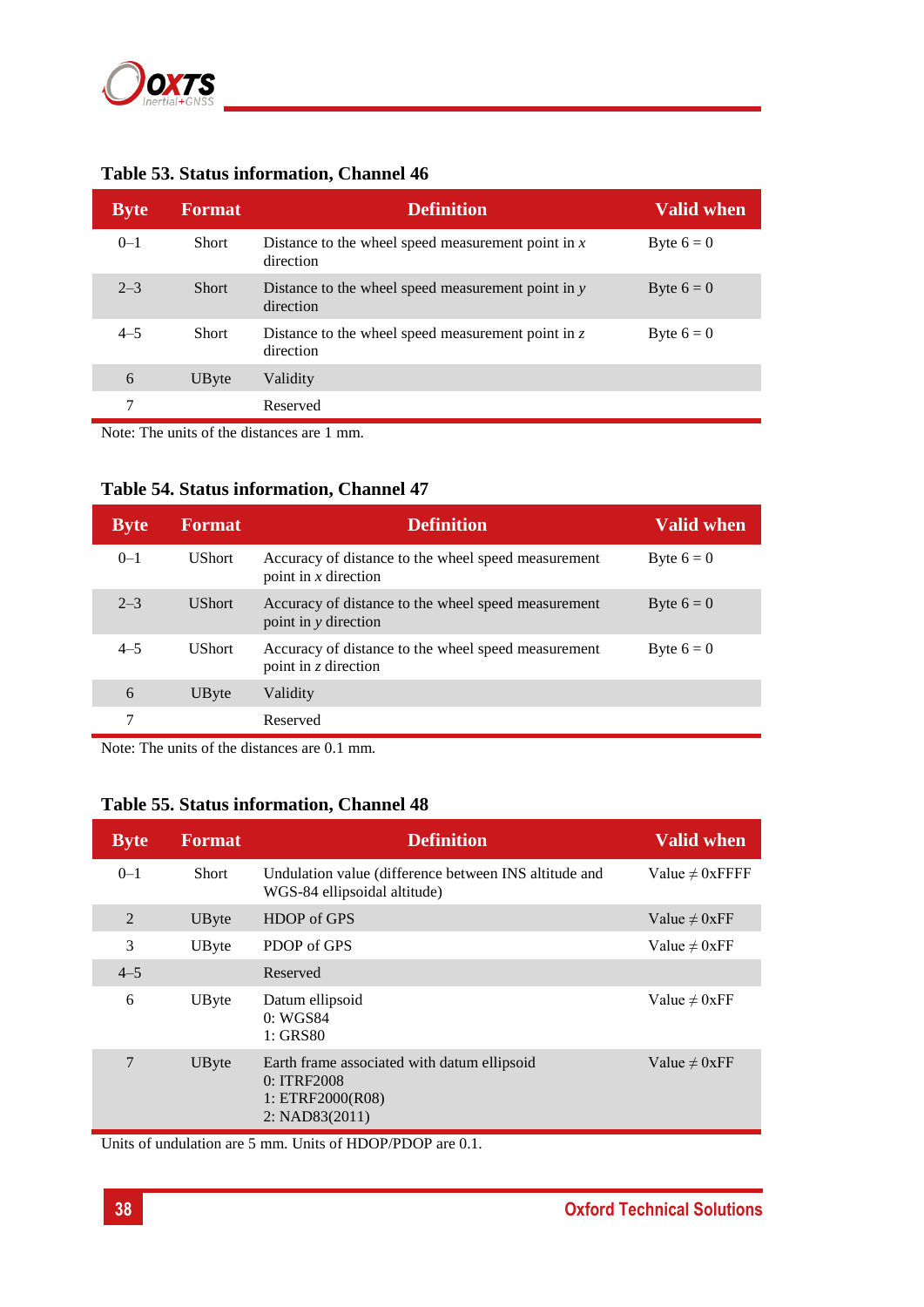

| <b>Byte</b> | <b>Format</b> | <b>Definition</b>                                                 | <b>Valid when</b> |
|-------------|---------------|-------------------------------------------------------------------|-------------------|
| $0 - 1$     | <b>Short</b>  | Distance to the wheel speed measurement point in $x$<br>direction | Byte $6 = 0$      |
| $2 - 3$     | <b>Short</b>  | Distance to the wheel speed measurement point in $y$<br>direction | Byte $6 = 0$      |
| $4 - 5$     | <b>Short</b>  | Distance to the wheel speed measurement point in $z$<br>direction | Byte $6 = 0$      |
| 6           | UByte         | Validity                                                          |                   |
| 7           |               | Reserved                                                          |                   |

## <span id="page-37-0"></span>**Table 53. Status information, Channel 46**

Note: The units of the distances are 1 mm.

#### <span id="page-37-1"></span>**Table 54. Status information, Channel 47**

| <b>Byte</b> | <b>Format</b> | <b>Definition</b>                                                             | <b>Valid when</b> |
|-------------|---------------|-------------------------------------------------------------------------------|-------------------|
| $0 - 1$     | <b>UShort</b> | Accuracy of distance to the wheel speed measurement<br>point in $x$ direction | Byte $6 = 0$      |
| $2 - 3$     | <b>UShort</b> | Accuracy of distance to the wheel speed measurement<br>point in y direction   | Byte $6 = 0$      |
| $4 - 5$     | <b>UShort</b> | Accuracy of distance to the wheel speed measurement<br>point in $z$ direction | Byte $6 = 0$      |
| 6           | UByte         | Validity                                                                      |                   |
|             |               | Reserved                                                                      |                   |

Note: The units of the distances are 0.1 mm.

#### **Table 55. Status information, Channel 48**

| <b>Byte</b> | <b>Format</b> | <b>Definition</b>                                                                                | <b>Valid when</b>    |
|-------------|---------------|--------------------------------------------------------------------------------------------------|----------------------|
| $0 - 1$     | <b>Short</b>  | Undulation value (difference between INS altitude and<br>WGS-84 ellipsoidal altitude)            | Value $\neq 0$ xFFFF |
| 2           | UByte         | HDOP of GPS                                                                                      | Value $\neq 0$ xFF   |
| 3           | UByte         | PDOP of GPS                                                                                      | Value $\neq 0$ xFF   |
| $4 - 5$     |               | Reserved                                                                                         |                      |
| 6           | UByte         | Datum ellipsoid<br>0: WGS84<br>$1:$ GRS80                                                        | Value $\neq 0$ xFF   |
| 7           | UByte         | Earth frame associated with datum ellipsoid<br>0: ITRF2008<br>1: ETRF2000(R08)<br>2: NAD83(2011) | Value $\neq 0$ xFF   |

Units of undulation are 5 mm. Units of HDOP/PDOP are 0.1.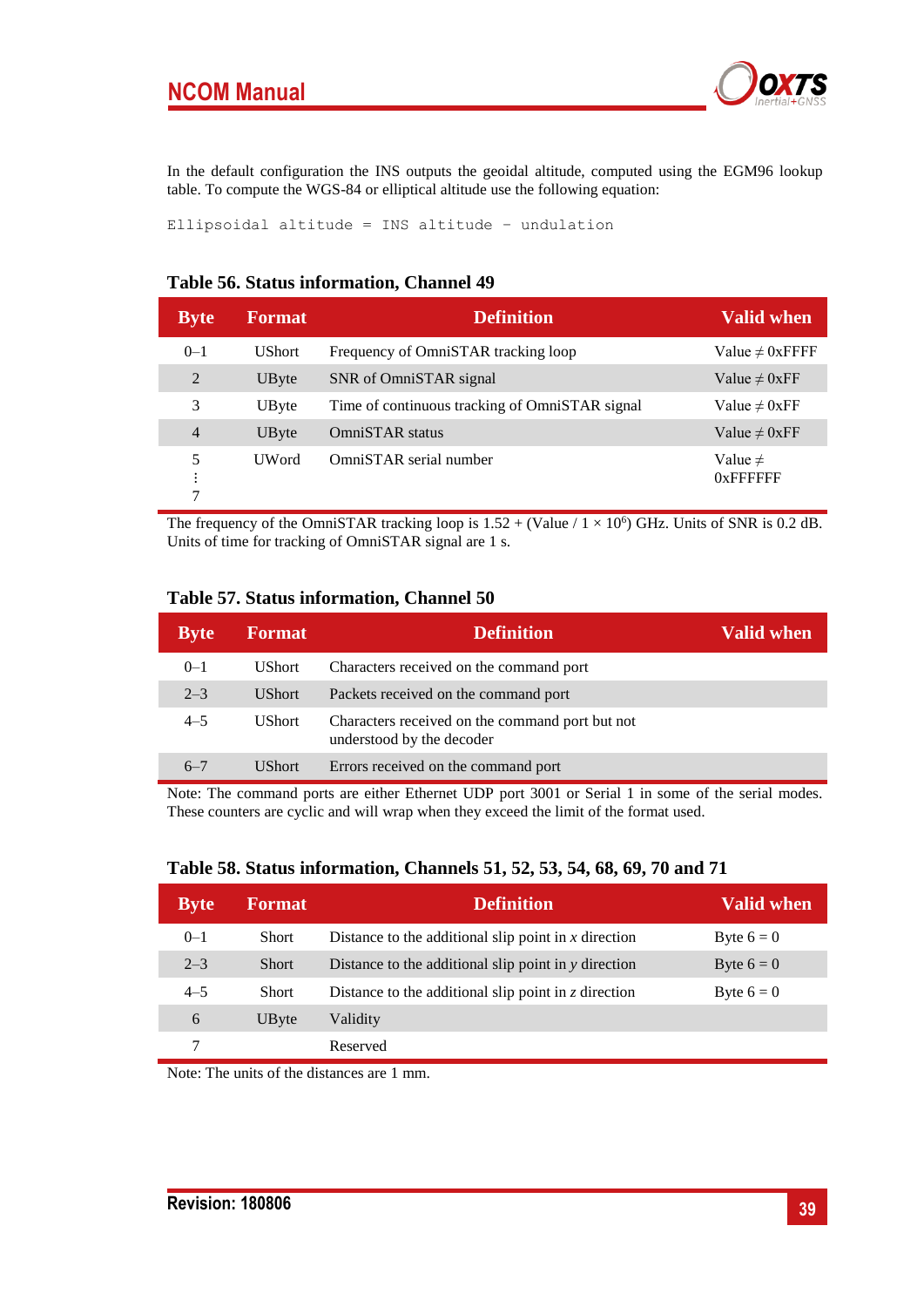## **NCOM Manual**



In the default configuration the INS outputs the geoidal altitude, computed using the EGM96 lookup table. To compute the WGS-84 or elliptical altitude use the following equation:

Ellipsoidal altitude = INS altitude − undulation

#### **Table 56. Status information, Channel 49**

| <b>Byte</b>                               | <b>Format</b> | <b>Definition</b>                              | <b>Valid when</b>           |
|-------------------------------------------|---------------|------------------------------------------------|-----------------------------|
| $0 - 1$                                   | <b>UShort</b> | Frequency of OmniSTAR tracking loop            | Value $\neq 0$ xFFFF        |
| 2                                         | UByte         | SNR of OmniSTAR signal                         | Value $\neq 0$ xFF          |
| 3                                         | UByte         | Time of continuous tracking of OmniSTAR signal | Value $\neq 0$ xFF          |
| $\overline{4}$                            | UByte         | OmniSTAR status                                | Value $\neq 0$ xFF          |
| 5<br>٠<br>٠<br>$\bullet$<br>$\mathcal{L}$ | <b>UWord</b>  | OmniSTAR serial number                         | Value $\neq$<br>$0x$ FFFFFF |

The frequency of the OmniSTAR tracking loop is  $1.52 + (Value / 1 \times 10^6)$  GHz. Units of SNR is 0.2 dB. Units of time for tracking of OmniSTAR signal are 1 s.

#### <span id="page-38-0"></span>**Table 57. Status information, Channel 50**

| <b>Byte</b> | <b>Format</b> | <b>Definition</b>                                                            | Valid when |
|-------------|---------------|------------------------------------------------------------------------------|------------|
| $0 - 1$     | <b>UShort</b> | Characters received on the command port                                      |            |
| $2 - 3$     | <b>UShort</b> | Packets received on the command port                                         |            |
| $4 - 5$     | <b>UShort</b> | Characters received on the command port but not<br>understood by the decoder |            |
| $6 - 7$     | <b>UShort</b> | Errors received on the command port                                          |            |

Note: The command ports are either Ethernet UDP port 3001 or Serial 1 in some of the serial modes. These counters are cyclic and will wrap when they exceed the limit of the format used.

| <b>Byte</b> | <b>Format</b> | <b>Definition</b>                                          | <b>Valid when</b> |
|-------------|---------------|------------------------------------------------------------|-------------------|
| $0 - 1$     | <b>Short</b>  | Distance to the additional slip point in $x$ direction     | Byte $6 = 0$      |
| $2 - 3$     | <b>Short</b>  | Distance to the additional slip point in y direction       | Byte $6 = 0$      |
| $4 - 5$     | <b>Short</b>  | Distance to the additional slip point in $\zeta$ direction | Byte $6 = 0$      |
| 6           | UByte         | Validity                                                   |                   |
|             |               | Reserved                                                   |                   |

#### <span id="page-38-1"></span>**Table 58. Status information, Channels 51, 52, 53, 54, 68, 69, 70 and 71**

Note: The units of the distances are 1 mm.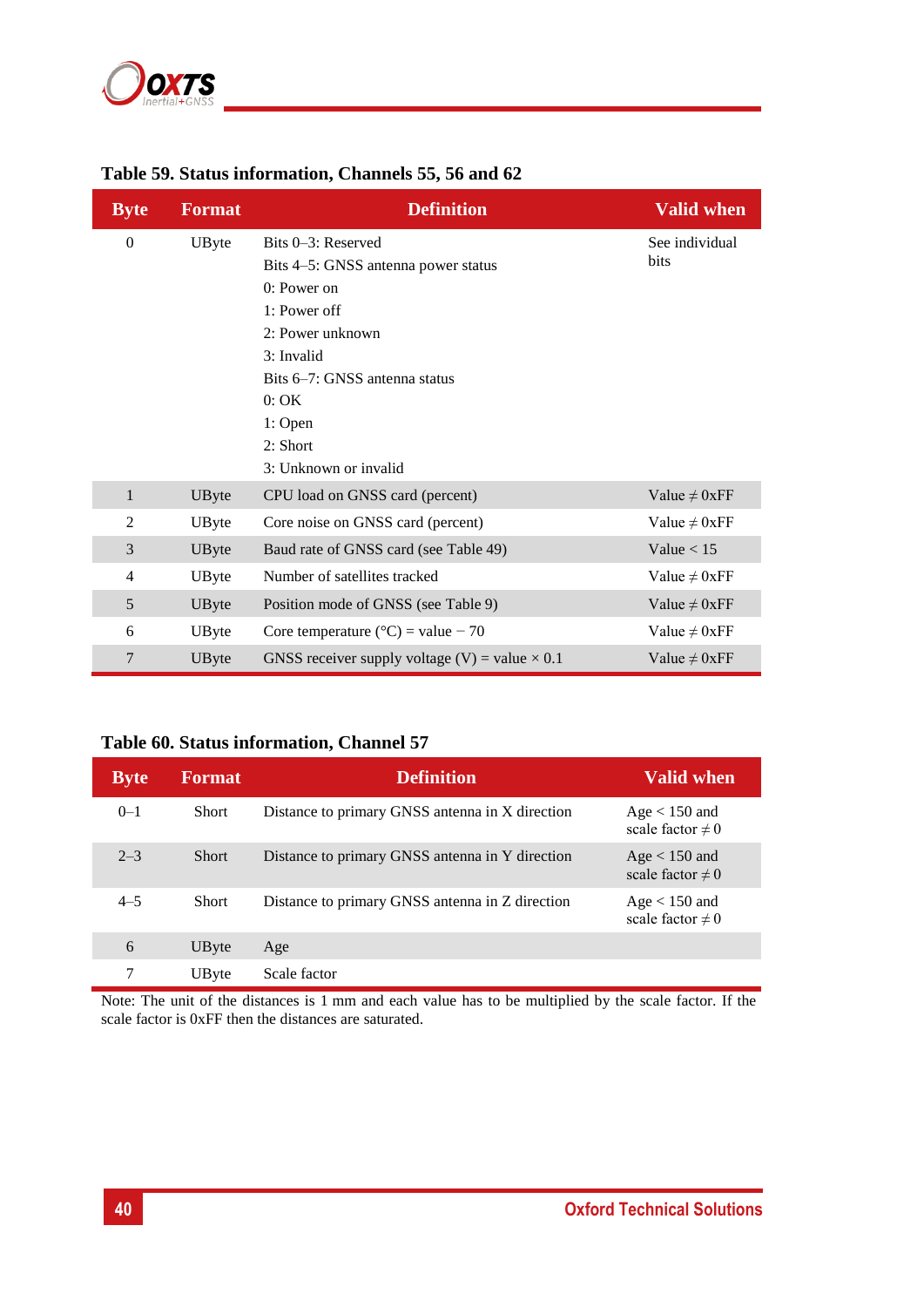

| <b>Byte</b>    | <b>Format</b> | <b>Definition</b>                                                                                                                                                   | <b>Valid when</b>      |
|----------------|---------------|---------------------------------------------------------------------------------------------------------------------------------------------------------------------|------------------------|
| $\mathbf{0}$   | UByte         | Bits 0–3: Reserved<br>Bits 4–5: GNSS antenna power status<br>0: Power on<br>1: Power off<br>2: Power unknown<br>3: Invalid<br>Bits 6–7: GNSS antenna status<br>0:OK | See individual<br>bits |
|                |               | 1: Open<br>2: Short<br>3: Unknown or invalid                                                                                                                        |                        |
| $\mathbf{1}$   | UByte         | CPU load on GNSS card (percent)                                                                                                                                     | Value $\neq 0$ xFF     |
| 2              | UByte         | Core noise on GNSS card (percent)                                                                                                                                   | Value $\neq 0$ xFF     |
| 3              | UByte         | Baud rate of GNSS card (see Table 49)                                                                                                                               | Value $< 15$           |
| $\overline{4}$ | UByte         | Number of satellites tracked                                                                                                                                        | Value $\neq 0$ xFF     |
| 5              | UByte         | Position mode of GNSS (see Table 9)                                                                                                                                 | Value $\neq 0$ xFF     |
| 6              | UByte         | Core temperature ( $^{\circ}$ C) = value - 70                                                                                                                       | Value $\neq 0$ xFF     |
| 7              | UByte         | GNSS receiver supply voltage (V) = value $\times$ 0.1                                                                                                               | Value $\neq 0$ xFF     |

## <span id="page-39-0"></span>**Table 59. Status information, Channels 55, 56 and 62**

## <span id="page-39-1"></span>**Table 60. Status information, Channel 57**

| <b>Byte</b> | <b>Format</b> | <b>Definition</b>                               | <b>Valid when</b>                        |
|-------------|---------------|-------------------------------------------------|------------------------------------------|
| $0 - 1$     | <b>Short</b>  | Distance to primary GNSS antenna in X direction | $Age < 150$ and<br>scale factor $\neq 0$ |
| $2 - 3$     | <b>Short</b>  | Distance to primary GNSS antenna in Y direction | Age $<$ 150 and<br>scale factor $\neq 0$ |
| $4 - 5$     | <b>Short</b>  | Distance to primary GNSS antenna in Z direction | $Age < 150$ and<br>scale factor $\neq 0$ |
| 6           | UByte         | Age                                             |                                          |
| 7           | UByte         | Scale factor                                    |                                          |

Note: The unit of the distances is 1 mm and each value has to be multiplied by the scale factor. If the scale factor is 0xFF then the distances are saturated.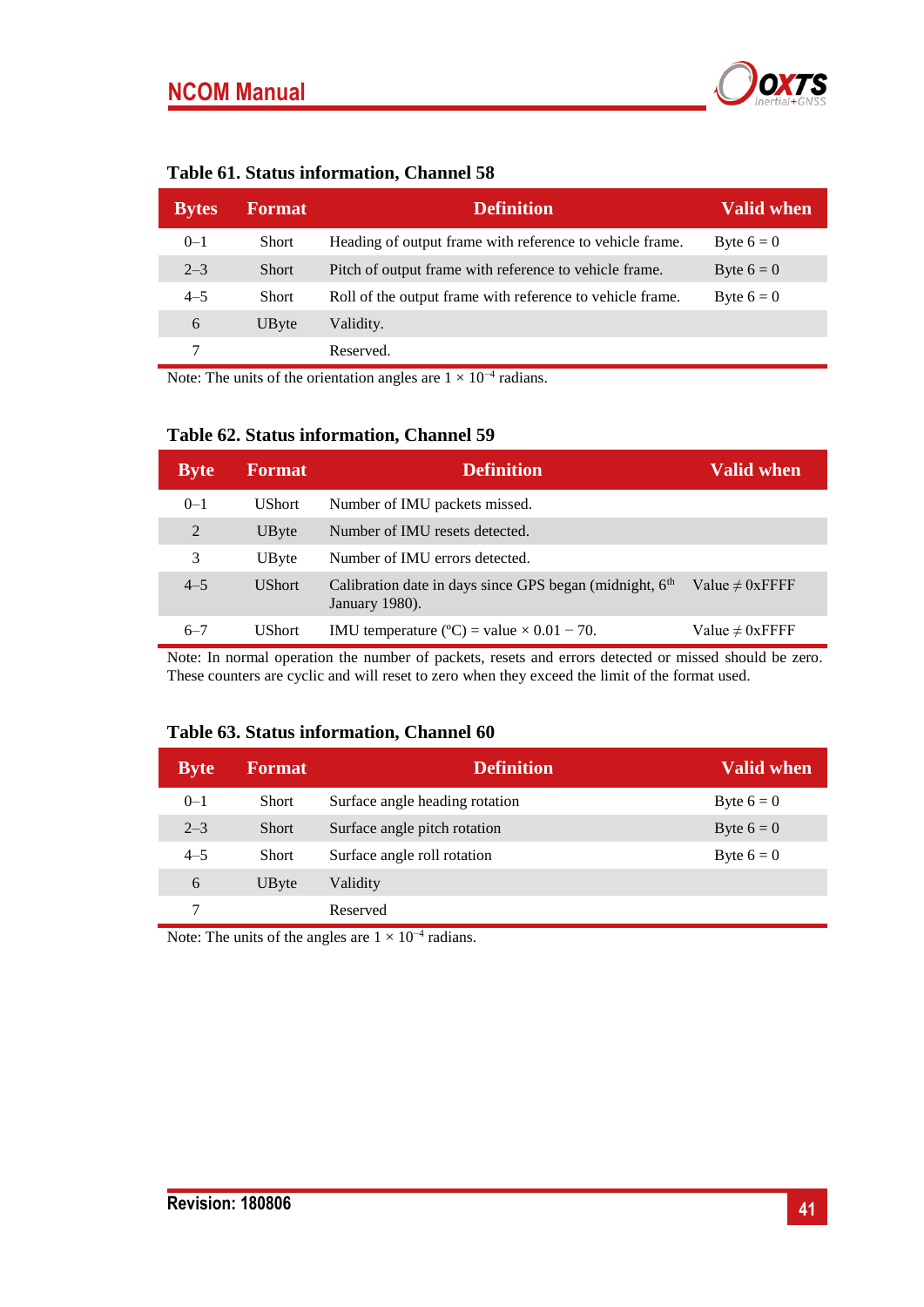

<span id="page-40-0"></span>

| <b>Bytes</b> | <b>Format</b> | <b>Definition</b>                                         | <b>Valid when</b> |
|--------------|---------------|-----------------------------------------------------------|-------------------|
| $0 - 1$      | <b>Short</b>  | Heading of output frame with reference to vehicle frame.  | Byte $6 = 0$      |
| $2 - 3$      | <b>Short</b>  | Pitch of output frame with reference to vehicle frame.    | Byte $6 = 0$      |
| $4 - 5$      | <b>Short</b>  | Roll of the output frame with reference to vehicle frame. | Byte $6 = 0$      |
| 6            | UByte         | Validity.                                                 |                   |
|              |               | Reserved.                                                 |                   |

Note: The units of the orientation angles are  $1 \times 10^{-4}$  radians.

#### <span id="page-40-1"></span>**Table 62. Status information, Channel 59**

| <b>Byte</b> | <b>Format</b> | <b>Definition</b>                                                                       | <b>Valid when</b>    |
|-------------|---------------|-----------------------------------------------------------------------------------------|----------------------|
| $0 - 1$     | <b>UShort</b> | Number of IMU packets missed.                                                           |                      |
| 2           | UByte         | Number of IMU resets detected.                                                          |                      |
| 3           | UByte         | Number of IMU errors detected.                                                          |                      |
| $4 - 5$     | <b>UShort</b> | Calibration date in days since GPS began (midnight, 6 <sup>th</sup> )<br>January 1980). | Value $\neq 0$ xFFFF |
| $6 - 7$     | <b>UShort</b> | IMU temperature ( $^{\circ}$ C) = value $\times$ 0.01 - 70.                             | Value $\neq 0$ xFFFF |

Note: In normal operation the number of packets, resets and errors detected or missed should be zero. These counters are cyclic and will reset to zero when they exceed the limit of the format used.

#### <span id="page-40-2"></span>**Table 63. Status information, Channel 60**

| <b>Byte</b> | <b>Format</b> | <b>Definition</b>              | <b>Valid when</b> |
|-------------|---------------|--------------------------------|-------------------|
| $0 - 1$     | <b>Short</b>  | Surface angle heading rotation | Byte $6 = 0$      |
| $2 - 3$     | <b>Short</b>  | Surface angle pitch rotation   | Byte $6 = 0$      |
| $4 - 5$     | Short         | Surface angle roll rotation    | Byte $6 = 0$      |
| 6           | UByte         | Validity                       |                   |
| 7           |               | Reserved                       |                   |

Note: The units of the angles are  $1 \times 10^{-4}$  radians.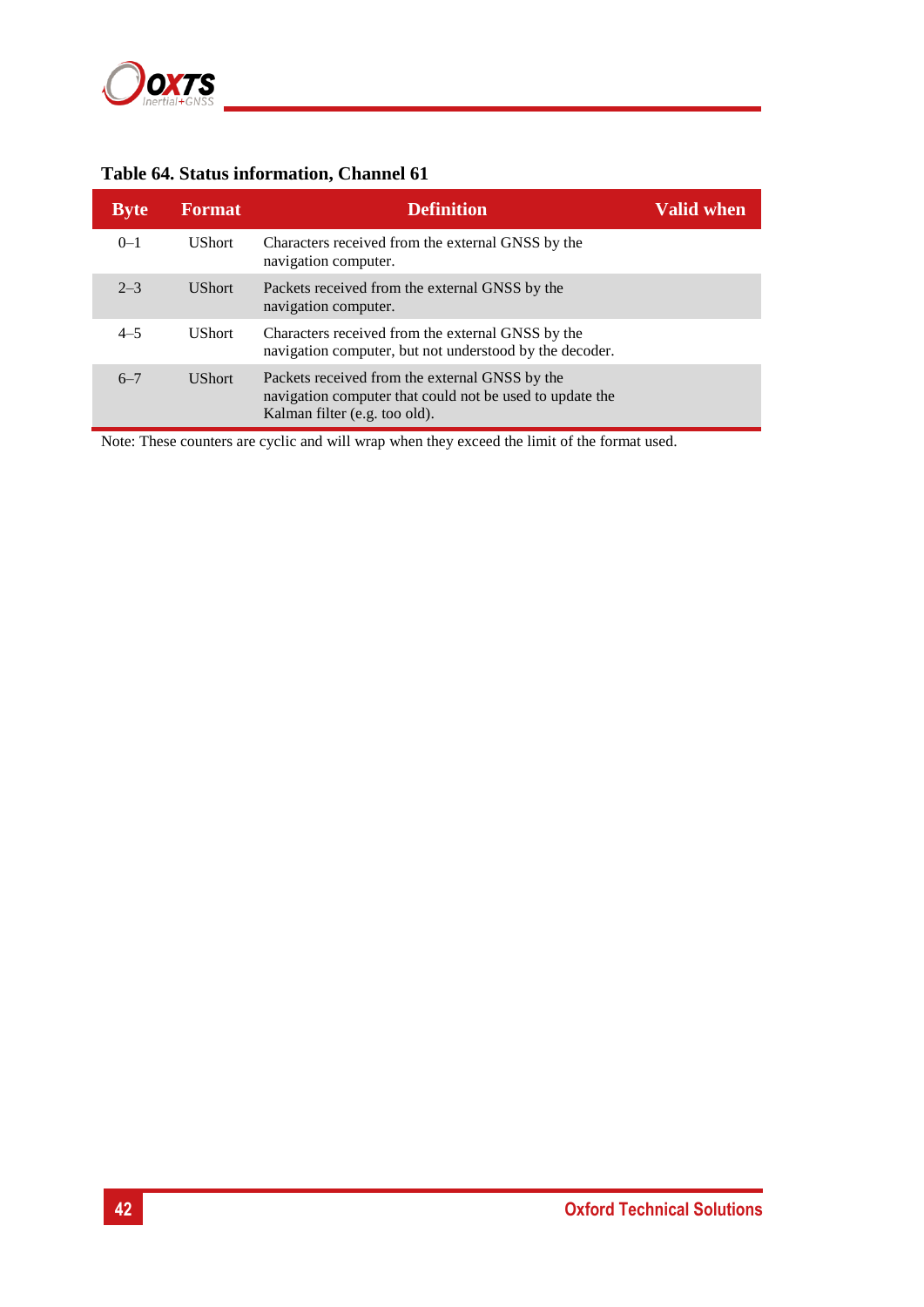

## <span id="page-41-0"></span>**Table 64. Status information, Channel 61**

| <b>Byte</b> | <b>Format</b> | <b>Definition</b>                                                                                                                           | <b>Valid when</b> |
|-------------|---------------|---------------------------------------------------------------------------------------------------------------------------------------------|-------------------|
| $0 - 1$     | <b>UShort</b> | Characters received from the external GNSS by the<br>navigation computer.                                                                   |                   |
| $2 - 3$     | <b>UShort</b> | Packets received from the external GNSS by the<br>navigation computer.                                                                      |                   |
| $4 - 5$     | <b>UShort</b> | Characters received from the external GNSS by the<br>navigation computer, but not understood by the decoder.                                |                   |
| $6 - 7$     | <b>UShort</b> | Packets received from the external GNSS by the<br>navigation computer that could not be used to update the<br>Kalman filter (e.g. too old). |                   |

Note: These counters are cyclic and will wrap when they exceed the limit of the format used.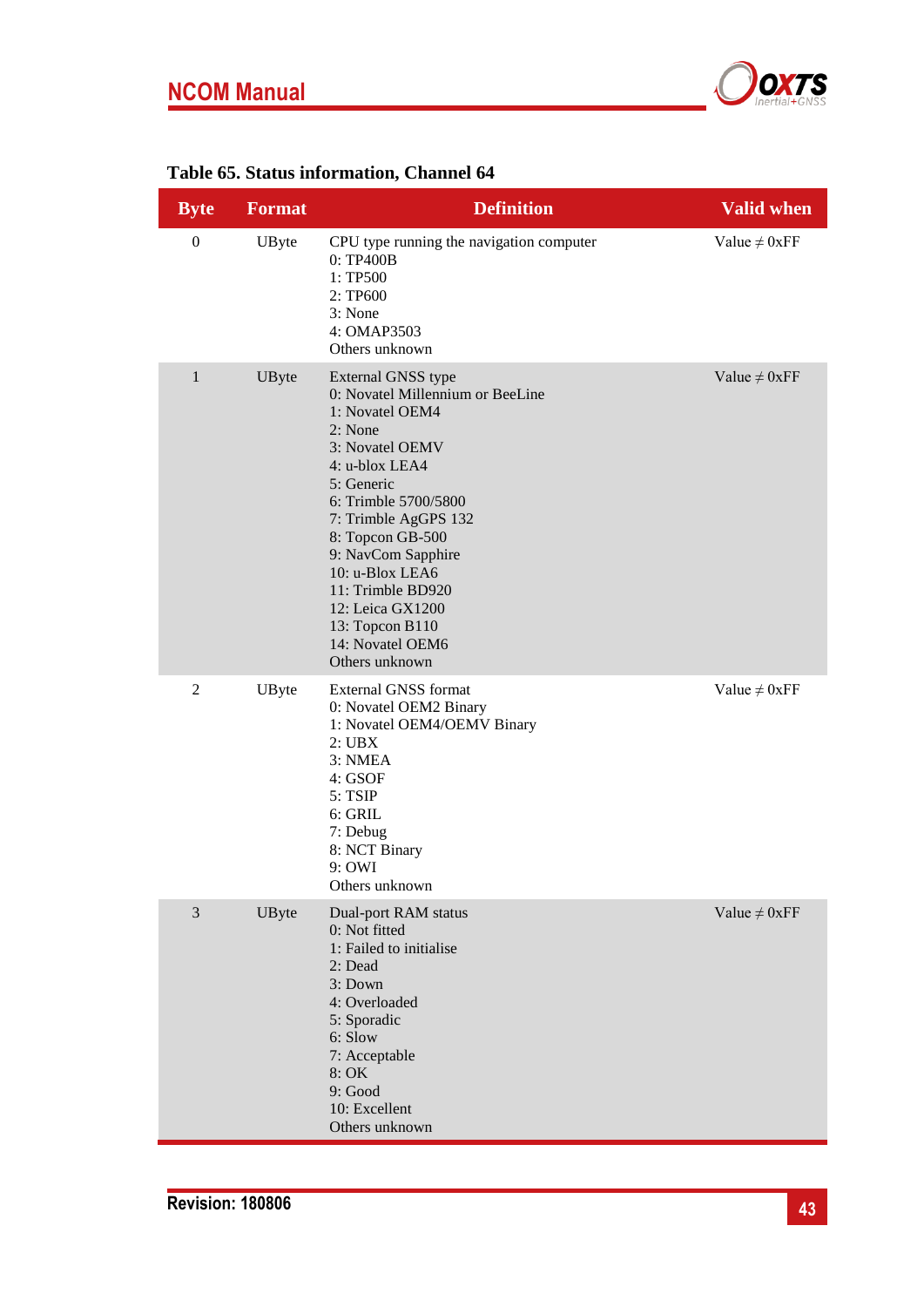# **NCOM Manual**



## <span id="page-42-0"></span>**Table 65. Status information, Channel 64**

| <b>Byte</b>      | <b>Format</b> | <b>Definition</b>                                                                                                                                                                                                                                                                                                                                      | <b>Valid when</b>  |
|------------------|---------------|--------------------------------------------------------------------------------------------------------------------------------------------------------------------------------------------------------------------------------------------------------------------------------------------------------------------------------------------------------|--------------------|
| $\boldsymbol{0}$ | UByte         | CPU type running the navigation computer<br>0: TP400B<br>1: TP500<br>2: TP600<br>3: None<br>4: OMAP3503<br>Others unknown                                                                                                                                                                                                                              | Value $\neq 0$ xFF |
| $\mathbf{1}$     | UByte         | External GNSS type<br>0: Novatel Millennium or BeeLine<br>1: Novatel OEM4<br>2: None<br>3: Novatel OEMV<br>4: u-blox LEA4<br>5: Generic<br>6: Trimble 5700/5800<br>7: Trimble AgGPS 132<br>8: Topcon GB-500<br>9: NavCom Sapphire<br>10: u-Blox LEA6<br>11: Trimble BD920<br>12: Leica GX1200<br>13: Topcon B110<br>14: Novatel OEM6<br>Others unknown | Value $\neq 0$ xFF |
| $\overline{c}$   | UByte         | External GNSS format<br>0: Novatel OEM2 Binary<br>1: Novatel OEM4/OEMV Binary<br>2:UBX<br>3: NMEA<br>4: GSOF<br>5: TSIP<br>6: GRIL<br>7: Debug<br>8: NCT Binary<br>9: OWI<br>Others unknown                                                                                                                                                            | Value $\neq 0$ xFF |
| 3                | UByte         | Dual-port RAM status<br>0: Not fitted<br>1: Failed to initialise<br>2: Dead<br>3: Down<br>4: Overloaded<br>5: Sporadic<br>6: Slow<br>7: Acceptable<br>8: OK<br>9: Good<br>10: Excellent<br>Others unknown                                                                                                                                              | Value $\neq 0$ xFF |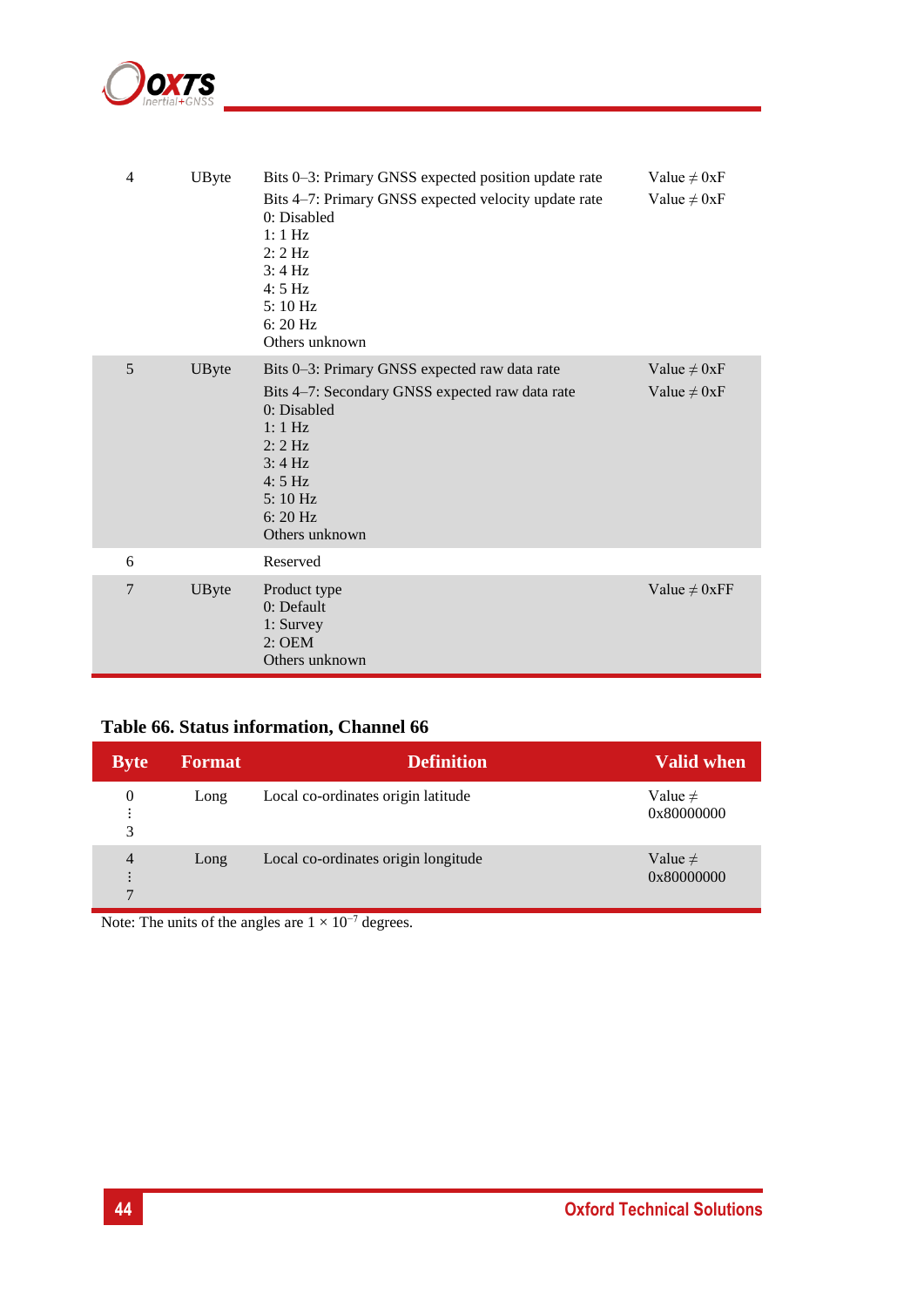

| $\overline{4}$ | <b>UByte</b> | Bits 0-3: Primary GNSS expected position update rate                                                                                                                                                                        | Value $\neq 0xF$                     |
|----------------|--------------|-----------------------------------------------------------------------------------------------------------------------------------------------------------------------------------------------------------------------------|--------------------------------------|
|                |              | Bits 4–7: Primary GNSS expected velocity update rate<br>0: Disabled<br>$1:1$ Hz<br>$2:2$ Hz<br>3:4 Hz<br>$4:5$ Hz<br>5:10 Hz<br>$6:20\,\mathrm{Hz}$<br>Others unknown                                                       | Value $\neq 0xF$                     |
| 5              | UByte        | Bits 0–3: Primary GNSS expected raw data rate<br>Bits 4–7: Secondary GNSS expected raw data rate<br>0: Disabled<br>$1:1$ Hz<br>$2:2$ Hz<br>$3:4 \text{ Hz}$<br>$4:5$ Hz<br>5:10 Hz<br>$6:20\,\mathrm{Hz}$<br>Others unknown | Value $\neq 0xF$<br>Value $\neq 0xF$ |
| 6              |              | Reserved                                                                                                                                                                                                                    |                                      |
| $\overline{7}$ | UByte        | Product type<br>0: Default<br>1: Survey<br>$2:$ OEM<br>Others unknown                                                                                                                                                       | Value $\neq 0$ xFF                   |

## <span id="page-43-0"></span>**Table 66. Status information, Channel 66**

| <b>Byte</b>                                      | <b>Format</b> | <b>Definition</b>                   | Valid when                 |
|--------------------------------------------------|---------------|-------------------------------------|----------------------------|
| 0<br>٠<br>٠<br>3                                 | Long          | Local co-ordinates origin latitude  | Value $\neq$<br>0x80000000 |
| $\overline{4}$<br>$\ddot{\cdot}$<br>$\mathbf{r}$ | Long          | Local co-ordinates origin longitude | Value $\neq$<br>0x80000000 |

Note: The units of the angles are  $1 \times 10^{-7}$  degrees.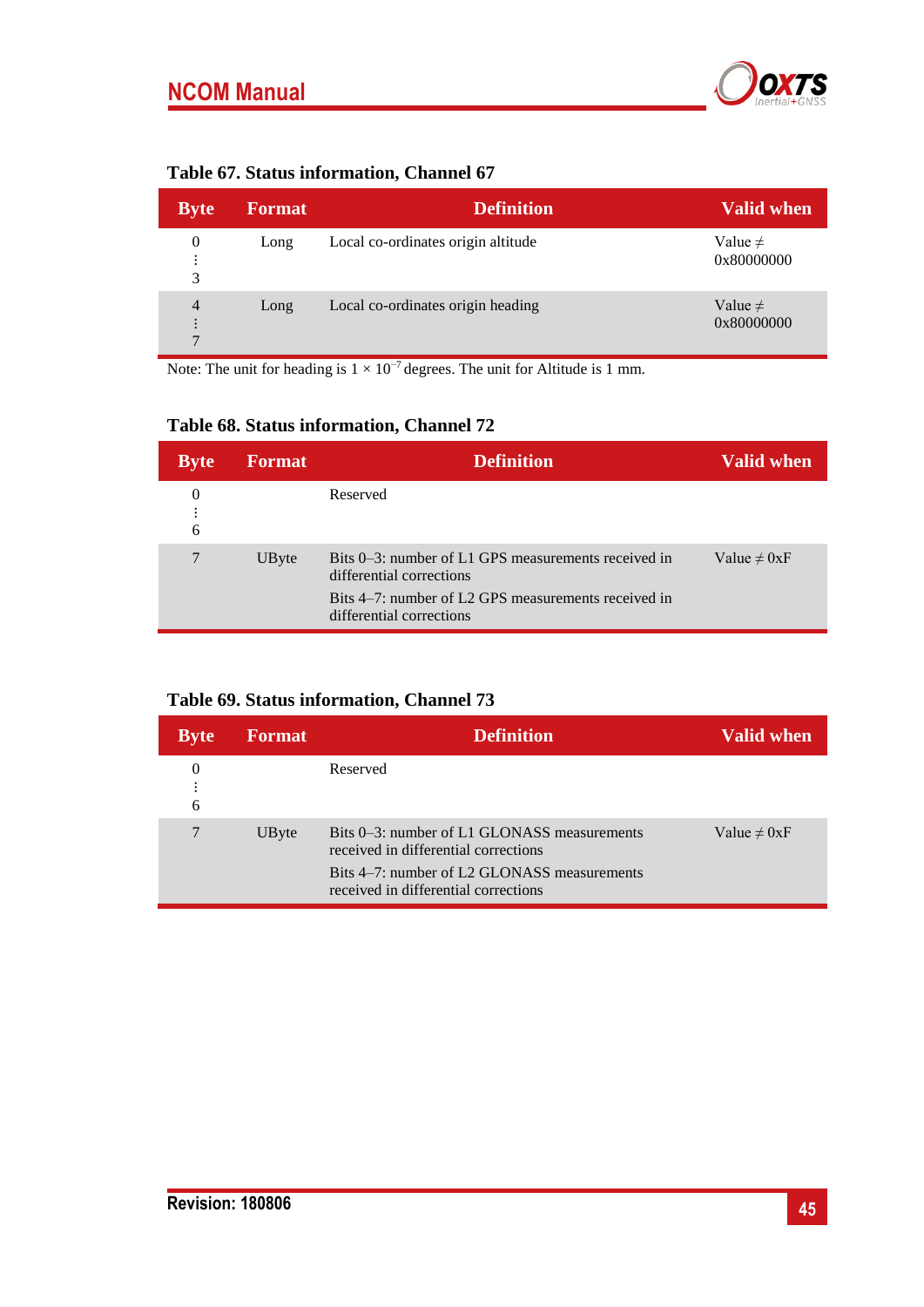

<span id="page-44-0"></span>

|  | Table 67. Status information, Channel 67 |  |
|--|------------------------------------------|--|
|  |                                          |  |

| <b>Byte</b>                           | <b>Format</b> | <b>Definition</b>                  | Valid when                 |
|---------------------------------------|---------------|------------------------------------|----------------------------|
| 0<br>٠<br>$\bullet$<br>3              | Long          | Local co-ordinates origin altitude | Value $\neq$<br>0x80000000 |
| 4<br>$\ddot{\cdot}$<br>$\overline{ }$ | Long          | Local co-ordinates origin heading  | Value $\neq$<br>0x80000000 |

Note: The unit for heading is  $1 \times 10^{-7}$  degrees. The unit for Altitude is 1 mm.

## <span id="page-44-1"></span>**Table 68. Status information, Channel 72**

| <b>Byte</b> | <b>Format</b> | <b>Definition</b>                                                                                                                                                  | <b>Valid when</b> |
|-------------|---------------|--------------------------------------------------------------------------------------------------------------------------------------------------------------------|-------------------|
| 0<br>6      |               | Reserved                                                                                                                                                           |                   |
|             | UByte         | Bits 0–3: number of L1 GPS measurements received in<br>differential corrections<br>Bits 4–7: number of L2 GPS measurements received in<br>differential corrections | Value $\neq 0xF$  |

## <span id="page-44-2"></span>**Table 69. Status information, Channel 73**

| <b>Byte</b> | <b>Format</b> | <b>Definition</b>                                                                                                                                                          | <b>Valid when</b> |
|-------------|---------------|----------------------------------------------------------------------------------------------------------------------------------------------------------------------------|-------------------|
| 6           |               | Reserved                                                                                                                                                                   |                   |
|             | UByte         | Bits 0-3: number of L1 GLONASS measurements<br>received in differential corrections<br>Bits 4–7: number of L2 GLONASS measurements<br>received in differential corrections | Value $\neq 0xF$  |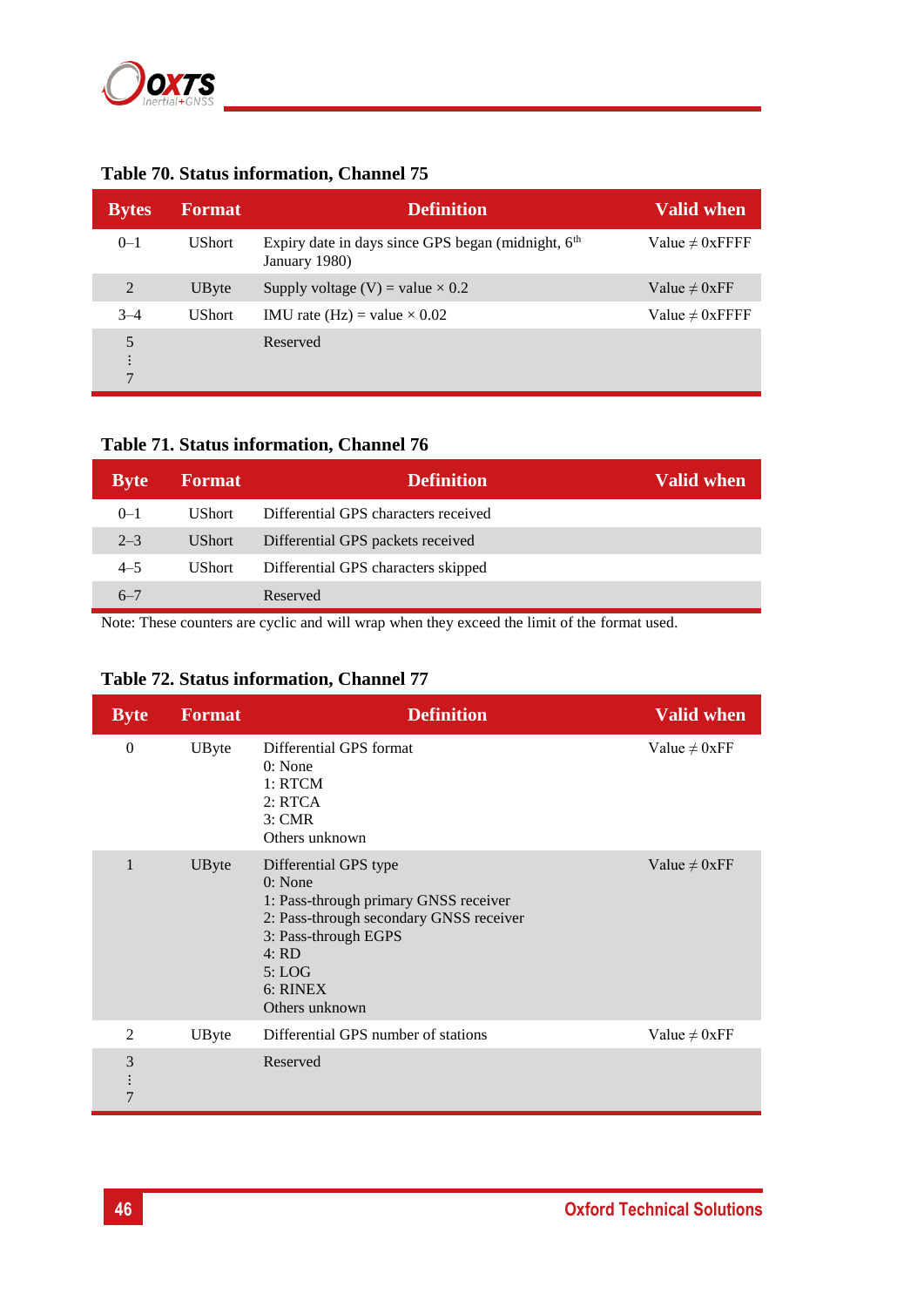

| <b>Bytes</b>       | <b>Format</b> | <b>Definition</b>                                                                 | <b>Valid when</b>    |
|--------------------|---------------|-----------------------------------------------------------------------------------|----------------------|
| $0 - 1$            | <b>UShort</b> | Expiry date in days since GPS began (midnight, 6 <sup>th</sup> )<br>January 1980) | Value $\neq 0$ xFFFF |
| 2                  | UByte         | Supply voltage (V) = value $\times$ 0.2                                           | Value $\neq 0$ xFF   |
| $3 - 4$            | <b>UShort</b> | IMU rate (Hz) = value $\times$ 0.02                                               | Value $\neq 0$ xFFFF |
| 5<br>$\mathcal{I}$ |               | Reserved                                                                          |                      |

## <span id="page-45-0"></span>**Table 70. Status information, Channel 75**

## <span id="page-45-1"></span>**Table 71. Status information, Channel 76**

| <b>Byte</b> | <b>Format</b> | <b>Definition</b>                    | Valid when, |
|-------------|---------------|--------------------------------------|-------------|
| $0 - 1$     | UShort.       | Differential GPS characters received |             |
| $2 - 3$     | <b>UShort</b> | Differential GPS packets received    |             |
| $4 - 5$     | <b>UShort</b> | Differential GPS characters skipped  |             |
| $6 - 7$     |               | Reserved                             |             |

Note: These counters are cyclic and will wrap when they exceed the limit of the format used.

## <span id="page-45-2"></span>**Table 72. Status information, Channel 77**

<span id="page-45-3"></span>

| <b>Byte</b>                     | <b>Format</b> | <b>Definition</b>                                                                                                                                                                              | <b>Valid when</b>  |
|---------------------------------|---------------|------------------------------------------------------------------------------------------------------------------------------------------------------------------------------------------------|--------------------|
| $\theta$                        | UByte         | Differential GPS format<br>0: None<br>1: RTCM<br>2: RTCA<br>3: CMR<br>Others unknown                                                                                                           | Value $\neq 0$ xFF |
| $\mathbf{1}$                    | UByte         | Differential GPS type<br>0: None<br>1: Pass-through primary GNSS receiver<br>2: Pass-through secondary GNSS receiver<br>3: Pass-through EGPS<br>4:RD<br>5: LOG<br>$6:$ RINEX<br>Others unknown | Value $\neq 0$ xFF |
| 2                               | UByte         | Differential GPS number of stations                                                                                                                                                            | Value $\neq 0$ xFF |
| 3<br>$\vdots$<br>$\overline{7}$ |               | Reserved                                                                                                                                                                                       |                    |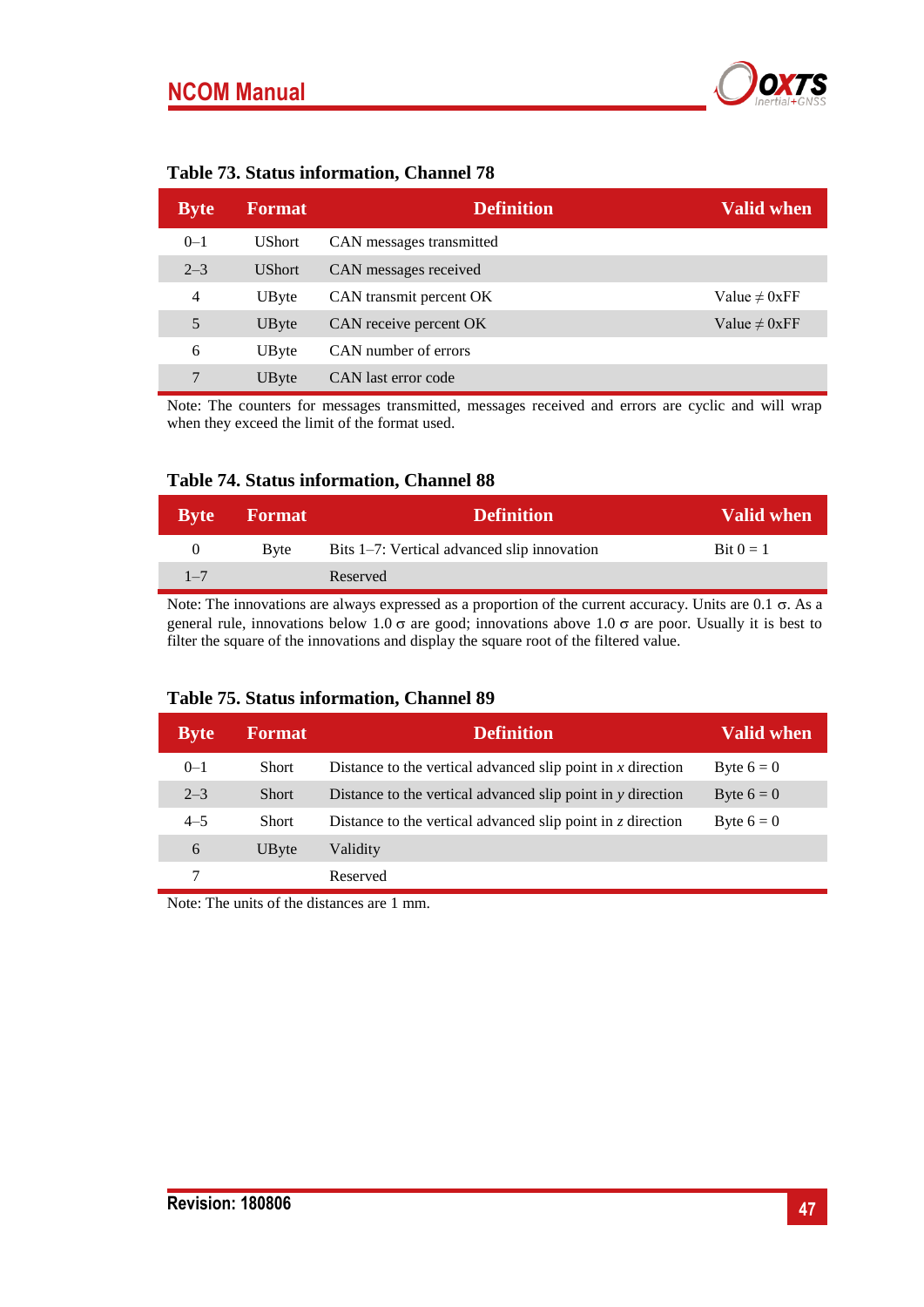

| <b>Byte</b>    | <b>Format</b> | <b>Definition</b>        | Valid when         |
|----------------|---------------|--------------------------|--------------------|
| $0 - 1$        | <b>UShort</b> | CAN messages transmitted |                    |
| $2 - 3$        | <b>UShort</b> | CAN messages received    |                    |
| $\overline{4}$ | UByte         | CAN transmit percent OK  | Value $\neq 0$ xFF |
| 5              | UByte         | CAN receive percent OK   | Value $\neq 0$ xFF |
| 6              | UByte         | CAN number of errors     |                    |
| 7              | UByte         | CAN last error code      |                    |

#### **Table 73. Status information, Channel 78**

Note: The counters for messages transmitted, messages received and errors are cyclic and will wrap when they exceed the limit of the format used.

#### <span id="page-46-0"></span>**Table 74. Status information, Channel 88**

| <b>Byte</b> | <b>Format</b> | <b>Definition</b>                           | <b>Valid when</b>   |
|-------------|---------------|---------------------------------------------|---------------------|
| $_{0}$      | <b>Byte</b>   | Bits 1–7: Vertical advanced slip innovation | $\text{Bit } 0 = 1$ |
| $1 - 7$     |               | Reserved                                    |                     |

Note: The innovations are always expressed as a proportion of the current accuracy. Units are  $0.1 \sigma$ . As a general rule, innovations below 1.0  $\sigma$  are good; innovations above 1.0  $\sigma$  are poor. Usually it is best to filter the square of the innovations and display the square root of the filtered value.

#### <span id="page-46-1"></span>**Table 75. Status information, Channel 89**

| <b>Byte</b> | <b>Format</b> | <b>Definition</b>                                                 | <b>Valid when</b> |
|-------------|---------------|-------------------------------------------------------------------|-------------------|
| $0 - 1$     | <b>Short</b>  | Distance to the vertical advanced slip point in $x$ direction     | Byte $6 = 0$      |
| $2 - 3$     | <b>Short</b>  | Distance to the vertical advanced slip point in $y$ direction     | Byte $6 = 0$      |
| $4 - 5$     | <b>Short</b>  | Distance to the vertical advanced slip point in $\zeta$ direction | Byte $6 = 0$      |
| 6           | UByte         | Validity                                                          |                   |
|             |               | Reserved                                                          |                   |

Note: The units of the distances are 1 mm.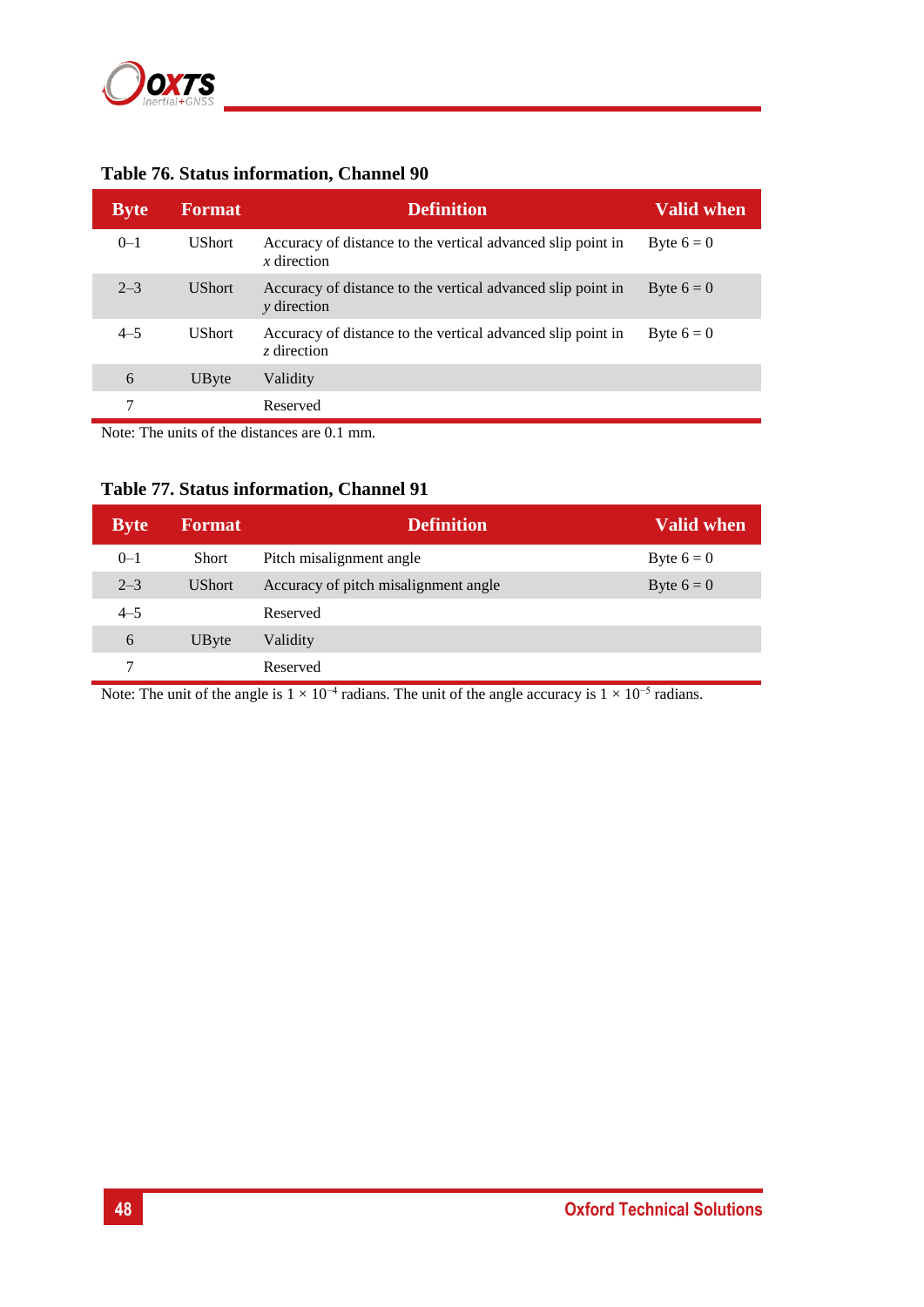

| <b>Byte</b> | <b>Format</b> | <b>Definition</b>                                                                 | <b>Valid when</b> |
|-------------|---------------|-----------------------------------------------------------------------------------|-------------------|
| $0 - 1$     | <b>UShort</b> | Accuracy of distance to the vertical advanced slip point in<br>$x$ direction      | Byte $6 = 0$      |
| $2 - 3$     | <b>UShort</b> | Accuracy of distance to the vertical advanced slip point in<br><i>v</i> direction | Byte $6 = 0$      |
| $4 - 5$     | <b>UShort</b> | Accuracy of distance to the vertical advanced slip point in<br>z direction        | Byte $6 = 0$      |
| 6           | UByte         | Validity                                                                          |                   |
| 7           |               | Reserved                                                                          |                   |

#### <span id="page-47-0"></span>**Table 76. Status information, Channel 90**

Note: The units of the distances are 0.1 mm.

## <span id="page-47-1"></span>**Table 77. Status information, Channel 91**

| <b>Byte</b> | <b>Format</b> | <b>Definition</b>                    | <b>Valid when</b> |
|-------------|---------------|--------------------------------------|-------------------|
| $0 - 1$     | <b>Short</b>  | Pitch misalignment angle             | Byte $6 = 0$      |
| $2 - 3$     | <b>UShort</b> | Accuracy of pitch misalignment angle | Byte $6 = 0$      |
| $4 - 5$     |               | Reserved                             |                   |
| 6           | UByte         | Validity                             |                   |
| 7           |               | Reserved                             |                   |

Note: The unit of the angle is  $1 \times 10^{-4}$  radians. The unit of the angle accuracy is  $1 \times 10^{-5}$  radians.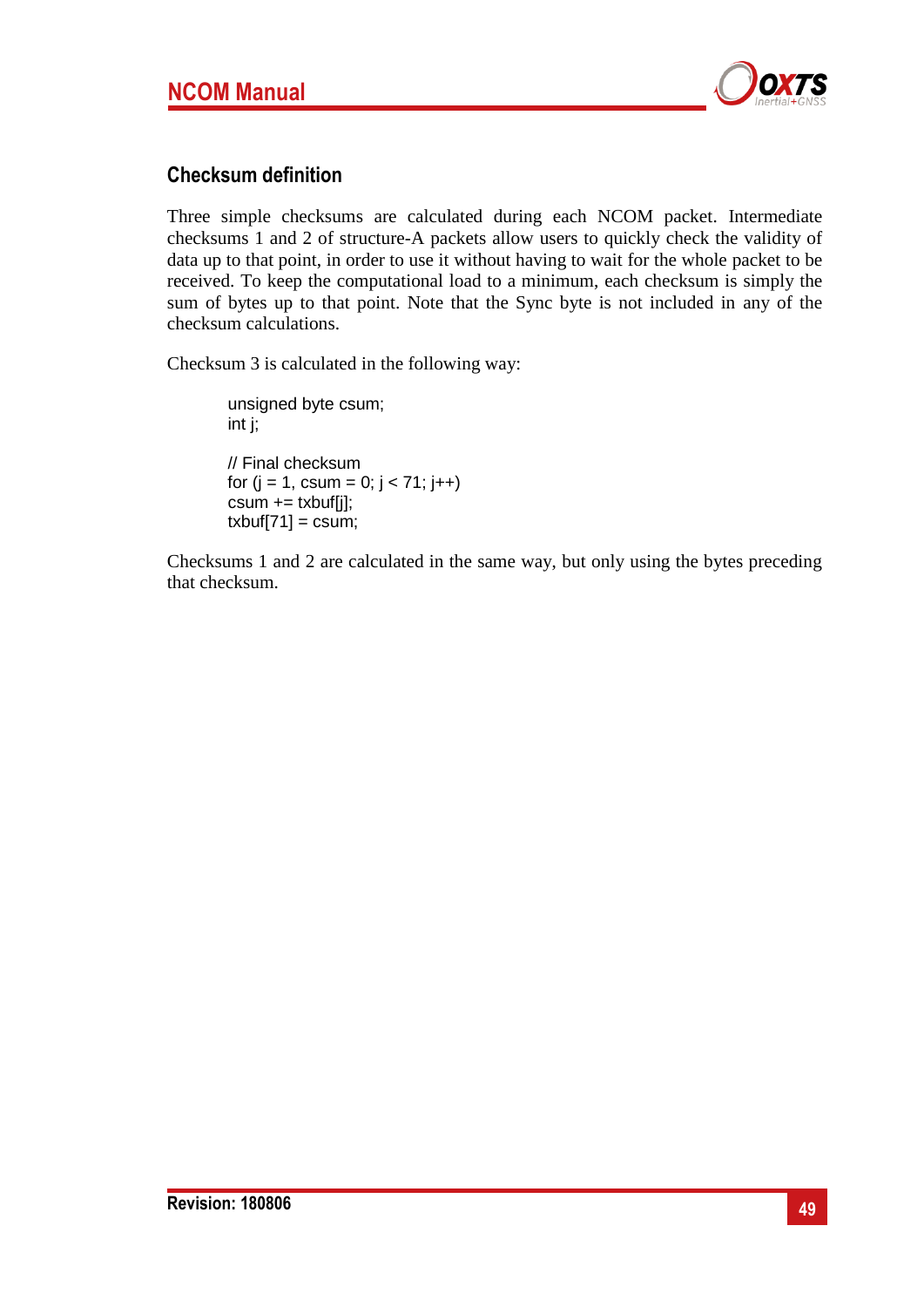

## **Checksum definition**

Three simple checksums are calculated during each NCOM packet. Intermediate checksums 1 and 2 of structure-A packets allow users to quickly check the validity of data up to that point, in order to use it without having to wait for the whole packet to be received. To keep the computational load to a minimum, each checksum is simply the sum of bytes up to that point. Note that the Sync byte is not included in any of the checksum calculations.

Checksum 3 is calculated in the following way:

unsigned byte csum; int j; // Final checksum for  $(j = 1, \text{csum} = 0; j < 71; j++)$  $csum += txbuff[i];$  $txbuf[71] = csum;$ 

Checksums 1 and 2 are calculated in the same way, but only using the bytes preceding that checksum.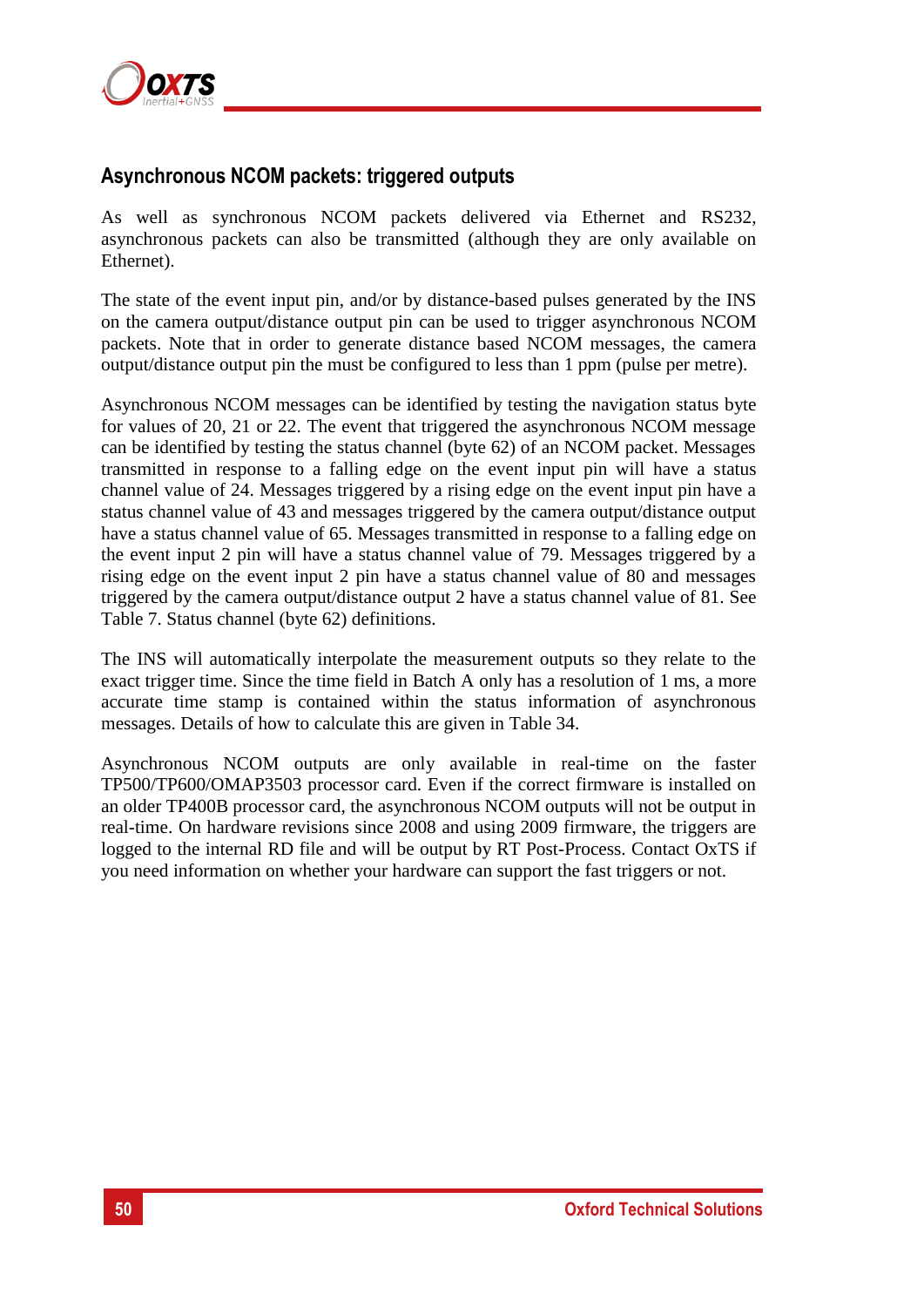

## **Asynchronous NCOM packets: triggered outputs**

As well as synchronous NCOM packets delivered via Ethernet and RS232, asynchronous packets can also be transmitted (although they are only available on Ethernet).

The state of the event input pin, and/or by distance-based pulses generated by the INS on the camera output/distance output pin can be used to trigger asynchronous NCOM packets. Note that in order to generate distance based NCOM messages, the camera output/distance output pin the must be configured to less than 1 ppm (pulse per metre).

Asynchronous NCOM messages can be identified by testing the navigation status byte for values of 20, 21 or 22. The event that triggered the asynchronous NCOM message can be identified by testing the status channel (byte 62) of an NCOM packet. Messages transmitted in response to a falling edge on the event input pin will have a status channel value of 24. Messages triggered by a rising edge on the event input pin have a status channel value of 43 and messages triggered by the camera output/distance output have a status channel value of 65. Messages transmitted in response to a falling edge on the event input 2 pin will have a status channel value of 79. Messages triggered by a rising edge on the event input 2 pin have a status channel value of 80 and messages triggered by the camera output/distance output 2 have a status channel value of 81. See [Table 7. Status channel](#page-14-0) (byte 62) definitions.

The INS will automatically interpolate the measurement outputs so they relate to the exact trigger time. Since the time field in Batch A only has a resolution of 1 ms, a more accurate time stamp is contained within the status information of asynchronous messages. Details of how to calculate this are given in [Table 34.](#page-27-2)

Asynchronous NCOM outputs are only available in real-time on the faster TP500/TP600/OMAP3503 processor card. Even if the correct firmware is installed on an older TP400B processor card, the asynchronous NCOM outputs will not be output in real-time. On hardware revisions since 2008 and using 2009 firmware, the triggers are logged to the internal RD file and will be output by RT Post-Process. Contact OxTS if you need information on whether your hardware can support the fast triggers or not.